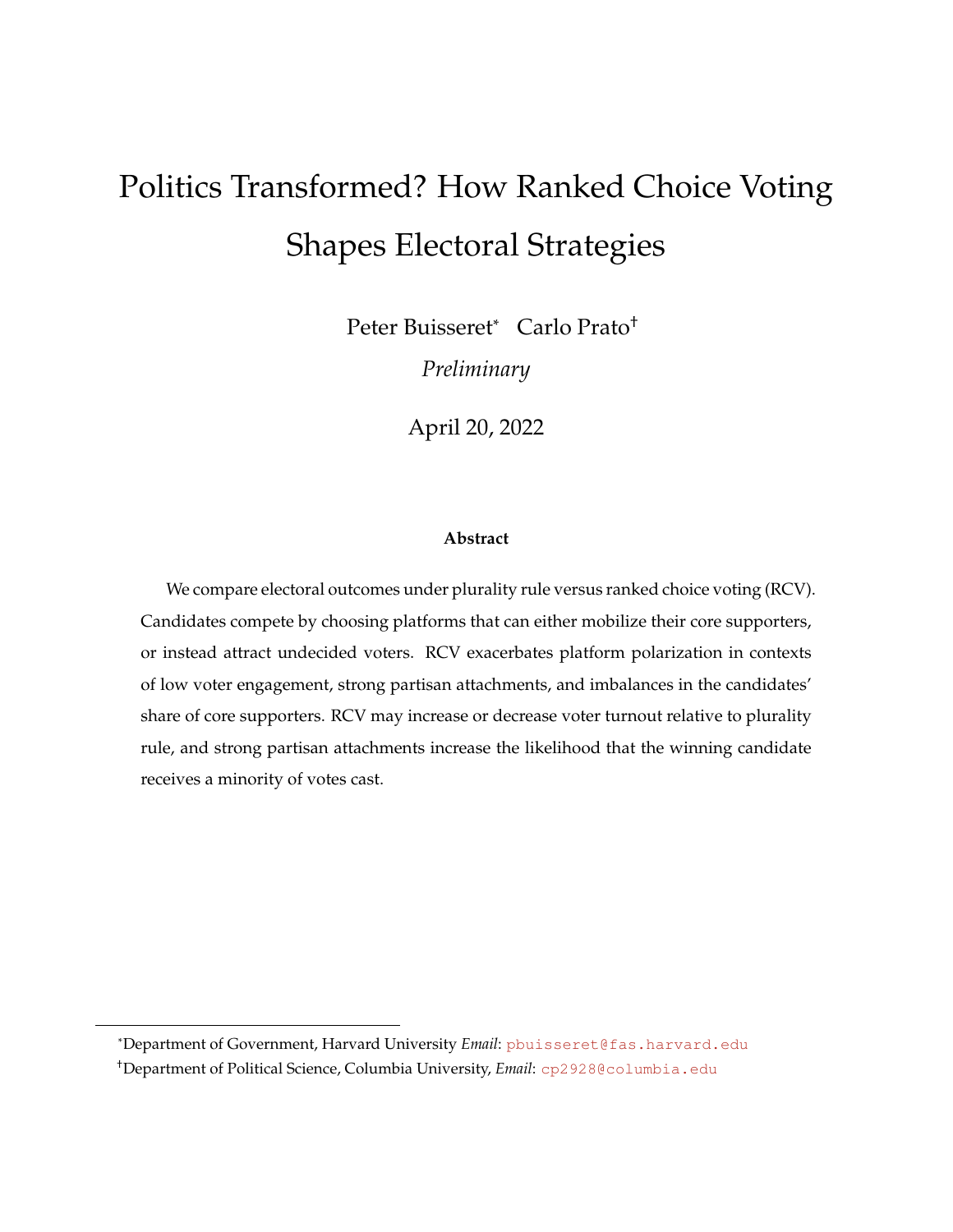# <span id="page-0-0"></span>Politics Transformed? How Ranked Choice Voting Shapes Electoral Strategies

Peter Buisseret\* Carlo Prato<sup>+</sup>

*Preliminary*

April 20, 2022

#### **Abstract**

We compare electoral outcomes under plurality rule versus ranked choice voting (RCV). Candidates compete by choosing platforms that can either mobilize their core supporters, or instead attract undecided voters. RCV exacerbates platform polarization in contexts of low voter engagement, strong partisan attachments, and imbalances in the candidates' share of core supporters. RCV may increase or decrease voter turnout relative to plurality rule, and strong partisan attachments increase the likelihood that the winning candidate receives a minority of votes cast.

\*Department of Government, Harvard University *Email*: [pbuisseret@fas.harvard.edu]( pbuisseret@fas.harvard.edu)

<sup>†</sup>Department of Political Science, Columbia University, *Email*: <cp2928@columbia.edu>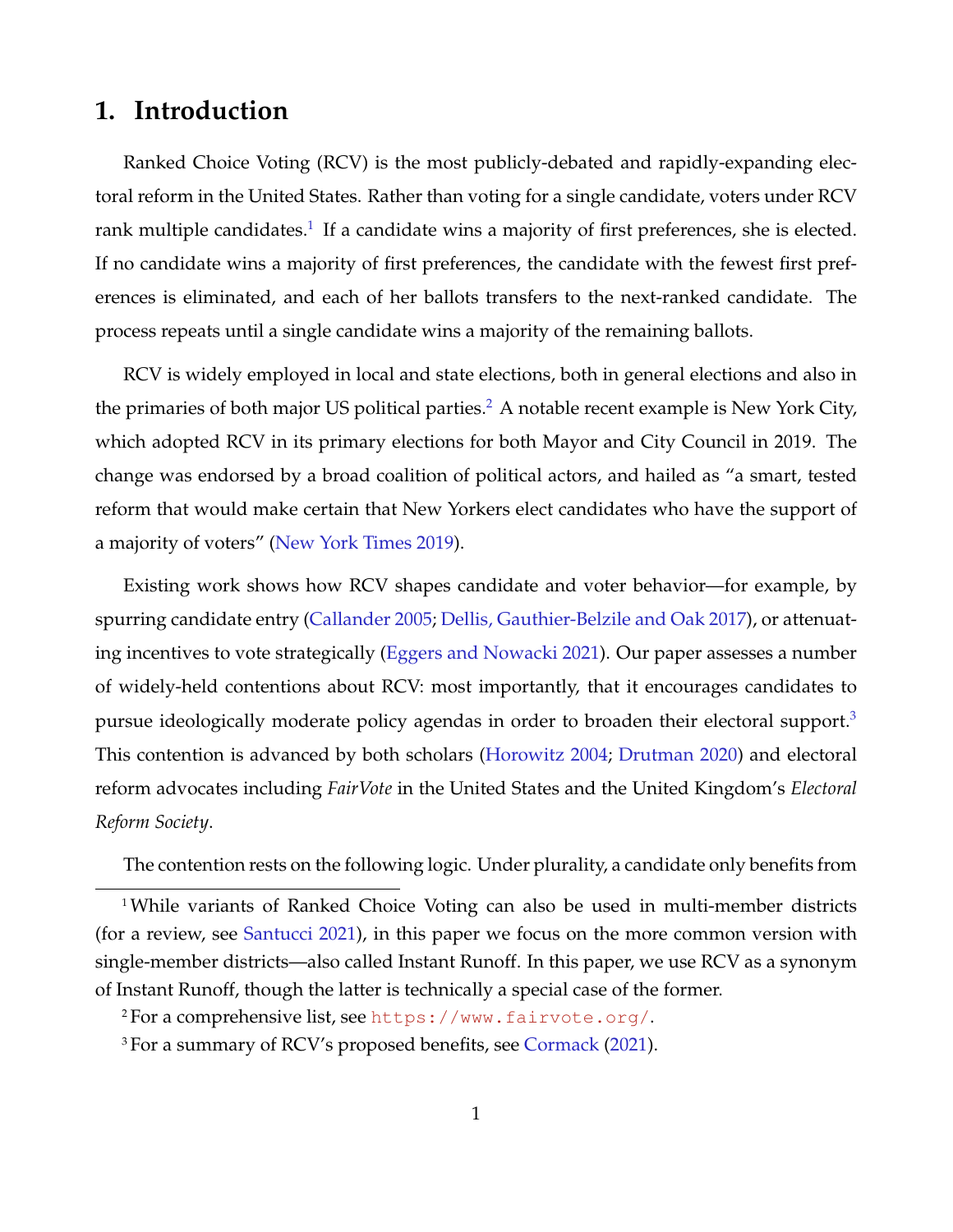# **1. Introduction**

Ranked Choice Voting (RCV) is the most publicly-debated and rapidly-expanding electoral reform in the United States. Rather than voting for a single candidate, voters under RCV rank multiple candidates. $^1$  $^1$  If a candidate wins a majority of first preferences, she is elected. If no candidate wins a majority of first preferences, the candidate with the fewest first preferences is eliminated, and each of her ballots transfers to the next-ranked candidate. The process repeats until a single candidate wins a majority of the remaining ballots.

RCV is widely employed in local and state elections, both in general elections and also in the primaries of both major US political parties.<sup>[2](#page-0-0)</sup> A notable recent example is New York City, which adopted RCV in its primary elections for both Mayor and City Council in 2019. The change was endorsed by a broad coalition of political actors, and hailed as "a smart, tested reform that would make certain that New Yorkers elect candidates who have the support of a majority of voters" [\(New York Times](#page-21-0) [2019\)](#page-21-0).

Existing work shows how RCV shapes candidate and voter behavior—for example, by spurring candidate entry [\(Callander](#page-20-0) [2005;](#page-20-0) [Dellis, Gauthier-Belzile and Oak](#page-21-1) [2017\)](#page-21-1), or attenuating incentives to vote strategically [\(Eggers and Nowacki](#page-21-2) [2021\)](#page-21-2). Our paper assesses a number of widely-held contentions about RCV: most importantly, that it encourages candidates to pursue ideologically moderate policy agendas in order to broaden their electoral support.[3](#page-0-0) This contention is advanced by both scholars [\(Horowitz](#page-21-3) [2004;](#page-21-3) [Drutman](#page-21-4) [2020\)](#page-21-4) and electoral reform advocates including *FairVote* in the United States and the United Kingdom's *Electoral Reform Society*.

The contention rests on the following logic. Under plurality, a candidate only benefits from

<sup>&</sup>lt;sup>1</sup>While variants of Ranked Choice Voting can also be used in multi-member districts (for a review, see [Santucci](#page-22-0) [2021\)](#page-22-0), in this paper we focus on the more common version with single-member districts—also called Instant Runoff. In this paper, we use RCV as a synonym of Instant Runoff, though the latter is technically a special case of the former.

<sup>2</sup> For a comprehensive list, see <https://www.fairvote.org/>.

<sup>&</sup>lt;sup>3</sup> For a summary of RCV's proposed benefits, see [Cormack](#page-20-1) [\(2021\)](#page-20-1).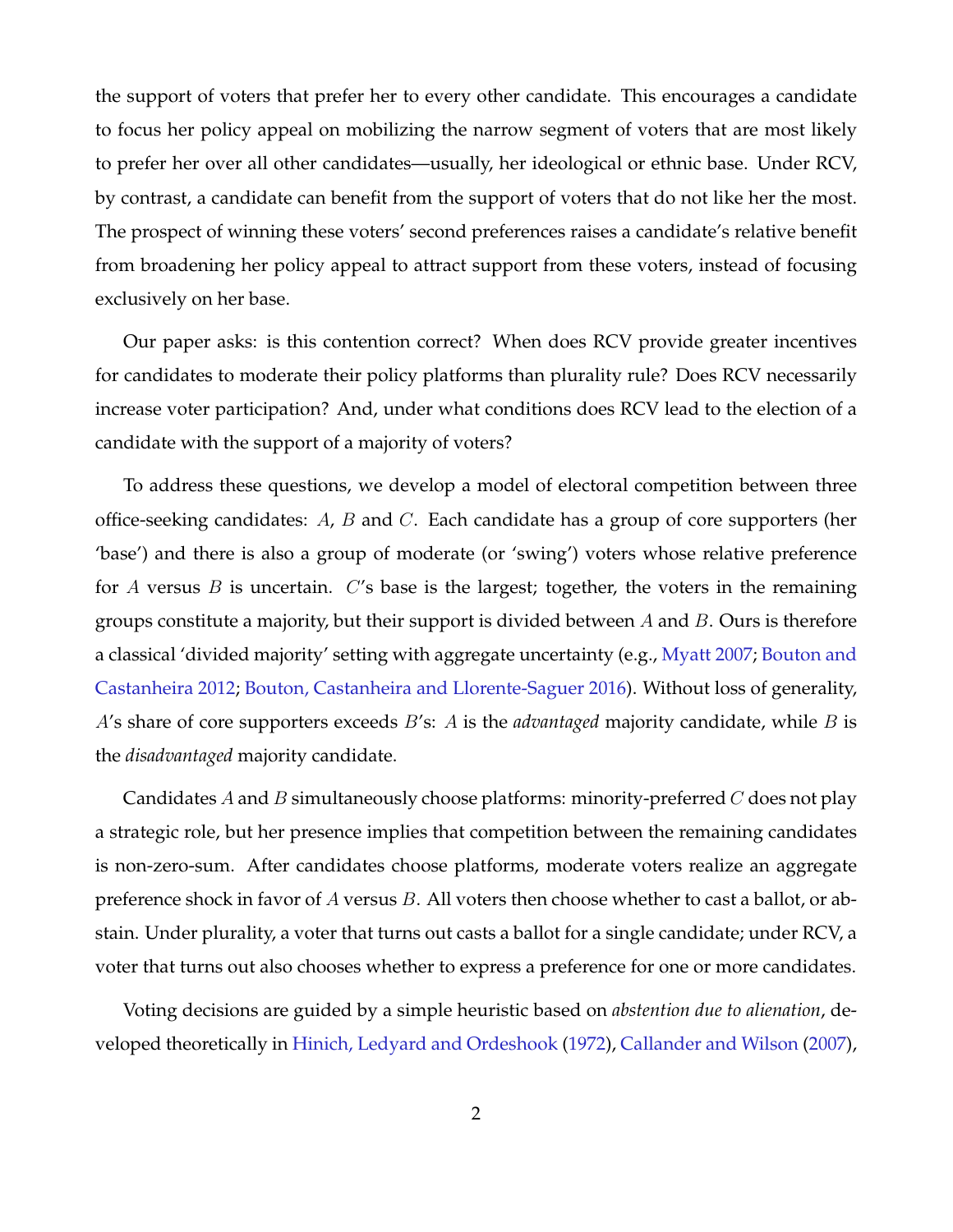the support of voters that prefer her to every other candidate. This encourages a candidate to focus her policy appeal on mobilizing the narrow segment of voters that are most likely to prefer her over all other candidates—usually, her ideological or ethnic base. Under RCV, by contrast, a candidate can benefit from the support of voters that do not like her the most. The prospect of winning these voters' second preferences raises a candidate's relative benefit from broadening her policy appeal to attract support from these voters, instead of focusing exclusively on her base.

Our paper asks: is this contention correct? When does RCV provide greater incentives for candidates to moderate their policy platforms than plurality rule? Does RCV necessarily increase voter participation? And, under what conditions does RCV lead to the election of a candidate with the support of a majority of voters?

To address these questions, we develop a model of electoral competition between three office-seeking candidates:  $A$ ,  $B$  and  $C$ . Each candidate has a group of core supporters (her 'base') and there is also a group of moderate (or 'swing') voters whose relative preference for A versus B is uncertain.  $C$ 's base is the largest; together, the voters in the remaining groups constitute a majority, but their support is divided between  $A$  and  $B$ . Ours is therefore a classical 'divided majority' setting with aggregate uncertainty (e.g., [Myatt](#page-21-5) [2007;](#page-21-5) [Bouton and](#page-20-2) [Castanheira](#page-20-2) [2012;](#page-20-2) [Bouton, Castanheira and Llorente-Saguer](#page-20-3) [2016\)](#page-20-3). Without loss of generality, A's share of core supporters exceeds B's: A is the *advantaged* majority candidate, while B is the *disadvantaged* majority candidate.

Candidates A and B simultaneously choose platforms: minority-preferred  $C$  does not play a strategic role, but her presence implies that competition between the remaining candidates is non-zero-sum. After candidates choose platforms, moderate voters realize an aggregate preference shock in favor of  $A$  versus  $B$ . All voters then choose whether to cast a ballot, or abstain. Under plurality, a voter that turns out casts a ballot for a single candidate; under RCV, a voter that turns out also chooses whether to express a preference for one or more candidates.

Voting decisions are guided by a simple heuristic based on *abstention due to alienation*, developed theoretically in [Hinich, Ledyard and Ordeshook](#page-21-6) [\(1972\)](#page-21-6), [Callander and Wilson](#page-20-4) [\(2007\)](#page-20-4),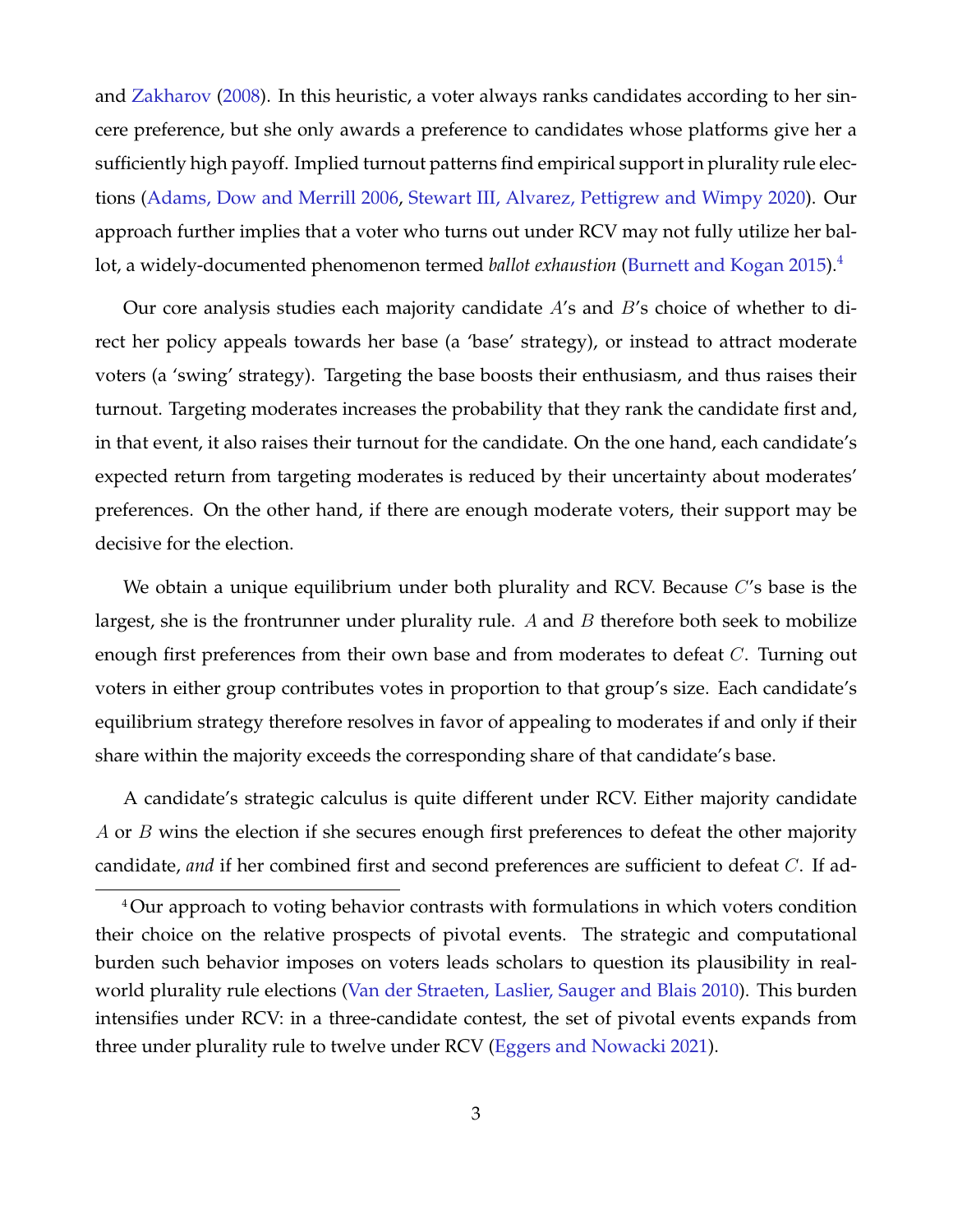and [Zakharov](#page-22-1) [\(2008\)](#page-22-1). In this heuristic, a voter always ranks candidates according to her sincere preference, but she only awards a preference to candidates whose platforms give her a sufficiently high payoff. Implied turnout patterns find empirical support in plurality rule elections [\(Adams, Dow and Merrill](#page-20-5) [2006,](#page-20-5) [Stewart III, Alvarez, Pettigrew and Wimpy](#page-22-2) [2020\)](#page-22-2). Our approach further implies that a voter who turns out under RCV may not fully utilize her ballot, a widely-documented phenomenon termed *ballot exhaustion* [\(Burnett and Kogan](#page-20-6) [2015\)](#page-20-6).[4](#page-0-0)

Our core analysis studies each majority candidate  $A$ 's and  $B$ 's choice of whether to direct her policy appeals towards her base (a 'base' strategy), or instead to attract moderate voters (a 'swing' strategy). Targeting the base boosts their enthusiasm, and thus raises their turnout. Targeting moderates increases the probability that they rank the candidate first and, in that event, it also raises their turnout for the candidate. On the one hand, each candidate's expected return from targeting moderates is reduced by their uncertainty about moderates' preferences. On the other hand, if there are enough moderate voters, their support may be decisive for the election.

We obtain a unique equilibrium under both plurality and RCV. Because C's base is the largest, she is the frontrunner under plurality rule. A and  $B$  therefore both seek to mobilize enough first preferences from their own base and from moderates to defeat C. Turning out voters in either group contributes votes in proportion to that group's size. Each candidate's equilibrium strategy therefore resolves in favor of appealing to moderates if and only if their share within the majority exceeds the corresponding share of that candidate's base.

A candidate's strategic calculus is quite different under RCV. Either majority candidate A or B wins the election if she secures enough first preferences to defeat the other majority candidate, *and* if her combined first and second preferences are sufficient to defeat C. If ad-

<sup>&</sup>lt;sup>4</sup>Our approach to voting behavior contrasts with formulations in which voters condition their choice on the relative prospects of pivotal events. The strategic and computational burden such behavior imposes on voters leads scholars to question its plausibility in realworld plurality rule elections [\(Van der Straeten, Laslier, Sauger and Blais](#page-22-3) [2010\)](#page-22-3). This burden intensifies under RCV: in a three-candidate contest, the set of pivotal events expands from three under plurality rule to twelve under RCV [\(Eggers and Nowacki](#page-21-2) [2021\)](#page-21-2).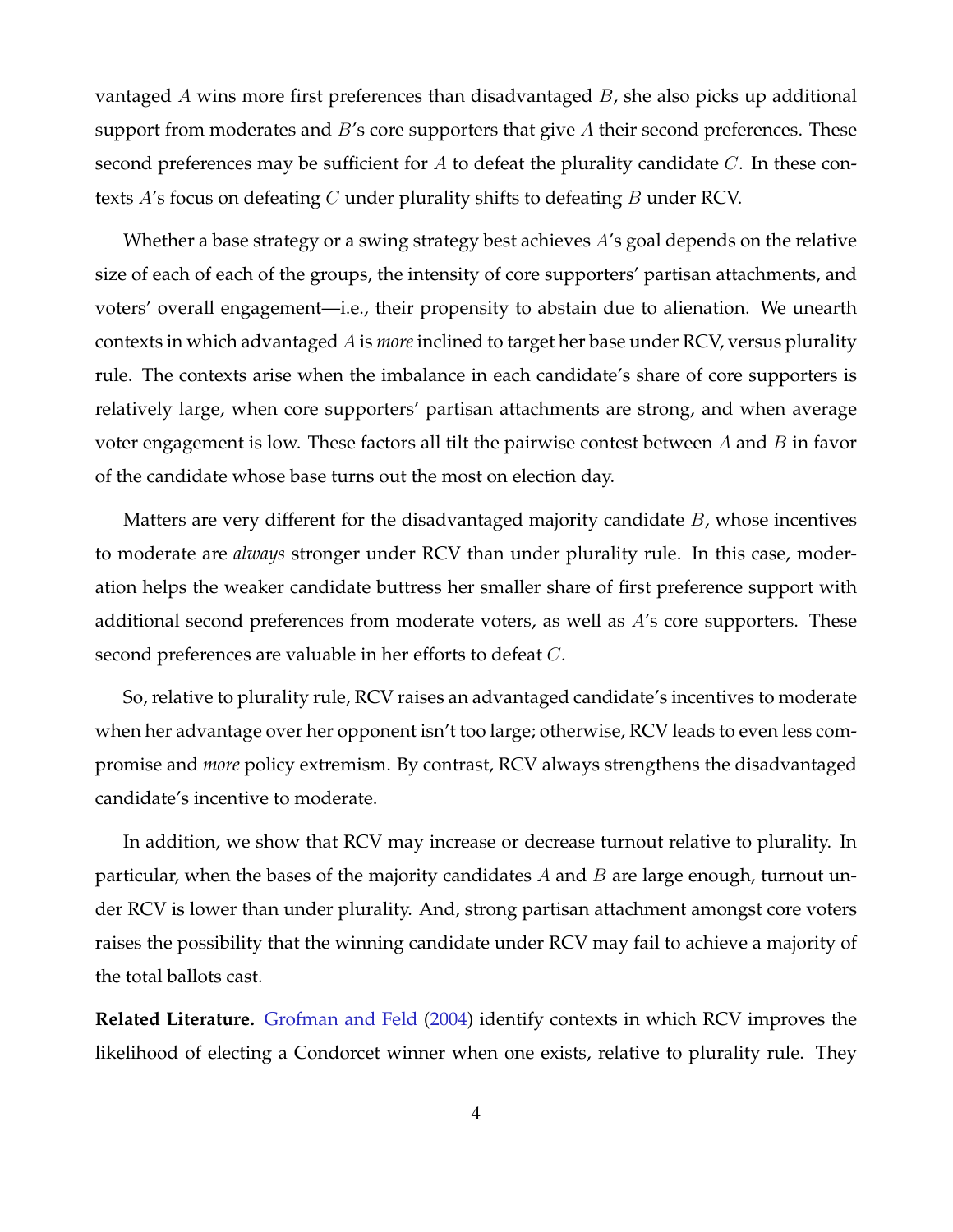vantaged A wins more first preferences than disadvantaged B, she also picks up additional support from moderates and  $B$ 's core supporters that give  $A$  their second preferences. These second preferences may be sufficient for A to defeat the plurality candidate  $C$ . In these contexts A's focus on defeating C under plurality shifts to defeating B under RCV.

Whether a base strategy or a swing strategy best achieves A's goal depends on the relative size of each of each of the groups, the intensity of core supporters' partisan attachments, and voters' overall engagement—i.e., their propensity to abstain due to alienation. We unearth contexts in which advantaged A is *more* inclined to target her base under RCV, versus plurality rule. The contexts arise when the imbalance in each candidate's share of core supporters is relatively large, when core supporters' partisan attachments are strong, and when average voter engagement is low. These factors all tilt the pairwise contest between  $A$  and  $B$  in favor of the candidate whose base turns out the most on election day.

Matters are very different for the disadvantaged majority candidate  $B$ , whose incentives to moderate are *always* stronger under RCV than under plurality rule. In this case, moderation helps the weaker candidate buttress her smaller share of first preference support with additional second preferences from moderate voters, as well as A's core supporters. These second preferences are valuable in her efforts to defeat  $C$ .

So, relative to plurality rule, RCV raises an advantaged candidate's incentives to moderate when her advantage over her opponent isn't too large; otherwise, RCV leads to even less compromise and *more* policy extremism. By contrast, RCV always strengthens the disadvantaged candidate's incentive to moderate.

In addition, we show that RCV may increase or decrease turnout relative to plurality. In particular, when the bases of the majority candidates  $A$  and  $B$  are large enough, turnout under RCV is lower than under plurality. And, strong partisan attachment amongst core voters raises the possibility that the winning candidate under RCV may fail to achieve a majority of the total ballots cast.

**Related Literature.** [Grofman and Feld](#page-21-7) [\(2004\)](#page-21-7) identify contexts in which RCV improves the likelihood of electing a Condorcet winner when one exists, relative to plurality rule. They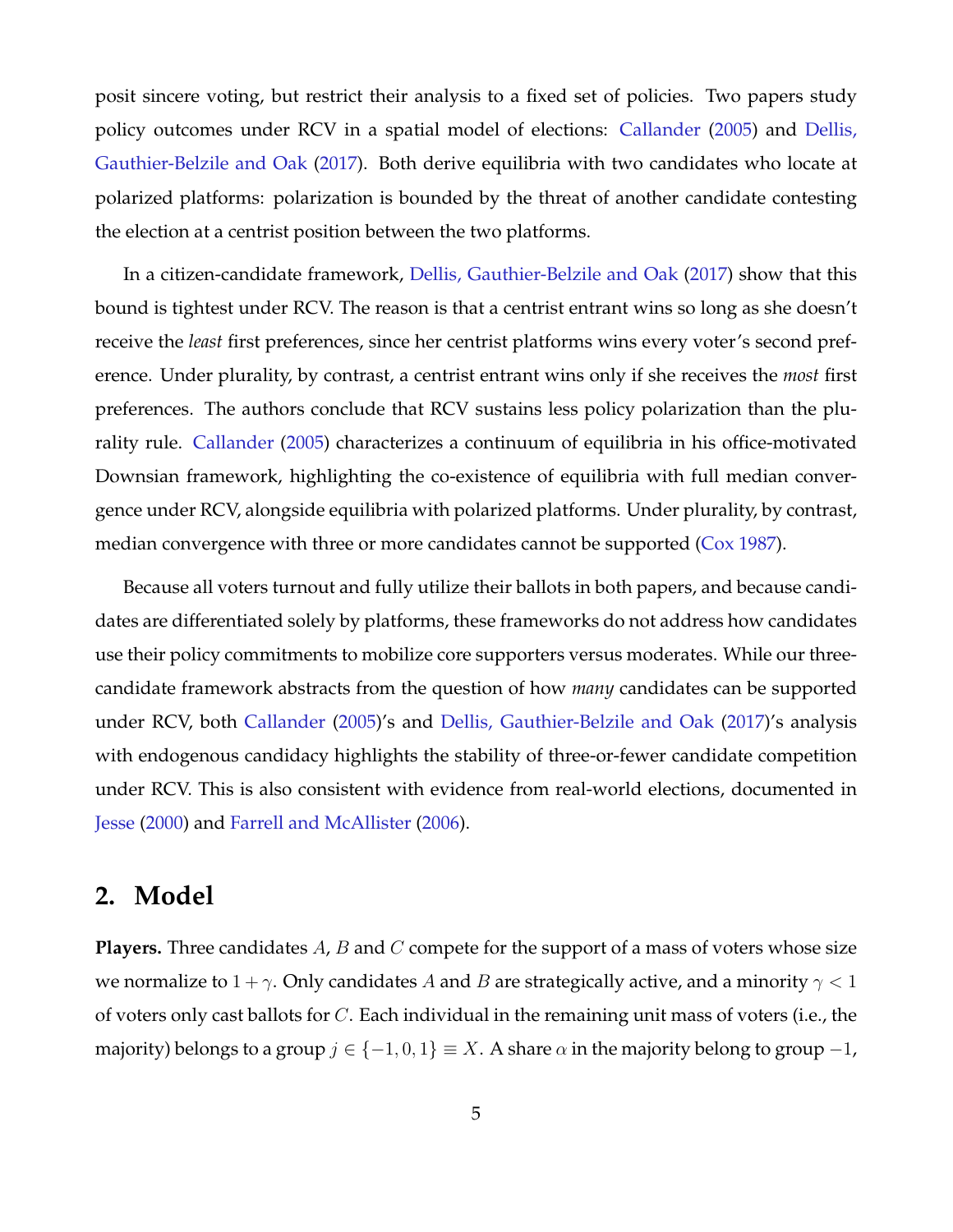posit sincere voting, but restrict their analysis to a fixed set of policies. Two papers study policy outcomes under RCV in a spatial model of elections: [Callander](#page-20-0) [\(2005\)](#page-20-0) and [Dellis,](#page-21-1) [Gauthier-Belzile and Oak](#page-21-1) [\(2017\)](#page-21-1). Both derive equilibria with two candidates who locate at polarized platforms: polarization is bounded by the threat of another candidate contesting the election at a centrist position between the two platforms.

In a citizen-candidate framework, [Dellis, Gauthier-Belzile and Oak](#page-21-1) [\(2017\)](#page-21-1) show that this bound is tightest under RCV. The reason is that a centrist entrant wins so long as she doesn't receive the *least* first preferences, since her centrist platforms wins every voter's second preference. Under plurality, by contrast, a centrist entrant wins only if she receives the *most* first preferences. The authors conclude that RCV sustains less policy polarization than the plurality rule. [Callander](#page-20-0) [\(2005\)](#page-20-0) characterizes a continuum of equilibria in his office-motivated Downsian framework, highlighting the co-existence of equilibria with full median convergence under RCV, alongside equilibria with polarized platforms. Under plurality, by contrast, median convergence with three or more candidates cannot be supported [\(Cox](#page-20-7) [1987\)](#page-20-7).

Because all voters turnout and fully utilize their ballots in both papers, and because candidates are differentiated solely by platforms, these frameworks do not address how candidates use their policy commitments to mobilize core supporters versus moderates. While our threecandidate framework abstracts from the question of how *many* candidates can be supported under RCV, both [Callander](#page-20-0) [\(2005\)](#page-20-0)'s and [Dellis, Gauthier-Belzile and Oak](#page-21-1) [\(2017\)](#page-21-1)'s analysis with endogenous candidacy highlights the stability of three-or-fewer candidate competition under RCV. This is also consistent with evidence from real-world elections, documented in [Jesse](#page-21-8) [\(2000\)](#page-21-8) and [Farrell and McAllister](#page-21-9) [\(2006\)](#page-21-9).

## **2. Model**

**Players.** Three candidates A, B and C compete for the support of a mass of voters whose size we normalize to  $1 + \gamma$ . Only candidates A and B are strategically active, and a minority  $\gamma < 1$ of voters only cast ballots for C. Each individual in the remaining unit mass of voters (i.e., the majority) belongs to a group  $j \in \{-1,0,1\} \equiv X$ . A share  $\alpha$  in the majority belong to group  $-1$ ,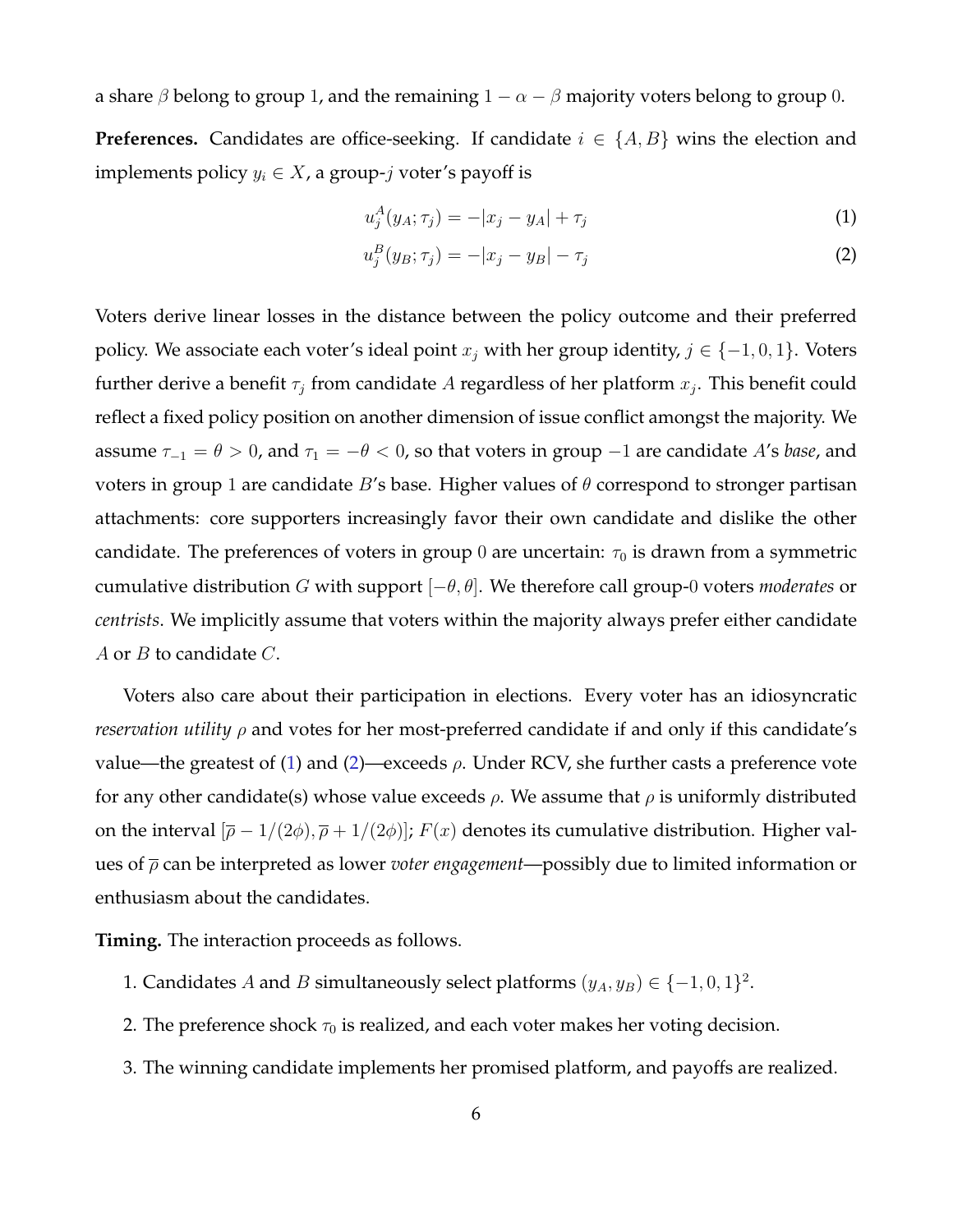a share  $\beta$  belong to group 1, and the remaining  $1 - \alpha - \beta$  majority voters belong to group 0. **Preferences.** Candidates are office-seeking. If candidate  $i \in \{A, B\}$  wins the election and implements policy  $y_i \in X$ , a group-j voter's payoff is

<span id="page-6-1"></span><span id="page-6-0"></span>
$$
u_j^A(y_A; \tau_j) = -|x_j - y_A| + \tau_j \tag{1}
$$

$$
u_j^B(y_B; \tau_j) = -|x_j - y_B| - \tau_j \tag{2}
$$

Voters derive linear losses in the distance between the policy outcome and their preferred policy. We associate each voter's ideal point  $x_j$  with her group identity,  $j \in \{-1, 0, 1\}$ . Voters further derive a benefit  $\tau_j$  from candidate A regardless of her platform  $x_j$ . This benefit could reflect a fixed policy position on another dimension of issue conflict amongst the majority. We assume  $\tau_{-1} = \theta > 0$ , and  $\tau_1 = -\theta < 0$ , so that voters in group  $-1$  are candidate A's *base*, and voters in group 1 are candidate B's base. Higher values of  $\theta$  correspond to stronger partisan attachments: core supporters increasingly favor their own candidate and dislike the other candidate. The preferences of voters in group 0 are uncertain:  $\tau_0$  is drawn from a symmetric cumulative distribution G with support [−θ, θ]. We therefore call group-0 voters *moderates* or *centrists*. We implicitly assume that voters within the majority always prefer either candidate A or  $B$  to candidate  $C$ .

Voters also care about their participation in elections. Every voter has an idiosyncratic *reservation utility* ρ and votes for her most-preferred candidate if and only if this candidate's value—the greatest of [\(1\)](#page-6-0) and [\(2\)](#page-6-1)—exceeds  $\rho$ . Under RCV, she further casts a preference vote for any other candidate(s) whose value exceeds  $\rho$ . We assume that  $\rho$  is uniformly distributed on the interval  $[\bar{\rho} - 1/(2\phi), \bar{\rho} + 1/(2\phi)]$ ;  $F(x)$  denotes its cumulative distribution. Higher values of ρ can be interpreted as lower *voter engagement*—possibly due to limited information or enthusiasm about the candidates.

**Timing.** The interaction proceeds as follows.

- 1. Candidates A and B simultaneously select platforms  $(y_A, y_B) \in \{-1, 0, 1\}^2$ .
- 2. The preference shock  $\tau_0$  is realized, and each voter makes her voting decision.
- 3. The winning candidate implements her promised platform, and payoffs are realized.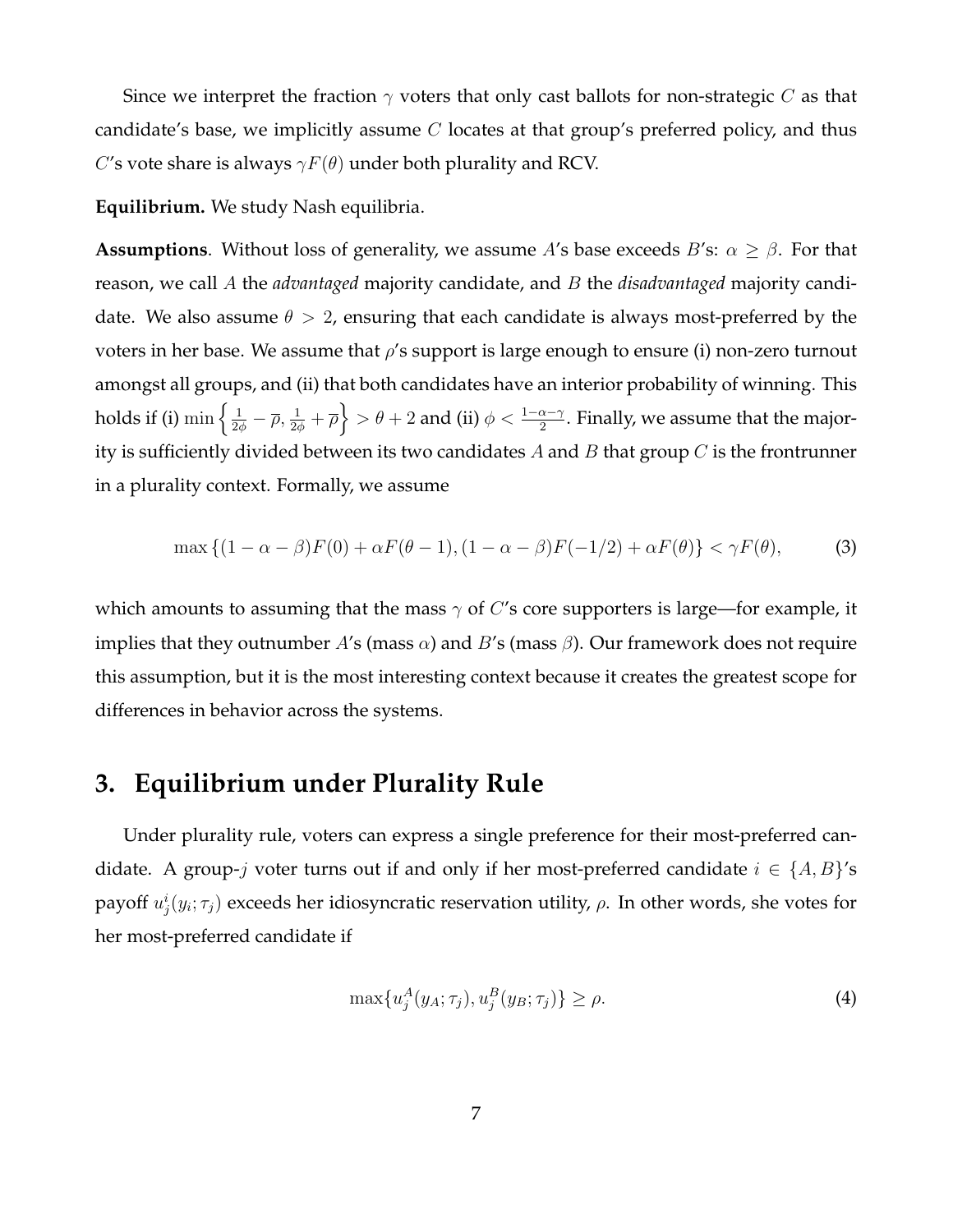Since we interpret the fraction  $\gamma$  voters that only cast ballots for non-strategic C as that candidate's base, we implicitly assume  $C$  locates at that group's preferred policy, and thus C's vote share is always  $\gamma F(\theta)$  under both plurality and RCV.

**Equilibrium.** We study Nash equilibria.

**Assumptions**. Without loss of generality, we assume A's base exceeds B's:  $\alpha \geq \beta$ . For that reason, we call A the *advantaged* majority candidate, and B the *disadvantaged* majority candidate. We also assume  $\theta > 2$ , ensuring that each candidate is always most-preferred by the voters in her base. We assume that  $\rho$ 's support is large enough to ensure (i) non-zero turnout amongst all groups, and (ii) that both candidates have an interior probability of winning. This holds if (i)  $\min\left\{\frac{1}{2\phi}-\overline\rho,\frac{1}{2\phi}+\overline\rho\right\}>\theta+2$  and (ii)  $\phi<\frac{1-\alpha-\gamma}{2}.$  Finally, we assume that the majority is sufficiently divided between its two candidates A and B that group  $C$  is the frontrunner in a plurality context. Formally, we assume

$$
\max\left\{(1-\alpha-\beta)F(0)+\alpha F(\theta-1),\left(1-\alpha-\beta\right)F(-1/2)+\alpha F(\theta)\right\}<\gamma F(\theta),\tag{3}
$$

which amounts to assuming that the mass  $\gamma$  of C's core supporters is large—for example, it implies that they outnumber A's (mass  $\alpha$ ) and B's (mass  $\beta$ ). Our framework does not require this assumption, but it is the most interesting context because it creates the greatest scope for differences in behavior across the systems.

# **3. Equilibrium under Plurality Rule**

Under plurality rule, voters can express a single preference for their most-preferred candidate. A group-j voter turns out if and only if her most-preferred candidate  $i \in \{A, B\}'$ s payoff  $u^i_j(y_i;\tau_j)$  exceeds her idiosyncratic reservation utility,  $\rho$ . In other words, she votes for her most-preferred candidate if

<span id="page-7-0"></span>
$$
\max\{u_j^A(y_A; \tau_j), u_j^B(y_B; \tau_j)\} \ge \rho. \tag{4}
$$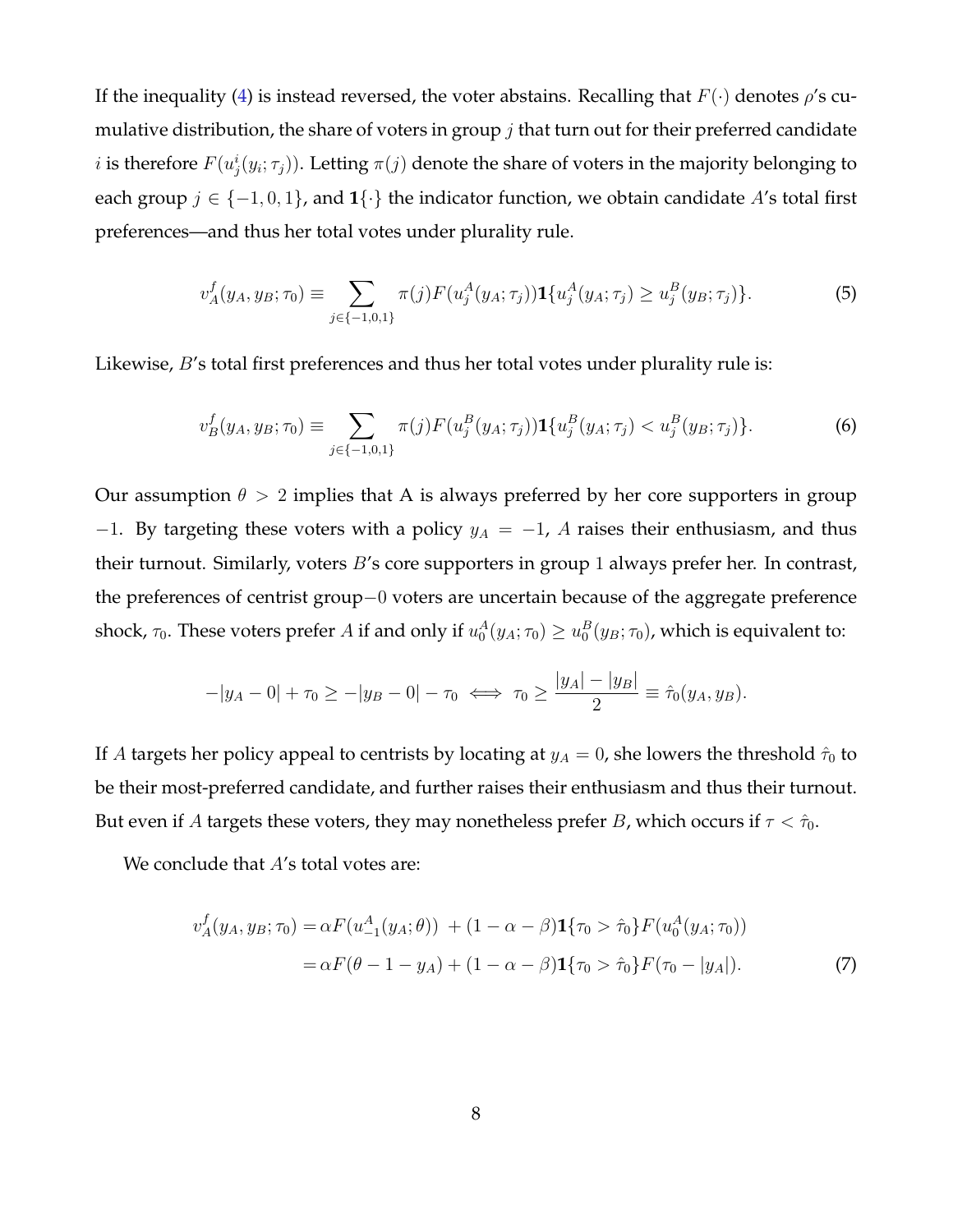If the inequality [\(4\)](#page-7-0) is instead reversed, the voter abstains. Recalling that  $F(\cdot)$  denotes  $\rho'$ s cumulative distribution, the share of voters in group  $j$  that turn out for their preferred candidate  $i$  is therefore  $F(u^i_j(y_i; \tau_j)).$  Letting  $\pi(j)$  denote the share of voters in the majority belonging to each group  $j \in \{-1, 0, 1\}$ , and  $\{\cdot\}$  the indicator function, we obtain candidate A's total first preferences—and thus her total votes under plurality rule.

<span id="page-8-1"></span>
$$
v_A^f(y_A, y_B; \tau_0) \equiv \sum_{j \in \{-1, 0, 1\}} \pi(j) F(u_j^A(y_A; \tau_j)) \mathbf{1} \{u_j^A(y_A; \tau_j) \ge u_j^B(y_B; \tau_j) \}.
$$
 (5)

Likewise, *B*'s total first preferences and thus her total votes under plurality rule is:

<span id="page-8-2"></span>
$$
v_B^f(y_A, y_B; \tau_0) \equiv \sum_{j \in \{-1, 0, 1\}} \pi(j) F(u_j^B(y_A; \tau_j)) \mathbf{1} \{u_j^B(y_A; \tau_j) < u_j^B(y_B; \tau_j) \}.
$$
\n<sup>(6)</sup>

Our assumption  $\theta > 2$  implies that A is always preferred by her core supporters in group −1. By targeting these voters with a policy  $y_A = -1$ , A raises their enthusiasm, and thus their turnout. Similarly, voters  $B$ 's core supporters in group 1 always prefer her. In contrast, the preferences of centrist group−0 voters are uncertain because of the aggregate preference shock,  $\tau_0$ . These voters prefer A if and only if  $u_0^A(y_A;\tau_0)\geq u_0^B(y_B;\tau_0)$ , which is equivalent to:

$$
-|y_A - 0| + \tau_0 \ge -|y_B - 0| - \tau_0 \iff \tau_0 \ge \frac{|y_A| - |y_B|}{2} \equiv \hat{\tau}_0(y_A, y_B).
$$

If A targets her policy appeal to centrists by locating at  $y_A = 0$ , she lowers the threshold  $\hat{\tau}_0$  to be their most-preferred candidate, and further raises their enthusiasm and thus their turnout. But even if A targets these voters, they may nonetheless prefer B, which occurs if  $\tau < \hat{\tau}_0$ .

We conclude that A's total votes are:

<span id="page-8-0"></span>
$$
v_A^f(y_A, y_B; \tau_0) = \alpha F(u_{-1}^A(y_A; \theta)) + (1 - \alpha - \beta) \mathbf{1}\{\tau_0 > \hat{\tau}_0\} F(u_0^A(y_A; \tau_0))
$$
  
=  $\alpha F(\theta - 1 - y_A) + (1 - \alpha - \beta) \mathbf{1}\{\tau_0 > \hat{\tau}_0\} F(\tau_0 - |y_A|).$  (7)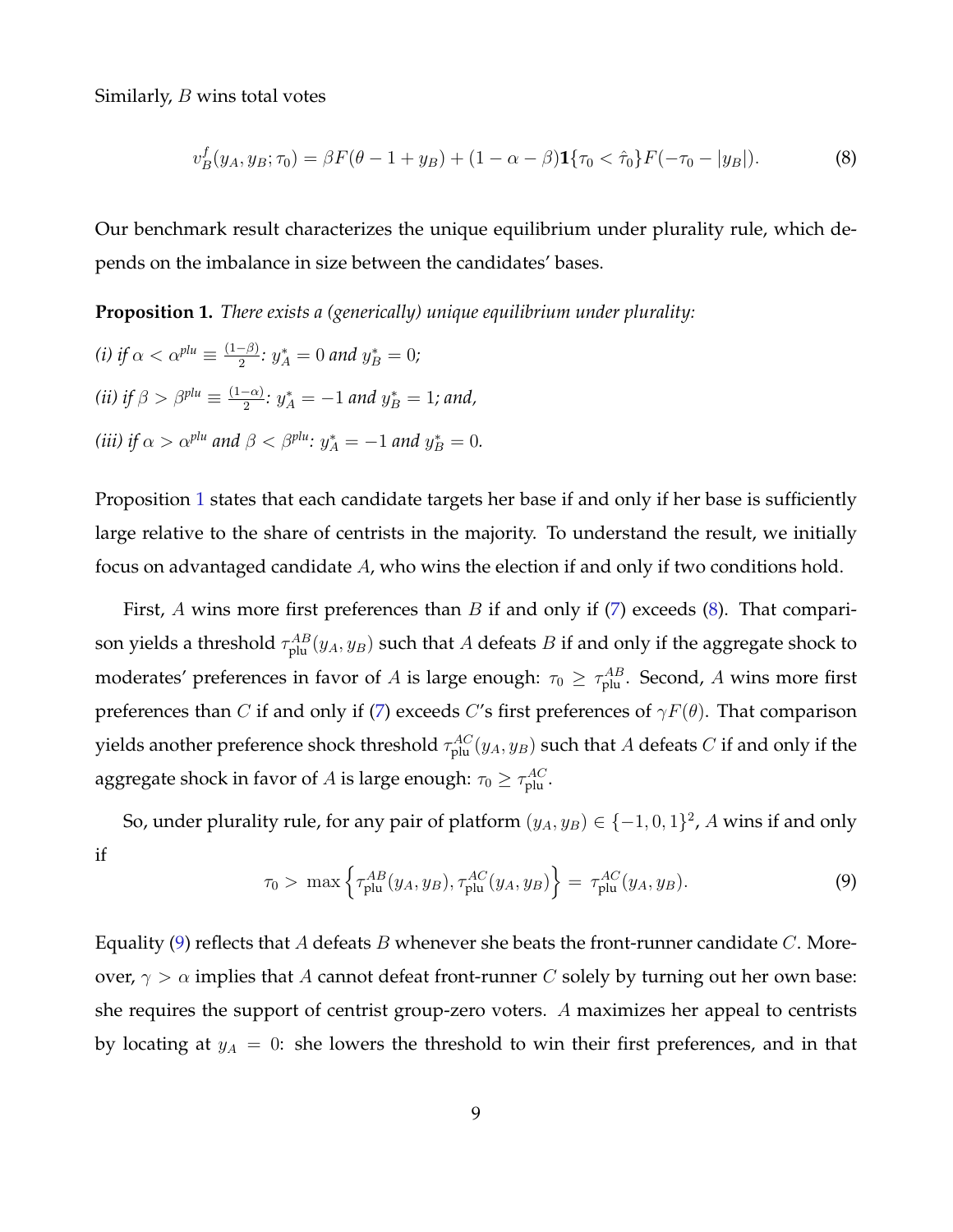Similarly, B wins total votes

<span id="page-9-1"></span>
$$
v_B^f(y_A, y_B; \tau_0) = \beta F(\theta - 1 + y_B) + (1 - \alpha - \beta) \mathbf{1}\{\tau_0 < \hat{\tau}_0\} F(-\tau_0 - |y_B|). \tag{8}
$$

Our benchmark result characterizes the unique equilibrium under plurality rule, which depends on the imbalance in size between the candidates' bases.

<span id="page-9-0"></span>**Proposition 1.** *There exists a (generically) unique equilibrium under plurality:*

(i) if 
$$
\alpha < \alpha^{plu} \equiv \frac{(1-\beta)}{2}
$$
:  $y_A^* = 0$  and  $y_B^* = 0$ ;  
\n(ii) if  $\beta > \beta^{plu} \equiv \frac{(1-\alpha)}{2}$ :  $y_A^* = -1$  and  $y_B^* = 1$ ; and,  
\n(iii) if  $\alpha > \alpha^{plu}$  and  $\beta < \beta^{plu}$ :  $y_A^* = -1$  and  $y_B^* = 0$ .

Proposition [1](#page-9-0) states that each candidate targets her base if and only if her base is sufficiently large relative to the share of centrists in the majority. To understand the result, we initially focus on advantaged candidate A, who wins the election if and only if two conditions hold.

First, A wins more first preferences than  $B$  if and only if [\(7\)](#page-8-0) exceeds [\(8\)](#page-9-1). That comparison yields a threshold  $\tau^{AB}_{\text{plu}}(y_A, y_B)$  such that  $A$  defeats  $B$  if and only if the aggregate shock to moderates' preferences in favor of  $A$  is large enough:  $\tau_0 \geq \tau_{\rm plu}^{AB}$ . Second,  $A$  wins more first preferences than C if and only if [\(7\)](#page-8-0) exceeds C's first preferences of  $\gamma F(\theta)$ . That comparison yields another preference shock threshold  $\tau^{AC}_{\rm plu}(y_A,y_B)$  such that  $A$  defeats  $C$  if and only if the aggregate shock in favor of  $A$  is large enough:  $\tau_0 \geq \tau_{\rm plu}^{AC}.$ 

So, under plurality rule, for any pair of platform  $(y_A, y_B) \in \{-1, 0, 1\}^2$ , A wins if and only if

<span id="page-9-2"></span>
$$
\tau_0 > \max\left\{\tau_{\text{plu}}^{AB}(y_A, y_B), \tau_{\text{plu}}^{AC}(y_A, y_B)\right\} = \tau_{\text{plu}}^{AC}(y_A, y_B). \tag{9}
$$

Equality [\(9\)](#page-9-2) reflects that A defeats B whenever she beats the front-runner candidate  $C$ . Moreover,  $\gamma > \alpha$  implies that A cannot defeat front-runner C solely by turning out her own base: she requires the support of centrist group-zero voters. A maximizes her appeal to centrists by locating at  $y_A = 0$ : she lowers the threshold to win their first preferences, and in that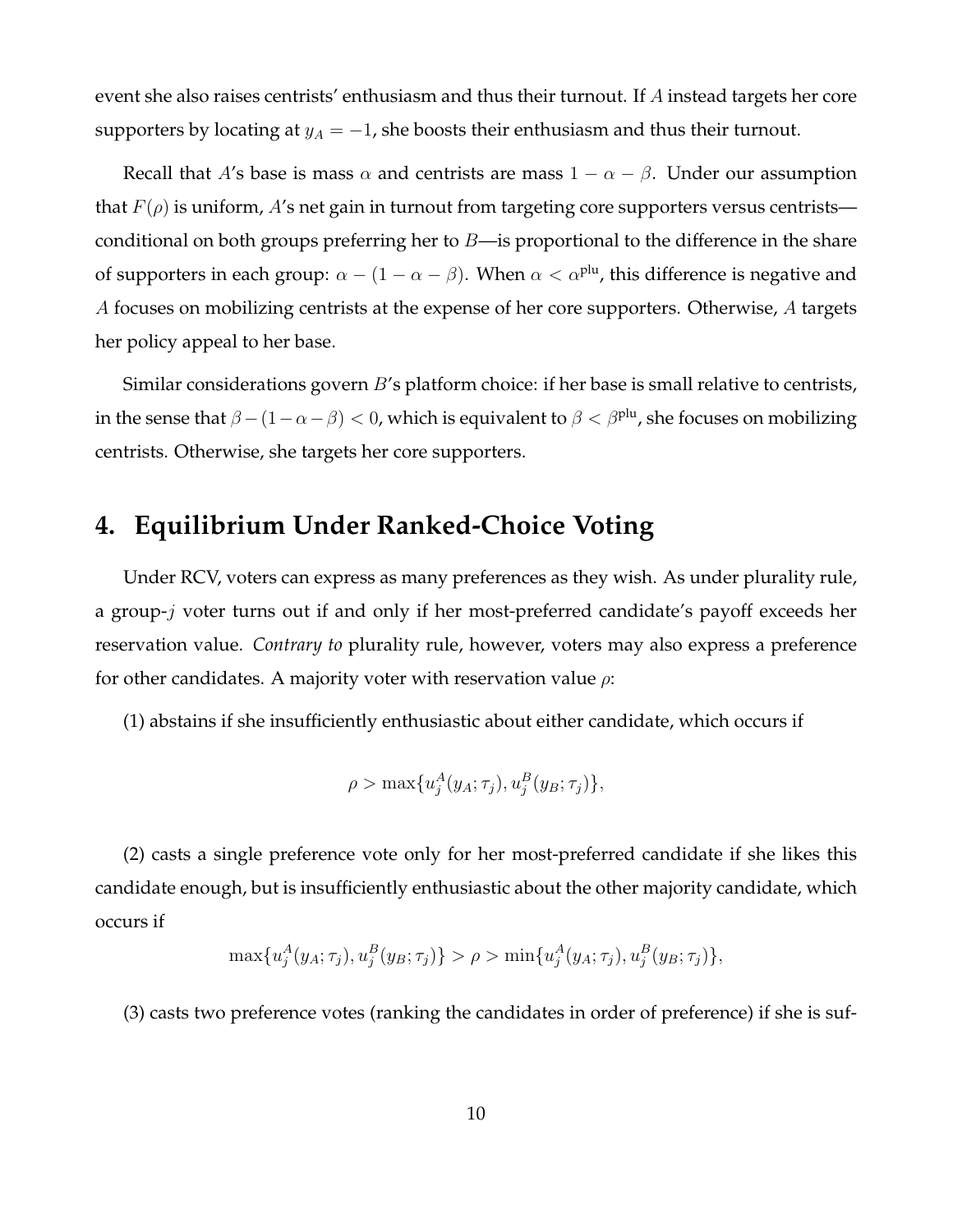event she also raises centrists' enthusiasm and thus their turnout. If A instead targets her core supporters by locating at  $y_A = -1$ , she boosts their enthusiasm and thus their turnout.

Recall that A's base is mass  $\alpha$  and centrists are mass  $1 - \alpha - \beta$ . Under our assumption that  $F(\rho)$  is uniform, A's net gain in turnout from targeting core supporters versus centrists conditional on both groups preferring her to  $B$ —is proportional to the difference in the share of supporters in each group:  $\alpha - (1 - \alpha - \beta)$ . When  $\alpha < \alpha^{\text{plu}}$ , this difference is negative and A focuses on mobilizing centrists at the expense of her core supporters. Otherwise, A targets her policy appeal to her base.

Similar considerations govern *B*'s platform choice: if her base is small relative to centrists, in the sense that  $\beta - (1 - \alpha - \beta) < 0$ , which is equivalent to  $\beta < \beta^{\text{plu}}$ , she focuses on mobilizing centrists. Otherwise, she targets her core supporters.

# **4. Equilibrium Under Ranked-Choice Voting**

Under RCV, voters can express as many preferences as they wish. As under plurality rule, a group-j voter turns out if and only if her most-preferred candidate's payoff exceeds her reservation value. *Contrary to* plurality rule, however, voters may also express a preference for other candidates. A majority voter with reservation value  $\rho$ :

(1) abstains if she insufficiently enthusiastic about either candidate, which occurs if

$$
\rho > \max\{u_j^A(y_A; \tau_j), u_j^B(y_B; \tau_j)\},\
$$

(2) casts a single preference vote only for her most-preferred candidate if she likes this candidate enough, but is insufficiently enthusiastic about the other majority candidate, which occurs if

$$
\max\{u_j^A(y_A; \tau_j), u_j^B(y_B; \tau_j)\} > \rho > \min\{u_j^A(y_A; \tau_j), u_j^B(y_B; \tau_j)\},
$$

(3) casts two preference votes (ranking the candidates in order of preference) if she is suf-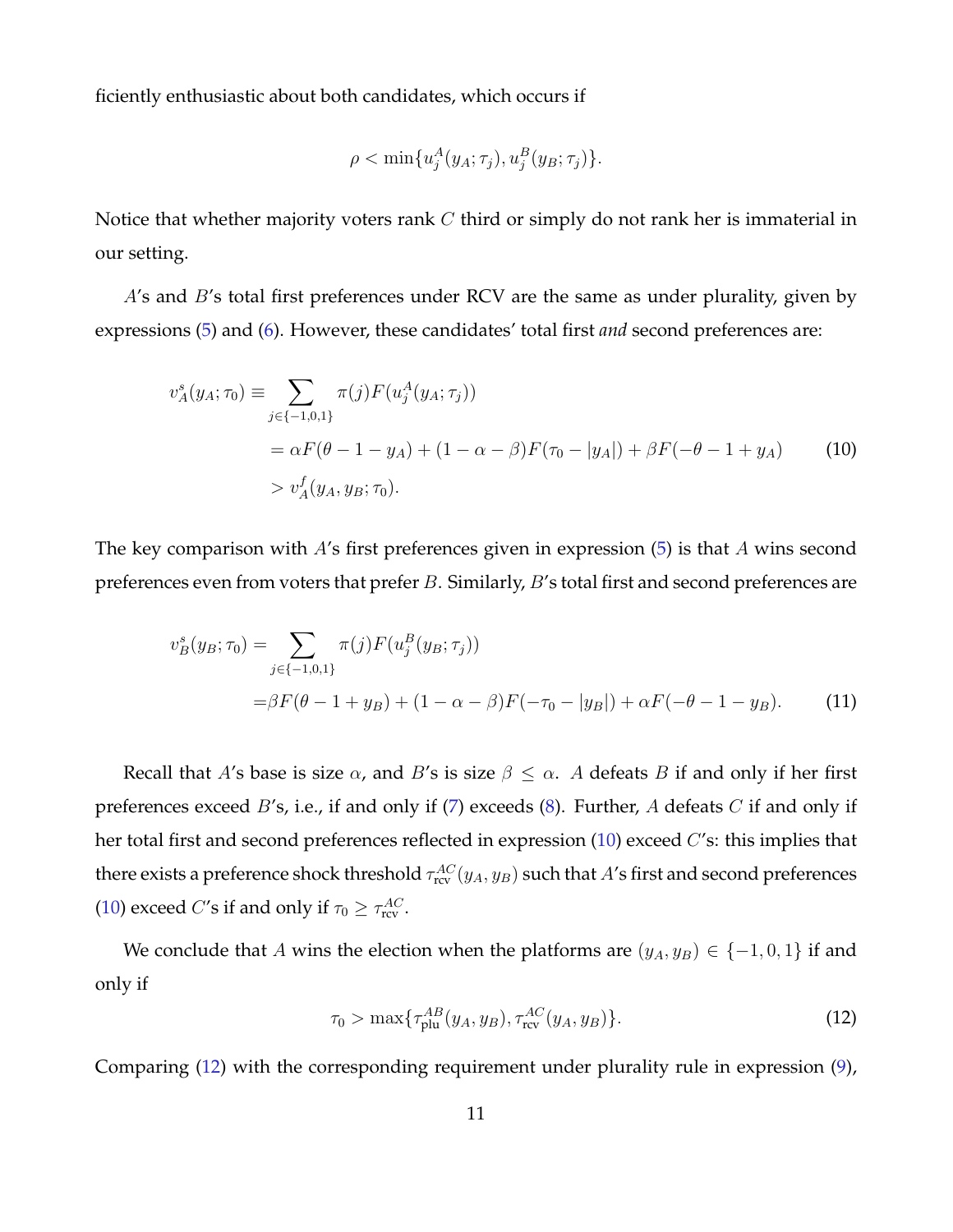ficiently enthusiastic about both candidates, which occurs if

<span id="page-11-0"></span>
$$
\rho < \min \{ u_j^A(y_A; \tau_j), u_j^B(y_B; \tau_j) \}.
$$

Notice that whether majority voters rank  $C$  third or simply do not rank her is immaterial in our setting.

A's and B's total first preferences under RCV are the same as under plurality, given by expressions [\(5\)](#page-8-1) and [\(6\)](#page-8-2). However, these candidates' total first *and* second preferences are:

$$
v_A^s(y_A; \tau_0) \equiv \sum_{j \in \{-1, 0, 1\}} \pi(j) F(u_j^A(y_A; \tau_j))
$$
  
=  $\alpha F(\theta - 1 - y_A) + (1 - \alpha - \beta) F(\tau_0 - |y_A|) + \beta F(-\theta - 1 + y_A)$  (10)  
>  $v_A^f(y_A, y_B; \tau_0)$ .

The key comparison with A's first preferences given in expression [\(5\)](#page-8-1) is that A wins second preferences even from voters that prefer B. Similarly, B's total first and second preferences are

$$
v_B^s(y_B; \tau_0) = \sum_{j \in \{-1, 0, 1\}} \pi(j) F(u_j^B(y_B; \tau_j))
$$
  
=  $\beta F(\theta - 1 + y_B) + (1 - \alpha - \beta) F(-\tau_0 - |y_B|) + \alpha F(-\theta - 1 - y_B).$  (11)

Recall that A's base is size  $\alpha$ , and B's is size  $\beta \leq \alpha$ . A defeats B if and only if her first preferences exceed  $B$ 's, i.e., if and only if  $(7)$  exceeds  $(8)$ . Further, A defeats C if and only if her total first and second preferences reflected in expression  $(10)$  exceed  $C$ 's: this implies that there exists a preference shock threshold  $\tau_{\rm rev}^{AC}(y_A,y_B)$  such that  $A'$ s first and second preferences [\(10\)](#page-11-0) exceed *C*'s if and only if  $\tau_0 \geq \tau_{\text{rev}}^{AC}$ .

We conclude that A wins the election when the platforms are  $(y_A, y_B) \in \{-1, 0, 1\}$  if and only if

<span id="page-11-1"></span>
$$
\tau_0 > \max\{\tau_{\text{plu}}^{AB}(y_A, y_B), \tau_{\text{rcv}}^{AC}(y_A, y_B)\}.
$$
 (12)

Comparing [\(12\)](#page-11-1) with the corresponding requirement under plurality rule in expression [\(9\)](#page-9-2),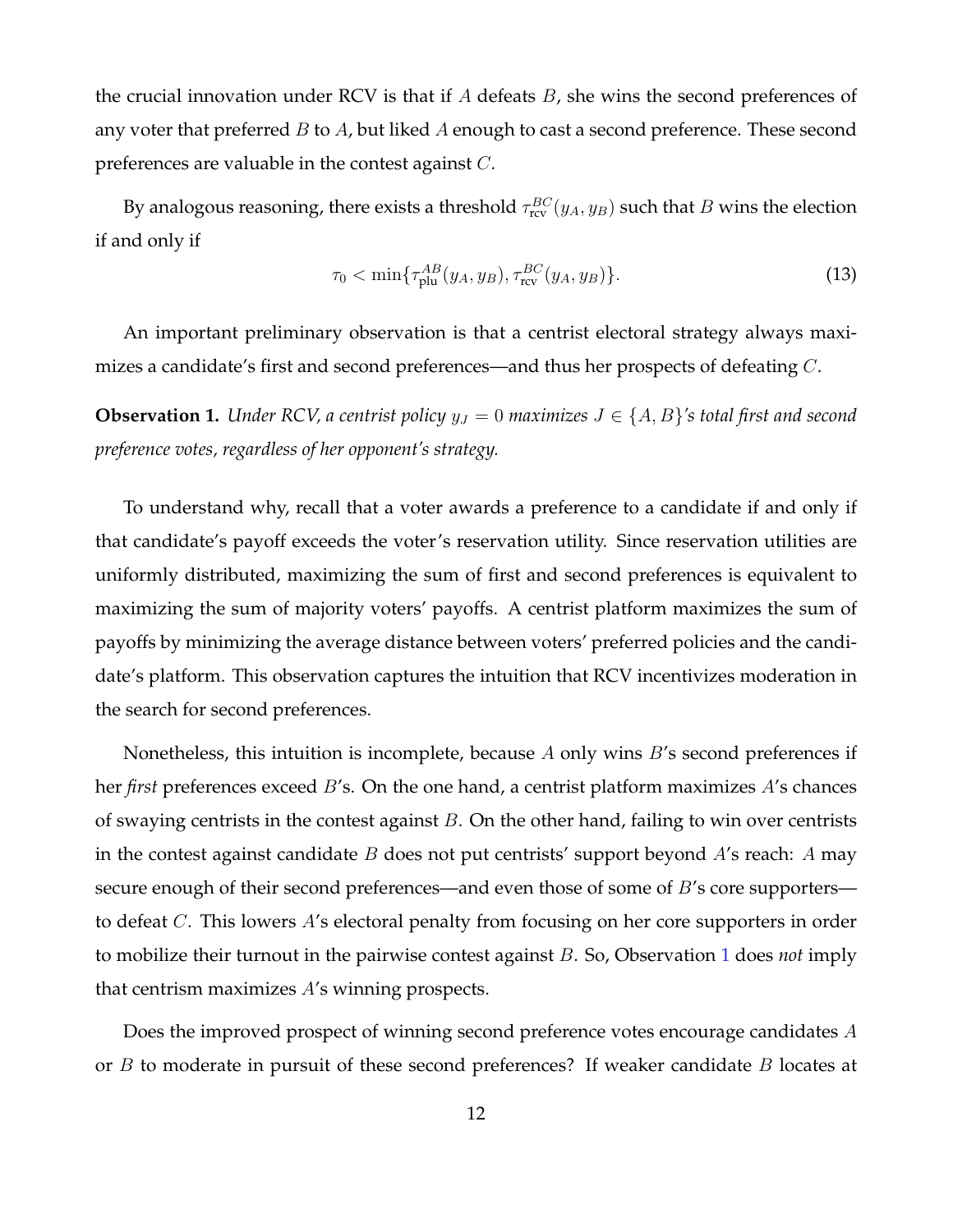the crucial innovation under RCV is that if A defeats  $B$ , she wins the second preferences of any voter that preferred  $B$  to  $A$ , but liked  $A$  enough to cast a second preference. These second preferences are valuable in the contest against C.

By analogous reasoning, there exists a threshold  $\tau_{\rm rcv}^{\mathit{BC}}(y_A, y_B)$  such that  $B$  wins the election if and only if

$$
\tau_0 < \min\{\tau_{\text{plu}}^{AB}(y_A, y_B), \tau_{\text{rcv}}^{BC}(y_A, y_B)\}.\tag{13}
$$

An important preliminary observation is that a centrist electoral strategy always maximizes a candidate's first and second preferences—and thus her prospects of defeating C.

<span id="page-12-0"></span>**Observation 1.** *Under RCV, a centrist policy*  $y_J = 0$  *maximizes*  $J \in \{A, B\}'$ *s total first and second preference votes, regardless of her opponent's strategy.*

To understand why, recall that a voter awards a preference to a candidate if and only if that candidate's payoff exceeds the voter's reservation utility. Since reservation utilities are uniformly distributed, maximizing the sum of first and second preferences is equivalent to maximizing the sum of majority voters' payoffs. A centrist platform maximizes the sum of payoffs by minimizing the average distance between voters' preferred policies and the candidate's platform. This observation captures the intuition that RCV incentivizes moderation in the search for second preferences.

Nonetheless, this intuition is incomplete, because  $A$  only wins  $B$ 's second preferences if her *first* preferences exceed B's. On the one hand, a centrist platform maximizes A's chances of swaying centrists in the contest against  $B$ . On the other hand, failing to win over centrists in the contest against candidate  $B$  does not put centrists' support beyond  $A$ 's reach:  $A$  may secure enough of their second preferences—and even those of some of B's core supporters to defeat C. This lowers A's electoral penalty from focusing on her core supporters in order to mobilize their turnout in the pairwise contest against B. So, Observation [1](#page-12-0) does *not* imply that centrism maximizes A's winning prospects.

Does the improved prospect of winning second preference votes encourage candidates A or  $B$  to moderate in pursuit of these second preferences? If weaker candidate  $B$  locates at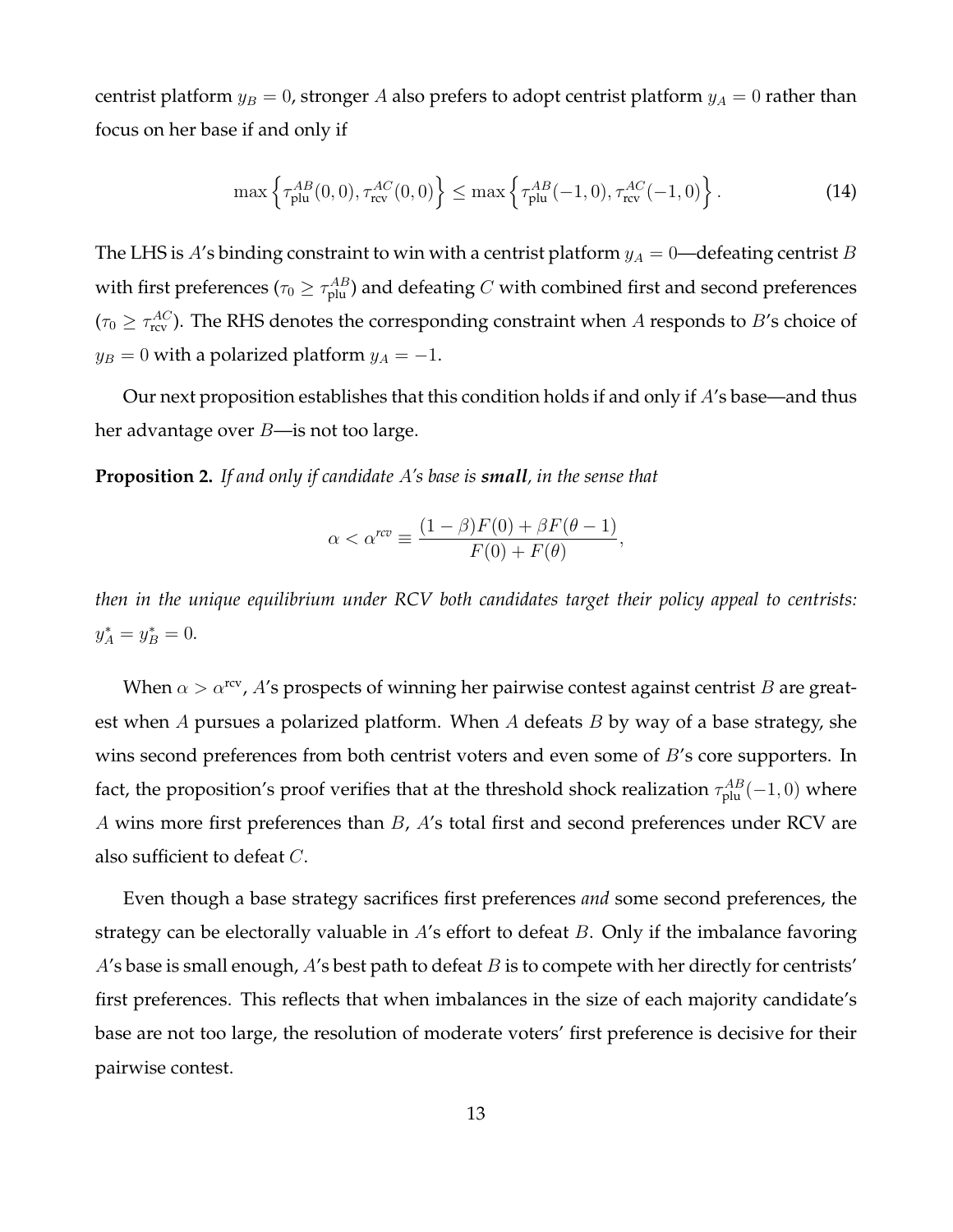centrist platform  $y_B = 0$ , stronger A also prefers to adopt centrist platform  $y_A = 0$  rather than focus on her base if and only if

$$
\max\left\{\tau_{\text{plu}}^{AB}(0,0),\tau_{\text{rcv}}^{AC}(0,0)\right\} \leq \max\left\{\tau_{\text{plu}}^{AB}(-1,0),\tau_{\text{rcv}}^{AC}(-1,0)\right\}.
$$
 (14)

The LHS is A's binding constraint to win with a centrist platform  $y_A = 0$ —defeating centrist B with first preferences ( $\tau_0 \geq \tau_{\rm plu}^{AB}$ ) and defeating  $C$  with combined first and second preferences  $(\tau_0 \geq \tau_\text{rev}^{AC})$ . The RHS denotes the corresponding constraint when A responds to B's choice of  $y_B = 0$  with a polarized platform  $y_A = -1$ .

Our next proposition establishes that this condition holds if and only if  $A$ 's base—and thus her advantage over  $B$ —is not too large.

<span id="page-13-0"></span>**Proposition 2.** *If and only if candidate* A*'s base is small, in the sense that*

$$
\alpha < \alpha^{rcv} \equiv \frac{(1-\beta)F(0) + \beta F(\theta - 1)}{F(0) + F(\theta)},
$$

*then in the unique equilibrium under RCV both candidates target their policy appeal to centrists:*  $y_A^* = y_B^* = 0.$ 

When  $\alpha > \alpha^{\text{rev}}$ , A's prospects of winning her pairwise contest against centrist B are greatest when  $A$  pursues a polarized platform. When  $A$  defeats  $B$  by way of a base strategy, she wins second preferences from both centrist voters and even some of  $B$ 's core supporters. In fact, the proposition's proof verifies that at the threshold shock realization  $\tau_{\rm plu}^{AB}(-1,0)$  where A wins more first preferences than B, A's total first and second preferences under RCV are also sufficient to defeat C.

Even though a base strategy sacrifices first preferences *and* some second preferences, the strategy can be electorally valuable in  $A$ 's effort to defeat  $B$ . Only if the imbalance favoring  $A$ 's base is small enough,  $A$ 's best path to defeat  $B$  is to compete with her directly for centrists' first preferences. This reflects that when imbalances in the size of each majority candidate's base are not too large, the resolution of moderate voters' first preference is decisive for their pairwise contest.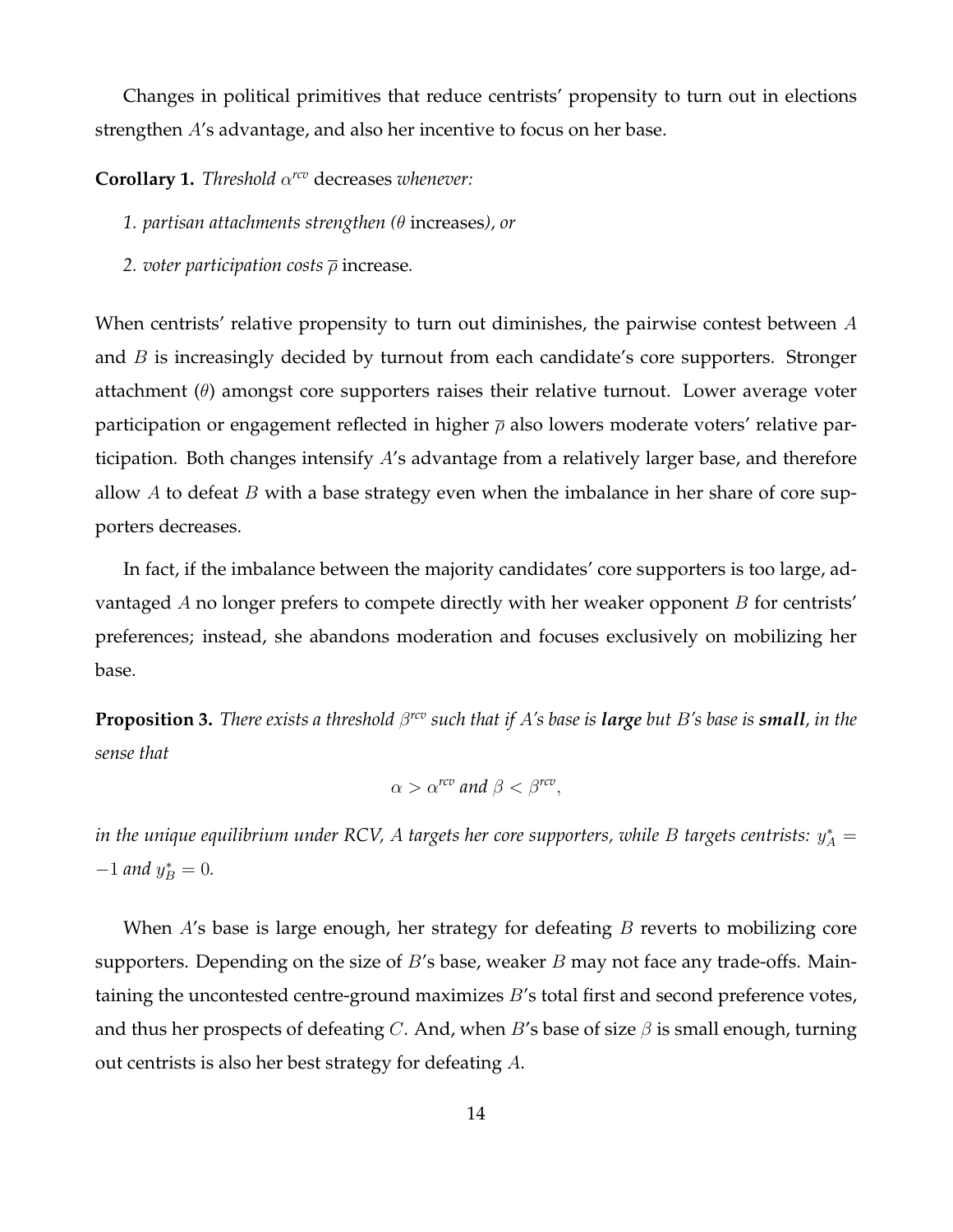Changes in political primitives that reduce centrists' propensity to turn out in elections strengthen A's advantage, and also her incentive to focus on her base.

**Corollary 1.** *Threshold* α *rcv* decreases *whenever:*

*1. partisan attachments strengthen (*θ increases*), or*

*2. voter participation costs* ρ increase*.*

When centrists' relative propensity to turn out diminishes, the pairwise contest between  $A$ and  $B$  is increasingly decided by turnout from each candidate's core supporters. Stronger attachment  $(\theta)$  amongst core supporters raises their relative turnout. Lower average voter participation or engagement reflected in higher  $\bar{\rho}$  also lowers moderate voters' relative participation. Both changes intensify A's advantage from a relatively larger base, and therefore allow A to defeat B with a base strategy even when the imbalance in her share of core supporters decreases.

In fact, if the imbalance between the majority candidates' core supporters is too large, advantaged  $A$  no longer prefers to compete directly with her weaker opponent  $B$  for centrists' preferences; instead, she abandons moderation and focuses exclusively on mobilizing her base.

<span id="page-14-0"></span>**Proposition 3.** *There exists a threshold* β *rcv such that if* A*'s base is large but* B*'s base is small, in the sense that*

$$
\alpha > \alpha^{rcv} \text{ and } \beta < \beta^{rcv},
$$

in the unique equilibrium under RCV,  $A$  targets her core supporters, while  $B$  targets centrists:  $y^*_A = \frac{1}{2}$  $-1$  *and*  $y_B^* = 0$ .

When  $A$ 's base is large enough, her strategy for defeating  $B$  reverts to mobilizing core supporters. Depending on the size of  $B$ 's base, weaker  $B$  may not face any trade-offs. Maintaining the uncontested centre-ground maximizes B's total first and second preference votes, and thus her prospects of defeating C. And, when B's base of size  $\beta$  is small enough, turning out centrists is also her best strategy for defeating A.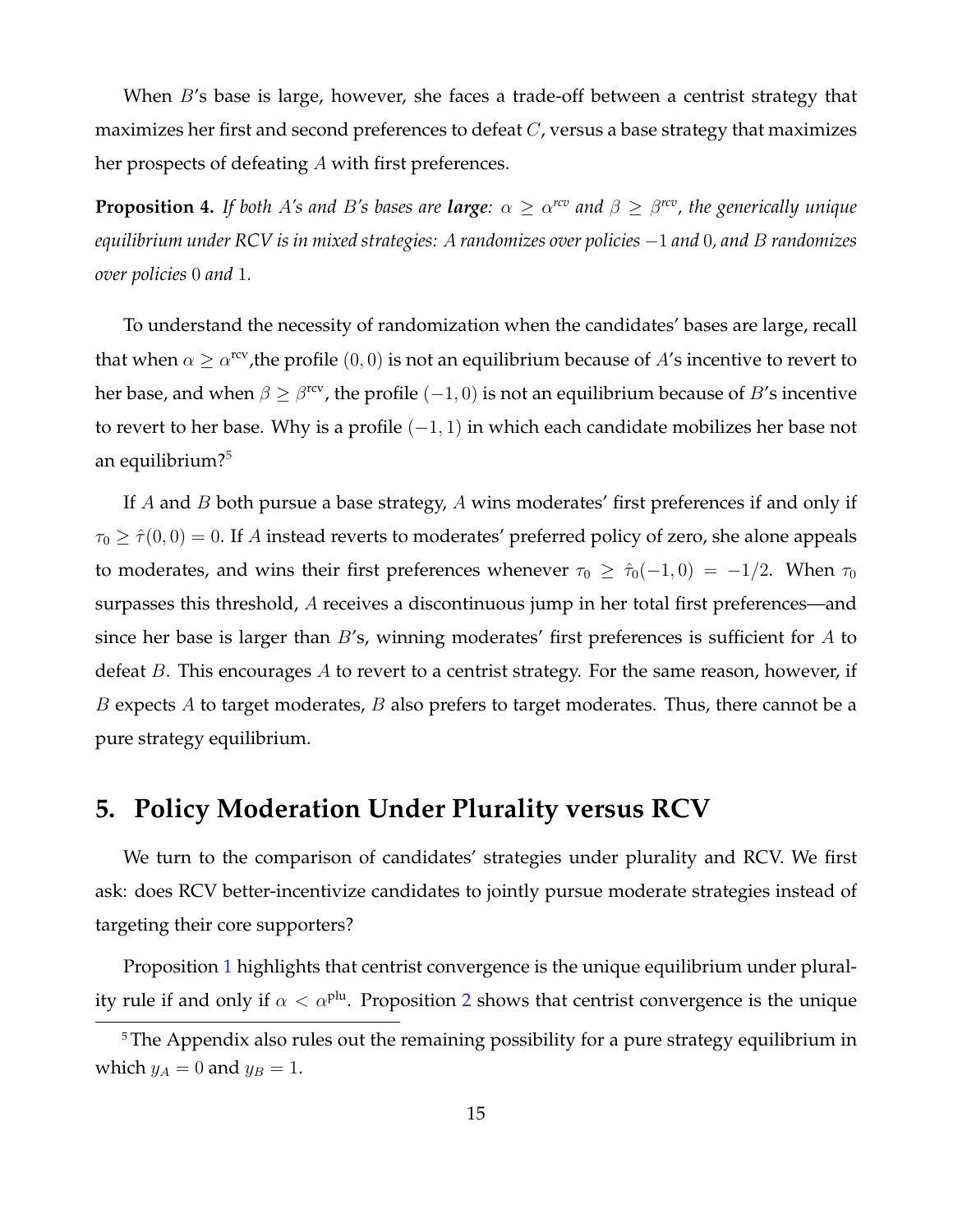When B's base is large, however, she faces a trade-off between a centrist strategy that maximizes her first and second preferences to defeat  $C$ , versus a base strategy that maximizes her prospects of defeating A with first preferences.

<span id="page-15-0"></span>**Proposition 4.** If both A's and B's bases are **large**:  $\alpha \geq \alpha^{rcv}$  and  $\beta \geq \beta^{rcv}$ , the generically unique *equilibrium under RCV is in mixed strategies:* A *randomizes over policies* −1 *and* 0*, and* B *randomizes over policies* 0 *and* 1*.*

To understand the necessity of randomization when the candidates' bases are large, recall that when  $\alpha \geq \alpha^{\text{rcv}}$ , the profile  $(0,0)$  is not an equilibrium because of A's incentive to revert to her base, and when  $\beta \geq \beta^\text{rev}$ , the profile  $(-1,0)$  is not an equilibrium because of  $B'$ s incentive to revert to her base. Why is a profile  $(-1, 1)$  in which each candidate mobilizes her base not an equilibrium?[5](#page-0-0)

If A and B both pursue a base strategy, A wins moderates' first preferences if and only if  $\tau_0 \geq \hat{\tau}(0,0) = 0$ . If A instead reverts to moderates' preferred policy of zero, she alone appeals to moderates, and wins their first preferences whenever  $\tau_0 \geq \hat{\tau}_0(-1,0) = -1/2$ . When  $\tau_0$ surpasses this threshold, A receives a discontinuous jump in her total first preferences—and since her base is larger than  $B$ 's, winning moderates' first preferences is sufficient for  $A$  to defeat  $B$ . This encourages  $A$  to revert to a centrist strategy. For the same reason, however, if  $B$  expects  $A$  to target moderates,  $B$  also prefers to target moderates. Thus, there cannot be a pure strategy equilibrium.

# **5. Policy Moderation Under Plurality versus RCV**

We turn to the comparison of candidates' strategies under plurality and RCV. We first ask: does RCV better-incentivize candidates to jointly pursue moderate strategies instead of targeting their core supporters?

Proposition [1](#page-9-0) highlights that centrist convergence is the unique equilibrium under plurality rule if and only if  $\alpha < \alpha^{plu}$ . Proposition [2](#page-13-0) shows that centrist convergence is the unique

<sup>&</sup>lt;sup>5</sup> The Appendix also rules out the remaining possibility for a pure strategy equilibrium in which  $y_A = 0$  and  $y_B = 1$ .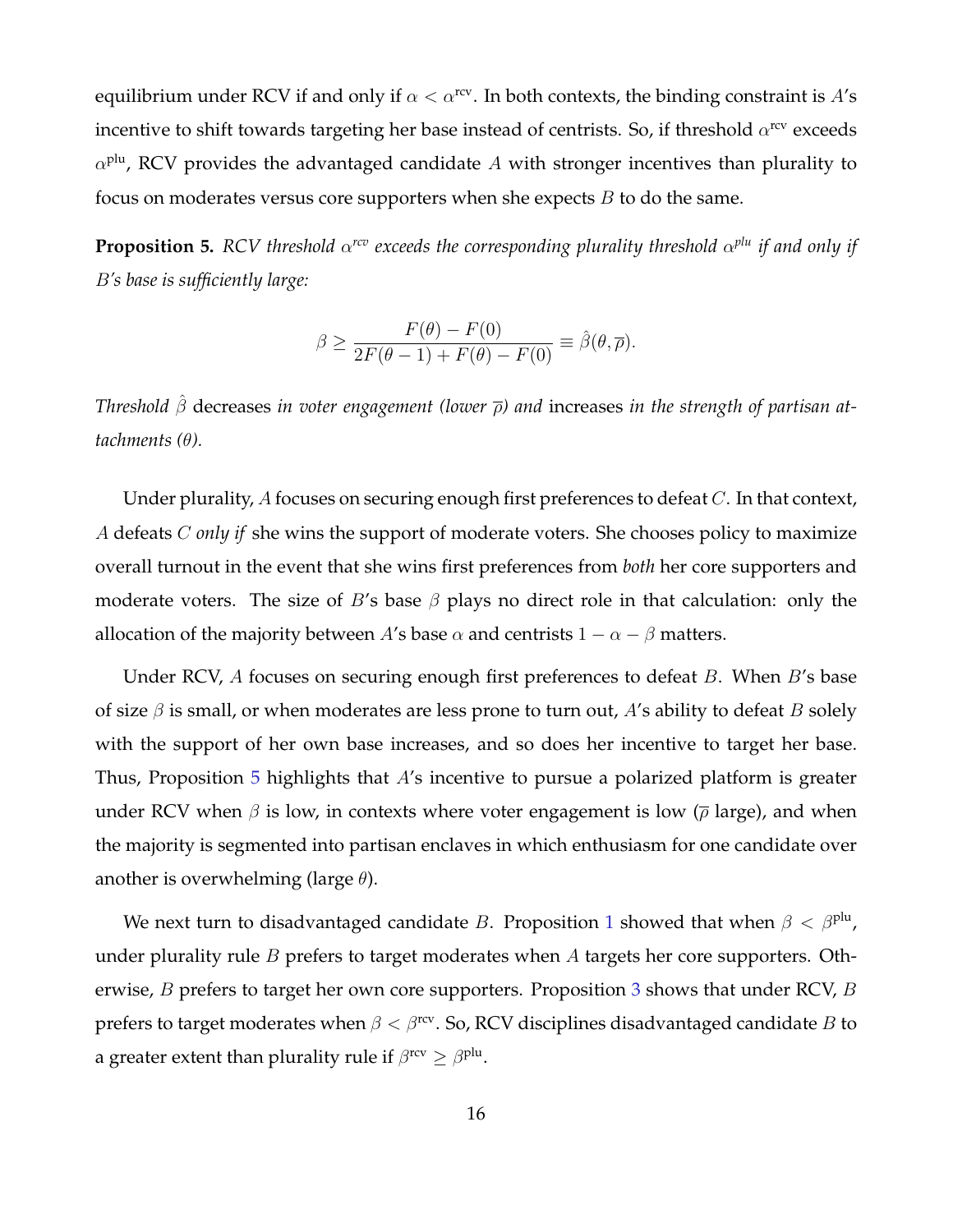equilibrium under RCV if and only if  $\alpha < \alpha^{\text{rev}}$ . In both contexts, the binding constraint is A's incentive to shift towards targeting her base instead of centrists. So, if threshold  $\alpha^{\rm rev}$  exceeds  $\alpha^{\rm plu}$ , RCV provides the advantaged candidate  $A$  with stronger incentives than plurality to focus on moderates versus core supporters when she expects  $B$  to do the same.

<span id="page-16-0"></span>**Proposition 5.** RCV threshold  $\alpha^{rcv}$  exceeds the corresponding plurality threshold  $\alpha^{plu}$  if and only if B*'s base is sufficiently large:*

$$
\beta \ge \frac{F(\theta) - F(0)}{2F(\theta - 1) + F(\theta) - F(0)} \equiv \hat{\beta}(\theta, \overline{\rho}).
$$

*Threshold* βˆ decreases *in voter engagement (lower* ρ*) and* increases *in the strength of partisan attachments (*θ*).*

Under plurality, A focuses on securing enough first preferences to defeat C. In that context, A defeats C *only if* she wins the support of moderate voters. She chooses policy to maximize overall turnout in the event that she wins first preferences from *both* her core supporters and moderate voters. The size of B's base  $\beta$  plays no direct role in that calculation: only the allocation of the majority between A's base  $\alpha$  and centrists  $1 - \alpha - \beta$  matters.

Under RCV, A focuses on securing enough first preferences to defeat B. When B's base of size  $\beta$  is small, or when moderates are less prone to turn out, A's ability to defeat B solely with the support of her own base increases, and so does her incentive to target her base. Thus, Proposition [5](#page-16-0) highlights that A's incentive to pursue a polarized platform is greater under RCV when  $\beta$  is low, in contexts where voter engagement is low ( $\bar{\rho}$  large), and when the majority is segmented into partisan enclaves in which enthusiasm for one candidate over another is overwhelming (large  $\theta$ ).

We next turn to disadvantaged candidate B. Proposition [1](#page-9-0) showed that when  $\beta < \beta^{\text{plu}}$ , under plurality rule B prefers to target moderates when A targets her core supporters. Otherwise, *B* prefers to target her own core supporters. Proposition [3](#page-14-0) shows that under RCV, *B* prefers to target moderates when  $\beta < \beta^{\text{rev}}$ . So, RCV disciplines disadvantaged candidate B to a greater extent than plurality rule if  $\beta^{\rm rev} \ge \beta^{\rm plu}.$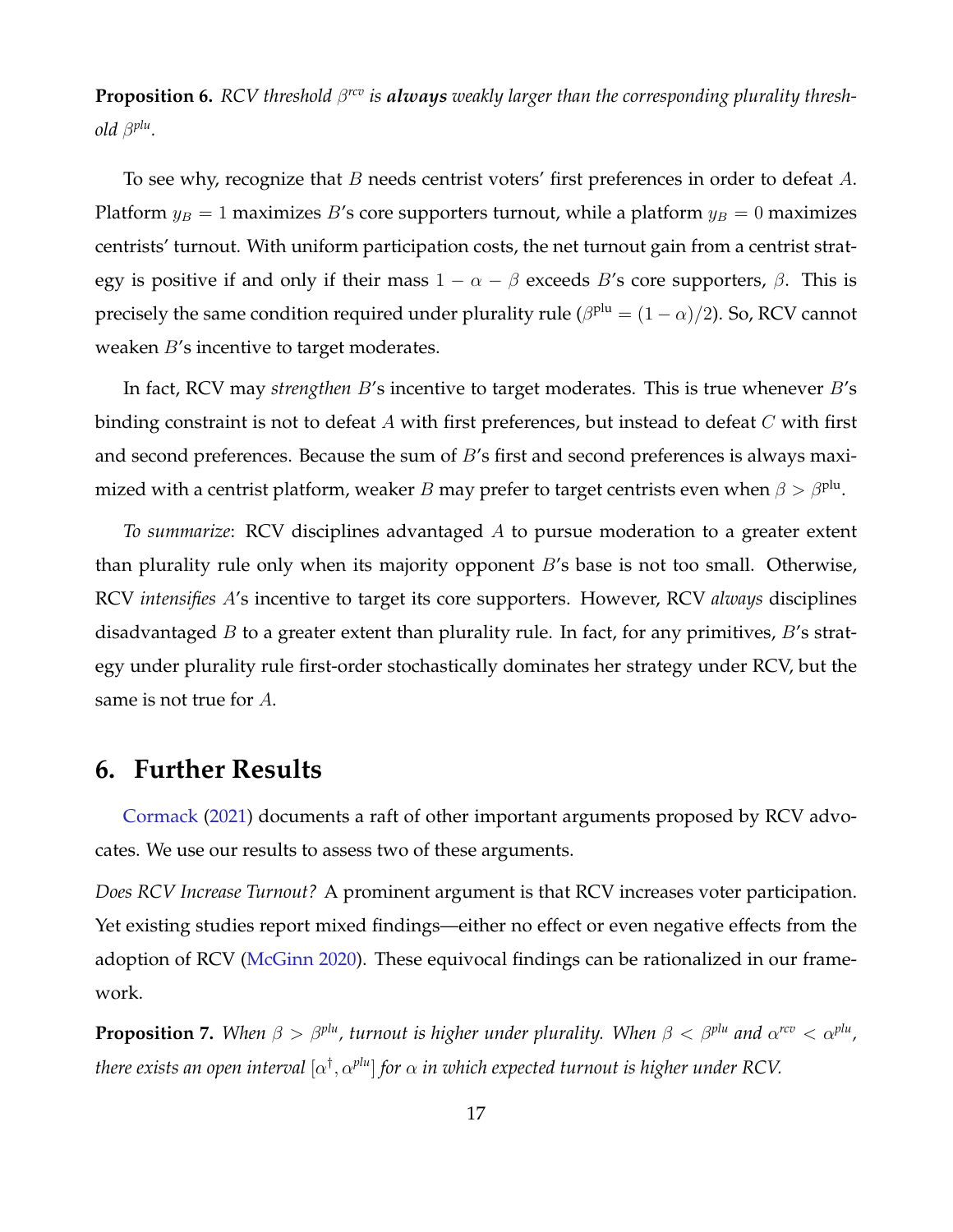<span id="page-17-0"></span>**Proposition 6.** RCV threshold  $\beta^{rev}$  is always weakly larger than the corresponding plurality thresh*old* β *plu .*

To see why, recognize that  $B$  needs centrist voters' first preferences in order to defeat  $A$ . Platform  $y_B = 1$  maximizes B's core supporters turnout, while a platform  $y_B = 0$  maximizes centrists' turnout. With uniform participation costs, the net turnout gain from a centrist strategy is positive if and only if their mass  $1 - \alpha - \beta$  exceeds B's core supporters,  $\beta$ . This is precisely the same condition required under plurality rule ( $\beta^{\rm plu}=(1-\alpha)/2$ ). So, RCV cannot weaken *B*'s incentive to target moderates.

In fact, RCV may *strengthen* B's incentive to target moderates. This is true whenever B's binding constraint is not to defeat A with first preferences, but instead to defeat  $C$  with first and second preferences. Because the sum of B's first and second preferences is always maximized with a centrist platform, weaker  $B$  may prefer to target centrists even when  $\beta>\beta^{\mathrm{plu}}.$ 

*To summarize*: RCV disciplines advantaged A to pursue moderation to a greater extent than plurality rule only when its majority opponent B's base is not too small. Otherwise, RCV *intensifies* A's incentive to target its core supporters. However, RCV *always* disciplines disadvantaged  $B$  to a greater extent than plurality rule. In fact, for any primitives,  $B$ 's strategy under plurality rule first-order stochastically dominates her strategy under RCV, but the same is not true for A.

### **6. Further Results**

[Cormack](#page-20-1) [\(2021\)](#page-20-1) documents a raft of other important arguments proposed by RCV advocates. We use our results to assess two of these arguments.

*Does RCV Increase Turnout?* A prominent argument is that RCV increases voter participation. Yet existing studies report mixed findings—either no effect or even negative effects from the adoption of RCV [\(McGinn](#page-21-10) [2020\)](#page-21-10). These equivocal findings can be rationalized in our framework.

<span id="page-17-1"></span>**Proposition 7.** When  $\beta > \beta^{plu}$ , turnout is higher under plurality. When  $\beta < \beta^{plu}$  and  $\alpha^{rcv} < \alpha^{plu}$ , there exists an open interval  $[\alpha^\dagger,\alpha^{plu}]$  for  $\alpha$  in which expected turnout is higher under RCV.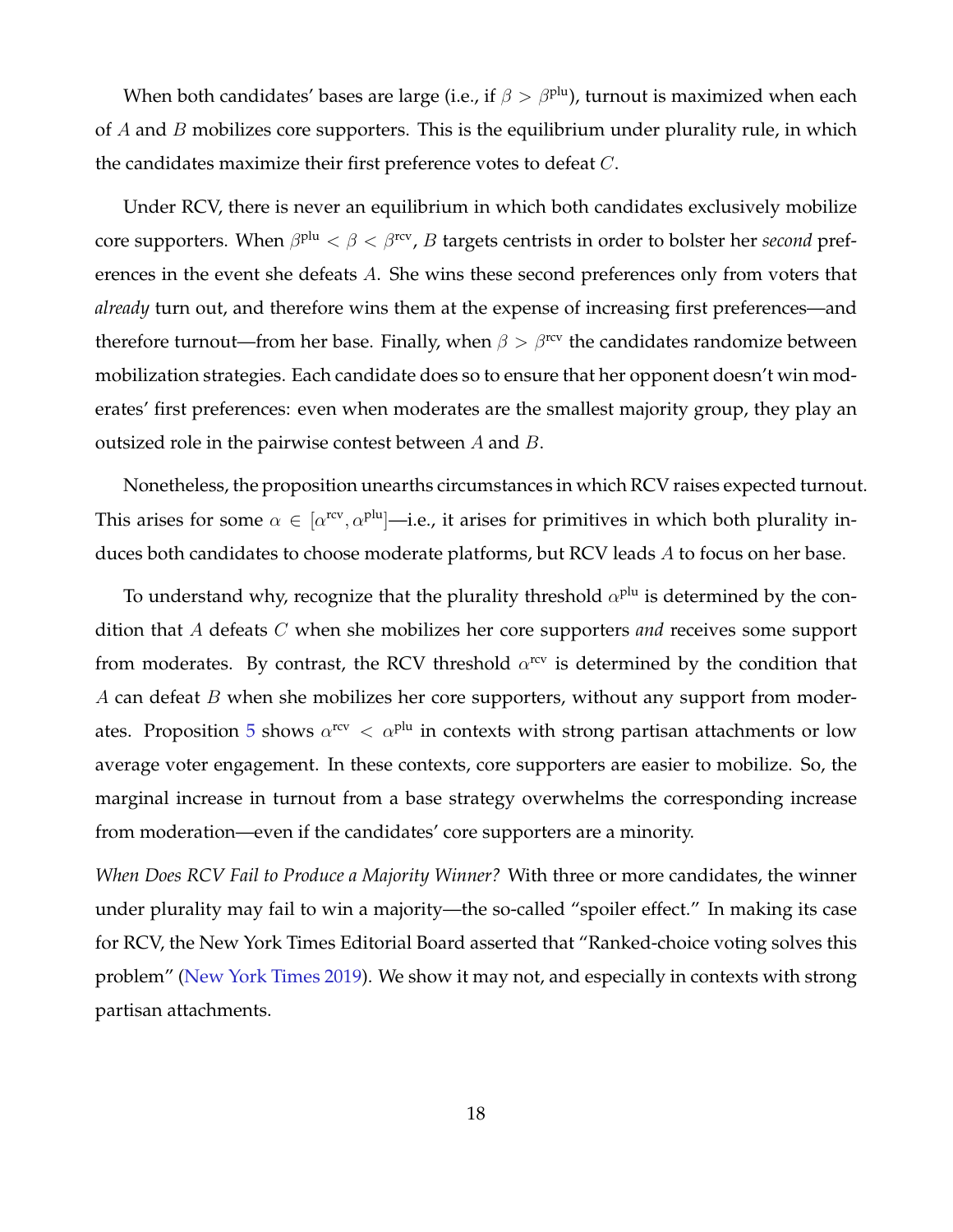When both candidates' bases are large (i.e., if  $\beta > \beta^{plu}$ ), turnout is maximized when each of  $A$  and  $B$  mobilizes core supporters. This is the equilibrium under plurality rule, in which the candidates maximize their first preference votes to defeat C.

Under RCV, there is never an equilibrium in which both candidates exclusively mobilize core supporters. When  $\beta^{\rm plu} < \beta < \beta^{\rm rcv}$ ,  $B$  targets centrists in order to bolster her *second* preferences in the event she defeats A. She wins these second preferences only from voters that *already* turn out, and therefore wins them at the expense of increasing first preferences—and therefore turnout—from her base. Finally, when  $\beta > \beta^{rev}$  the candidates randomize between mobilization strategies. Each candidate does so to ensure that her opponent doesn't win moderates' first preferences: even when moderates are the smallest majority group, they play an outsized role in the pairwise contest between  $A$  and  $B$ .

Nonetheless, the proposition unearths circumstances in which RCV raises expected turnout. This arises for some  $\alpha \in [\alpha^{\rm rev}, \alpha^{\rm plu}]$ —i.e., it arises for primitives in which both plurality induces both candidates to choose moderate platforms, but RCV leads A to focus on her base.

To understand why, recognize that the plurality threshold  $\alpha^{\text{plu}}$  is determined by the condition that A defeats C when she mobilizes her core supporters *and* receives some support from moderates. By contrast, the RCV threshold  $\alpha^{\rm rev}$  is determined by the condition that A can defeat  $B$  when she mobilizes her core supporters, without any support from moder-ates. Proposition [5](#page-16-0) shows  $\alpha^{\text{rev}} < \alpha^{\text{plu}}$  in contexts with strong partisan attachments or low average voter engagement. In these contexts, core supporters are easier to mobilize. So, the marginal increase in turnout from a base strategy overwhelms the corresponding increase from moderation—even if the candidates' core supporters are a minority.

*When Does RCV Fail to Produce a Majority Winner?* With three or more candidates, the winner under plurality may fail to win a majority—the so-called "spoiler effect." In making its case for RCV, the New York Times Editorial Board asserted that "Ranked-choice voting solves this problem" [\(New York Times](#page-21-0) [2019\)](#page-21-0). We show it may not, and especially in contexts with strong partisan attachments.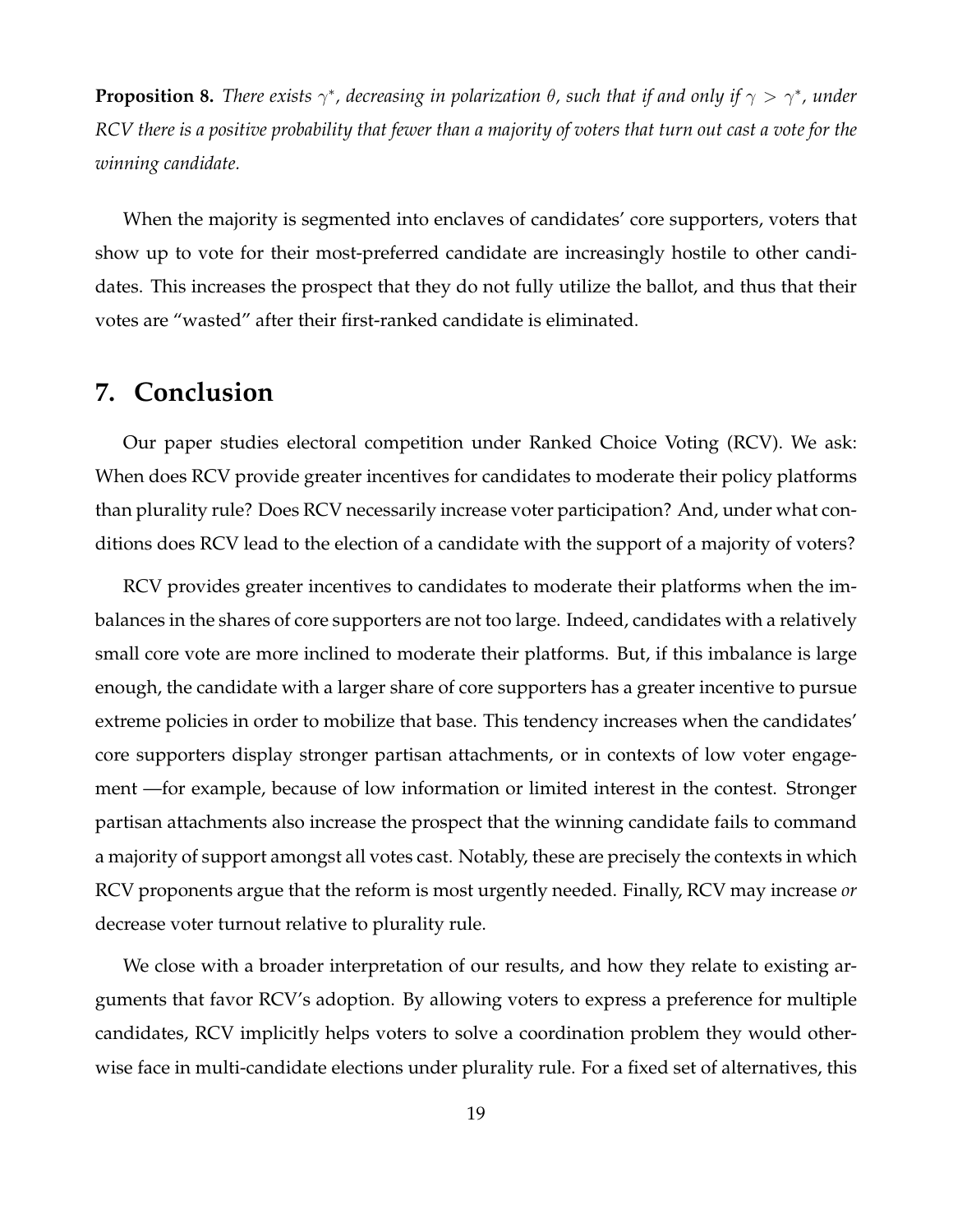<span id="page-19-0"></span>**Proposition 8.** *There exists*  $\gamma^*$ , decreasing in polarization  $\theta$ , such that if and only if  $\gamma > \gamma^*$ , under *RCV there is a positive probability that fewer than a majority of voters that turn out cast a vote for the winning candidate.*

When the majority is segmented into enclaves of candidates' core supporters, voters that show up to vote for their most-preferred candidate are increasingly hostile to other candidates. This increases the prospect that they do not fully utilize the ballot, and thus that their votes are "wasted" after their first-ranked candidate is eliminated.

## **7. Conclusion**

Our paper studies electoral competition under Ranked Choice Voting (RCV). We ask: When does RCV provide greater incentives for candidates to moderate their policy platforms than plurality rule? Does RCV necessarily increase voter participation? And, under what conditions does RCV lead to the election of a candidate with the support of a majority of voters?

RCV provides greater incentives to candidates to moderate their platforms when the imbalances in the shares of core supporters are not too large. Indeed, candidates with a relatively small core vote are more inclined to moderate their platforms. But, if this imbalance is large enough, the candidate with a larger share of core supporters has a greater incentive to pursue extreme policies in order to mobilize that base. This tendency increases when the candidates' core supporters display stronger partisan attachments, or in contexts of low voter engagement —for example, because of low information or limited interest in the contest. Stronger partisan attachments also increase the prospect that the winning candidate fails to command a majority of support amongst all votes cast. Notably, these are precisely the contexts in which RCV proponents argue that the reform is most urgently needed. Finally, RCV may increase *or* decrease voter turnout relative to plurality rule.

We close with a broader interpretation of our results, and how they relate to existing arguments that favor RCV's adoption. By allowing voters to express a preference for multiple candidates, RCV implicitly helps voters to solve a coordination problem they would otherwise face in multi-candidate elections under plurality rule. For a fixed set of alternatives, this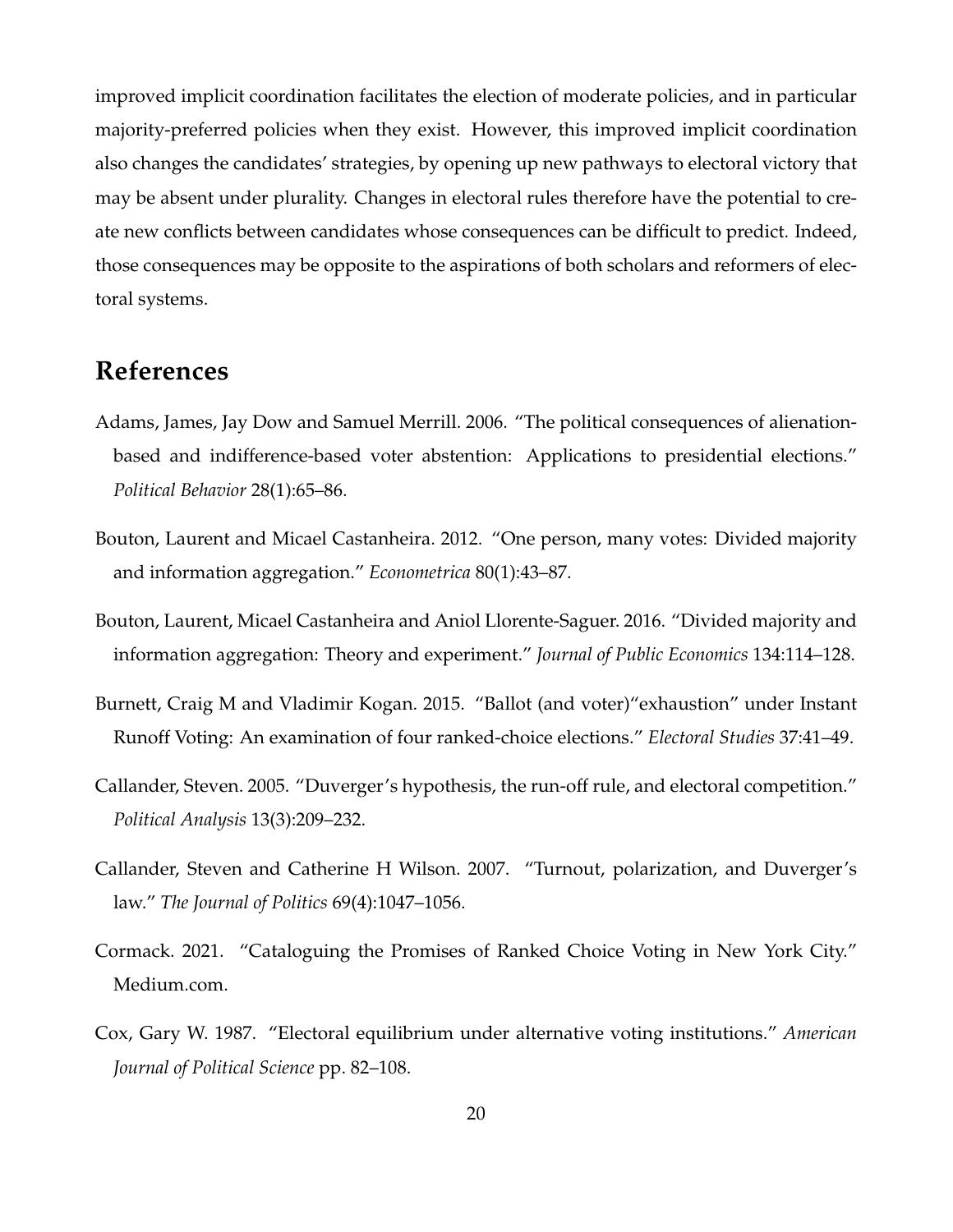improved implicit coordination facilitates the election of moderate policies, and in particular majority-preferred policies when they exist. However, this improved implicit coordination also changes the candidates' strategies, by opening up new pathways to electoral victory that may be absent under plurality. Changes in electoral rules therefore have the potential to create new conflicts between candidates whose consequences can be difficult to predict. Indeed, those consequences may be opposite to the aspirations of both scholars and reformers of electoral systems.

# **References**

- <span id="page-20-5"></span>Adams, James, Jay Dow and Samuel Merrill. 2006. "The political consequences of alienationbased and indifference-based voter abstention: Applications to presidential elections." *Political Behavior* 28(1):65–86.
- <span id="page-20-2"></span>Bouton, Laurent and Micael Castanheira. 2012. "One person, many votes: Divided majority and information aggregation." *Econometrica* 80(1):43–87.
- <span id="page-20-3"></span>Bouton, Laurent, Micael Castanheira and Aniol Llorente-Saguer. 2016. "Divided majority and information aggregation: Theory and experiment." *Journal of Public Economics* 134:114–128.
- <span id="page-20-6"></span>Burnett, Craig M and Vladimir Kogan. 2015. "Ballot (and voter)"exhaustion" under Instant Runoff Voting: An examination of four ranked-choice elections." *Electoral Studies* 37:41–49.
- <span id="page-20-0"></span>Callander, Steven. 2005. "Duverger's hypothesis, the run-off rule, and electoral competition." *Political Analysis* 13(3):209–232.
- <span id="page-20-4"></span>Callander, Steven and Catherine H Wilson. 2007. "Turnout, polarization, and Duverger's law." *The Journal of Politics* 69(4):1047–1056.
- <span id="page-20-1"></span>Cormack. 2021. "Cataloguing the Promises of Ranked Choice Voting in New York City." Medium.com.
- <span id="page-20-7"></span>Cox, Gary W. 1987. "Electoral equilibrium under alternative voting institutions." *American Journal of Political Science* pp. 82–108.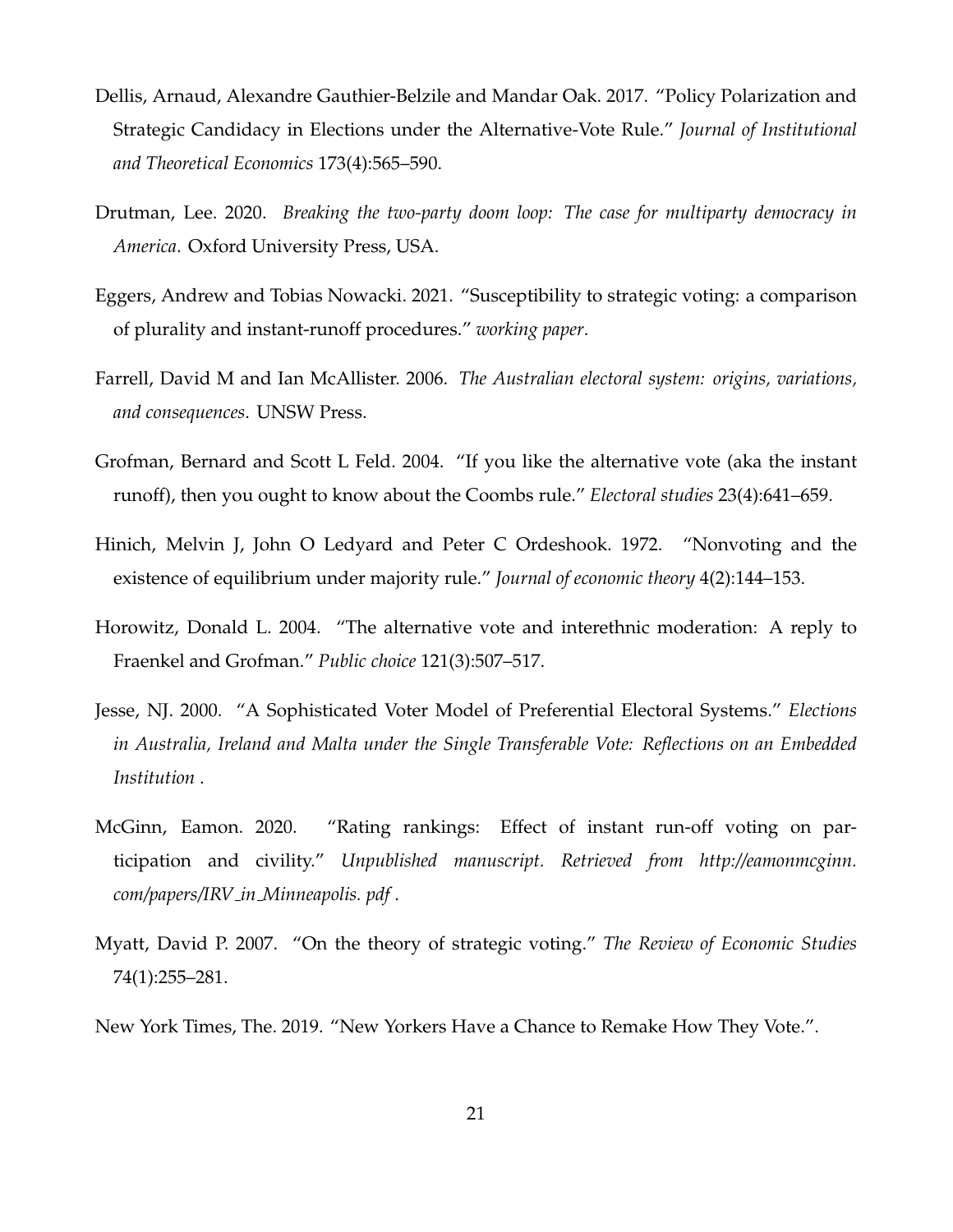- <span id="page-21-1"></span>Dellis, Arnaud, Alexandre Gauthier-Belzile and Mandar Oak. 2017. "Policy Polarization and Strategic Candidacy in Elections under the Alternative-Vote Rule." *Journal of Institutional and Theoretical Economics* 173(4):565–590.
- <span id="page-21-4"></span>Drutman, Lee. 2020. *Breaking the two-party doom loop: The case for multiparty democracy in America*. Oxford University Press, USA.
- <span id="page-21-2"></span>Eggers, Andrew and Tobias Nowacki. 2021. "Susceptibility to strategic voting: a comparison of plurality and instant-runoff procedures." *working paper*.
- <span id="page-21-9"></span>Farrell, David M and Ian McAllister. 2006. *The Australian electoral system: origins, variations, and consequences*. UNSW Press.
- <span id="page-21-7"></span>Grofman, Bernard and Scott L Feld. 2004. "If you like the alternative vote (aka the instant runoff), then you ought to know about the Coombs rule." *Electoral studies* 23(4):641–659.
- <span id="page-21-6"></span>Hinich, Melvin J, John O Ledyard and Peter C Ordeshook. 1972. "Nonvoting and the existence of equilibrium under majority rule." *Journal of economic theory* 4(2):144–153.
- <span id="page-21-3"></span>Horowitz, Donald L. 2004. "The alternative vote and interethnic moderation: A reply to Fraenkel and Grofman." *Public choice* 121(3):507–517.
- <span id="page-21-8"></span>Jesse, NJ. 2000. "A Sophisticated Voter Model of Preferential Electoral Systems." *Elections in Australia, Ireland and Malta under the Single Transferable Vote: Reflections on an Embedded Institution* .
- <span id="page-21-10"></span>McGinn, Eamon. 2020. "Rating rankings: Effect of instant run-off voting on participation and civility." *Unpublished manuscript. Retrieved from http://eamonmcginn. com/papers/IRV in Minneapolis. pdf* .
- <span id="page-21-5"></span>Myatt, David P. 2007. "On the theory of strategic voting." *The Review of Economic Studies* 74(1):255–281.
- <span id="page-21-0"></span>New York Times, The. 2019. "New Yorkers Have a Chance to Remake How They Vote.".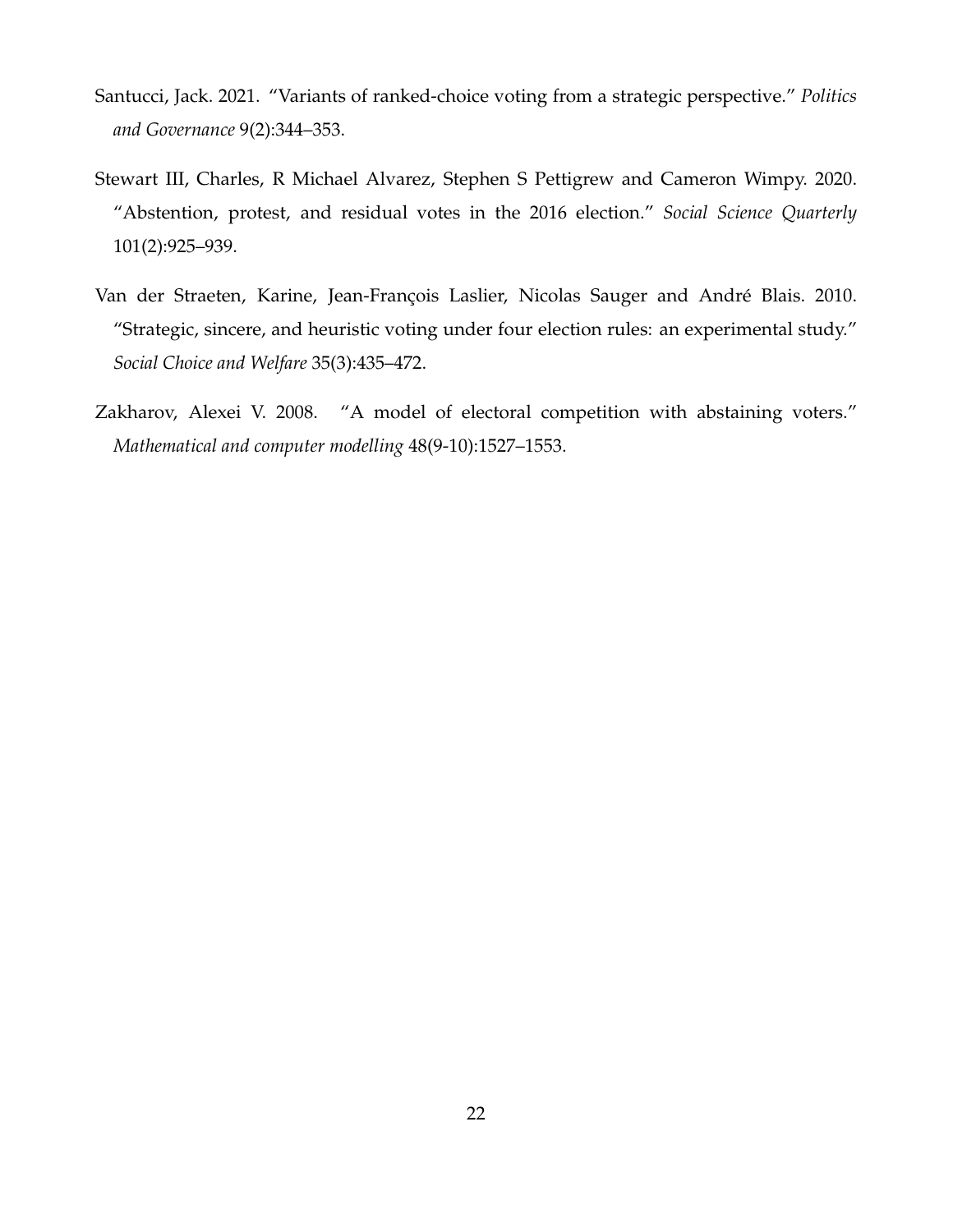- <span id="page-22-0"></span>Santucci, Jack. 2021. "Variants of ranked-choice voting from a strategic perspective." *Politics and Governance* 9(2):344–353.
- <span id="page-22-2"></span>Stewart III, Charles, R Michael Alvarez, Stephen S Pettigrew and Cameron Wimpy. 2020. "Abstention, protest, and residual votes in the 2016 election." *Social Science Quarterly* 101(2):925–939.
- <span id="page-22-3"></span>Van der Straeten, Karine, Jean-François Laslier, Nicolas Sauger and André Blais. 2010. "Strategic, sincere, and heuristic voting under four election rules: an experimental study." *Social Choice and Welfare* 35(3):435–472.
- <span id="page-22-1"></span>Zakharov, Alexei V. 2008. "A model of electoral competition with abstaining voters." *Mathematical and computer modelling* 48(9-10):1527–1553.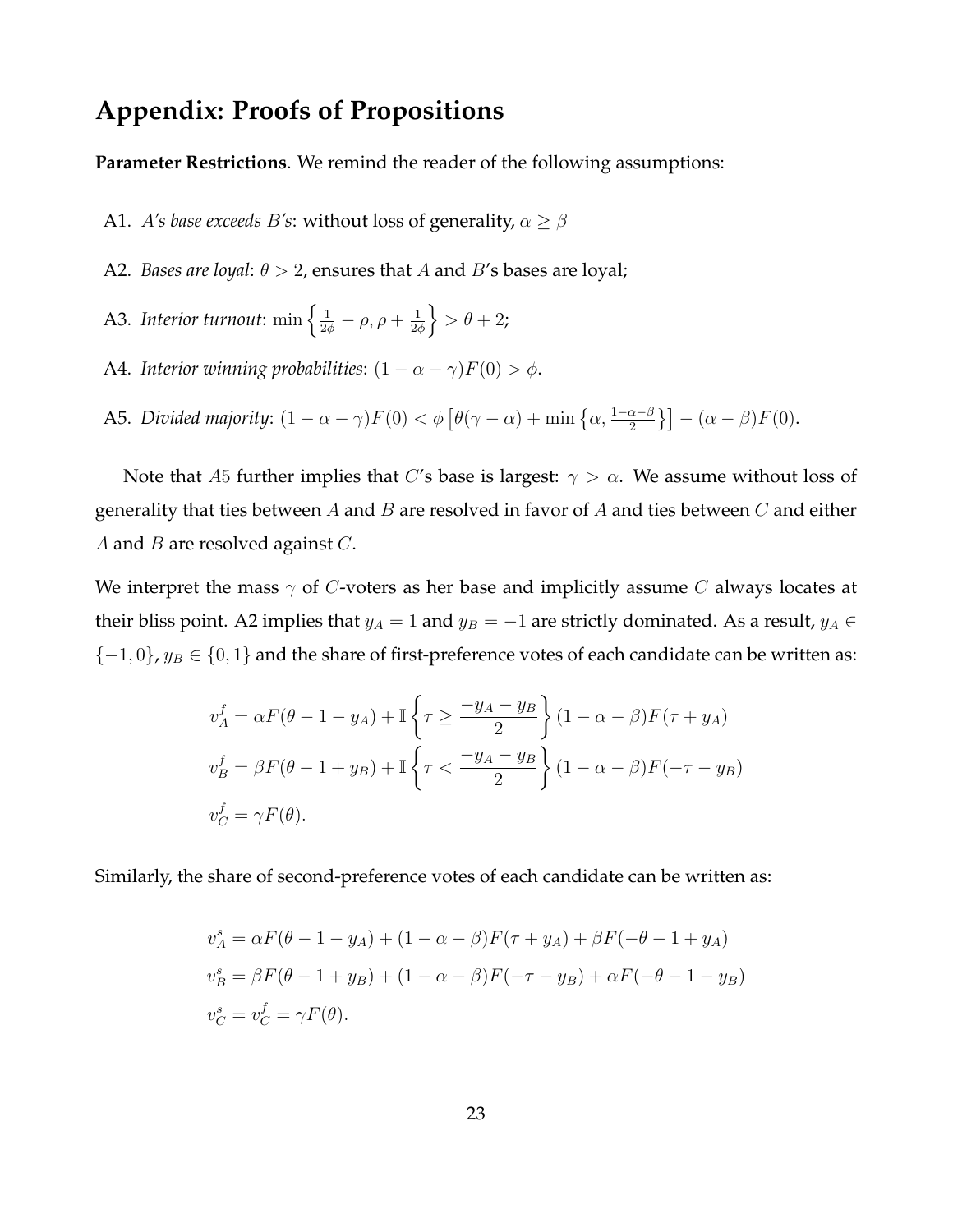# **Appendix: Proofs of Propositions**

**Parameter Restrictions**. We remind the reader of the following assumptions:

- A1. *A's base exceeds B's*: without loss of generality,  $\alpha \geq \beta$
- A2. *Bases are loyal*:  $\theta > 2$ , ensures that A and B's bases are loyal;
- A3. *Interior turnout*:  $\min \left\{ \frac{1}{2\phi} \overline{\rho}, \overline{\rho} + \frac{1}{2\phi} \right\}$  $\frac{1}{2\phi}\Big\} > \theta + 2;$
- A4. *Interior winning probabilities*:  $(1 \alpha \gamma)F(0) > \phi$ .
- A5. *Divided majority*:  $(1 \alpha \gamma)F(0) < \phi \left[ \theta(\gamma \alpha) + \min \left\{ \alpha, \frac{1 \alpha \beta}{2} \right\} \right] (\alpha \beta)F(0)$ .

Note that A5 further implies that C's base is largest:  $\gamma > \alpha$ . We assume without loss of generality that ties between  $A$  and  $B$  are resolved in favor of  $A$  and ties between  $C$  and either A and B are resolved against  $C$ .

We interpret the mass  $\gamma$  of C-voters as her base and implicitly assume C always locates at their bliss point. A2 implies that  $y_A = 1$  and  $y_B = -1$  are strictly dominated. As a result,  $y_A \in$  ${-1, 0}$ ,  $y_B \in {0, 1}$  and the share of first-preference votes of each candidate can be written as:

$$
v_A^f = \alpha F(\theta - 1 - y_A) + \mathbb{I}\left\{\tau \ge \frac{-y_A - y_B}{2}\right\} (1 - \alpha - \beta) F(\tau + y_A)
$$
  

$$
v_B^f = \beta F(\theta - 1 + y_B) + \mathbb{I}\left\{\tau < \frac{-y_A - y_B}{2}\right\} (1 - \alpha - \beta) F(-\tau - y_B)
$$
  

$$
v_C^f = \gamma F(\theta).
$$

Similarly, the share of second-preference votes of each candidate can be written as:

$$
v_A^s = \alpha F(\theta - 1 - y_A) + (1 - \alpha - \beta) F(\tau + y_A) + \beta F(-\theta - 1 + y_A)
$$
  
\n
$$
v_B^s = \beta F(\theta - 1 + y_B) + (1 - \alpha - \beta) F(-\tau - y_B) + \alpha F(-\theta - 1 - y_B)
$$
  
\n
$$
v_C^s = v_C^f = \gamma F(\theta).
$$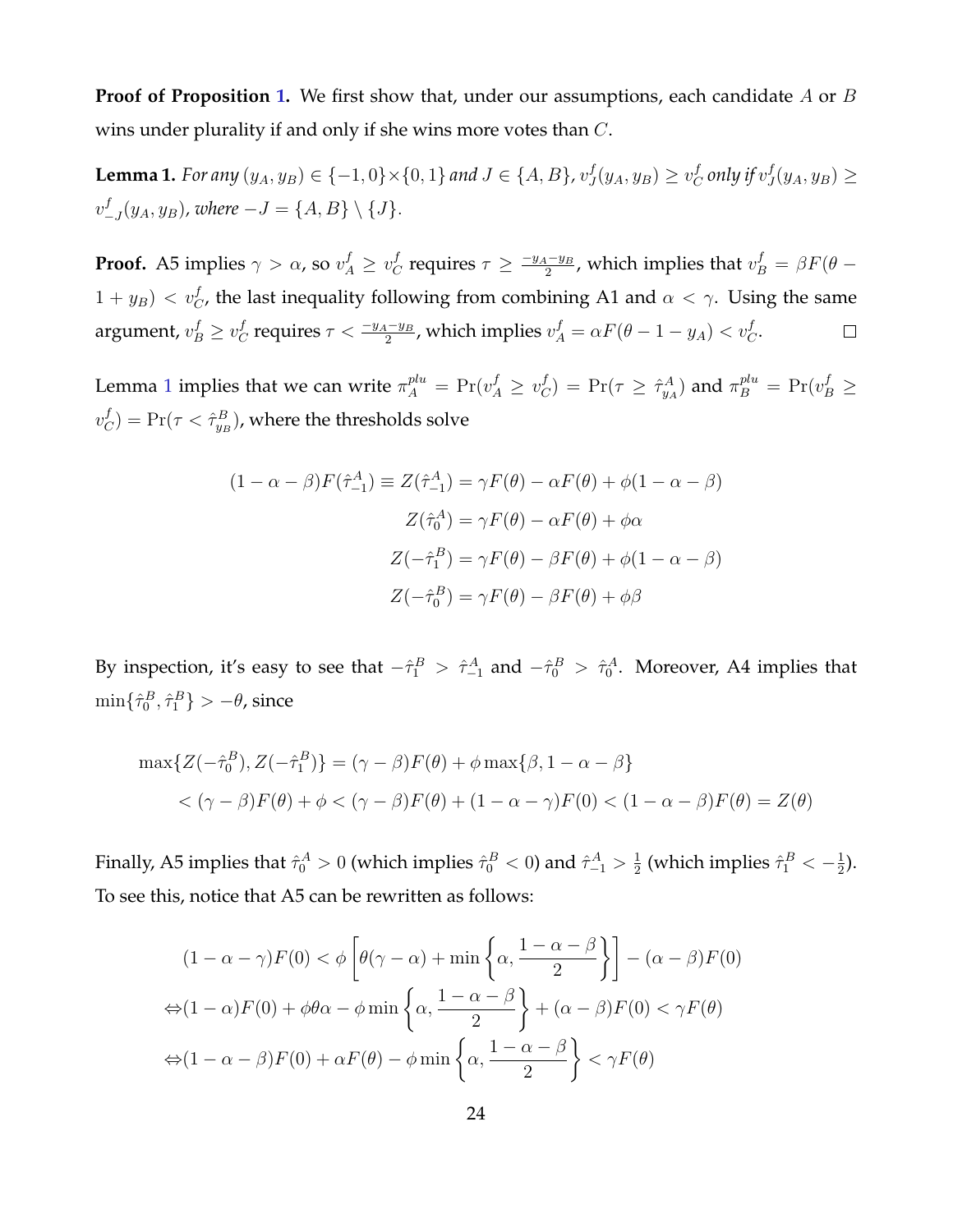**Proof of Proposition [1.](#page-9-0)** We first show that, under our assumptions, each candidate A or B wins under plurality if and only if she wins more votes than C.

<span id="page-24-0"></span>**Lemma 1.** For any  $(y_A, y_B) \in \{-1, 0\} \times \{0, 1\}$  and  $J \in \{A, B\}$ ,  $v_J^f$  $J(y_A, y_B) \geq v_C^f$  $_{C}^{f}$  only if  $v_{J}^{f}$  $J(y_A, y_B) \geq$  $v_-^f$  $_{-J}^{J}(y_A, y_B)$ , where  $-J = \{A, B\} \setminus \{J\}.$ 

**Proof.** A5 implies  $\gamma > \alpha$ , so  $v_A^f \geq v_C^f$  $\frac{1-y_B}{2}$ , which implies that  $v_B^f = \beta F(\theta \frac{f}{C}$  requires  $\tau \geq \frac{-y_A-y_B}{2}$  $(1 + y_B) < v_C^f$ , the last inequality following from combining A1 and  $\alpha < \gamma$ . Using the same argument,  $v_B^f \geq v_C^f$  $\frac{f}{C}$  requires  $\tau < \frac{-y_A - y_B}{2}$ , which implies  $v_A^f = \alpha F(\theta - 1 - y_A) < v_C^f$ .  $\Box$ 

Lemma [1](#page-24-0) implies that we can write  $\pi^{plu}_{A} = \Pr(v^f_A \geq v^f_C)$  $\hat{\sigma}_C^f$ ) = Pr $(\tau \geq \hat{\tau}_{y_A}^A)$  and  $\pi_B^{plu}$  = Pr $(v_B^f \geq$  $v^f_{\epsilon}$  $C^f_{C}) = \Pr(\tau < \hat{\tau}^B_{y_B})$ , where the thresholds solve

$$
(1 - \alpha - \beta)F(\hat{\tau}_{-1}^A) \equiv Z(\hat{\tau}_{-1}^A) = \gamma F(\theta) - \alpha F(\theta) + \phi(1 - \alpha - \beta)
$$

$$
Z(\hat{\tau}_0^A) = \gamma F(\theta) - \alpha F(\theta) + \phi \alpha
$$

$$
Z(-\hat{\tau}_1^B) = \gamma F(\theta) - \beta F(\theta) + \phi(1 - \alpha - \beta)
$$

$$
Z(-\hat{\tau}_0^B) = \gamma F(\theta) - \beta F(\theta) + \phi \beta
$$

By inspection, it's easy to see that  $-\hat{\tau}_1^B > \hat{\tau}_{-1}^A$  and  $-\hat{\tau}_0^B > \hat{\tau}_0^A$ . Moreover, A4 implies that  $\min\{\hat{\tau}^B_0,\hat{\tau}^B_1\} > -\theta$ , since

$$
\max\{Z(-\hat{\tau}_0^B), Z(-\hat{\tau}_1^B)\} = (\gamma - \beta)F(\theta) + \phi \max\{\beta, 1 - \alpha - \beta\}
$$
  

$$
< (\gamma - \beta)F(\theta) + \phi < (\gamma - \beta)F(\theta) + (1 - \alpha - \gamma)F(0) < (1 - \alpha - \beta)F(\theta) = Z(\theta)
$$

Finally, A5 implies that  $\hat{\tau}_0^A > 0$  (which implies  $\hat{\tau}_0^B < 0$ ) and  $\hat{\tau}_{-1}^A > \frac{1}{2}$  $\frac{1}{2}$  (which implies  $\hat{\tau}^B_1 < -\frac{1}{2}$  $\frac{1}{2}$ ). To see this, notice that A5 can be rewritten as follows:

$$
(1 - \alpha - \gamma)F(0) < \phi \left[ \theta(\gamma - \alpha) + \min \left\{ \alpha, \frac{1 - \alpha - \beta}{2} \right\} \right] - (\alpha - \beta)F(0)
$$
\n
$$
\Leftrightarrow (1 - \alpha)F(0) + \phi \theta \alpha - \phi \min \left\{ \alpha, \frac{1 - \alpha - \beta}{2} \right\} + (\alpha - \beta)F(0) < \gamma F(\theta)
$$
\n
$$
\Leftrightarrow (1 - \alpha - \beta)F(0) + \alpha F(\theta) - \phi \min \left\{ \alpha, \frac{1 - \alpha - \beta}{2} \right\} < \gamma F(\theta)
$$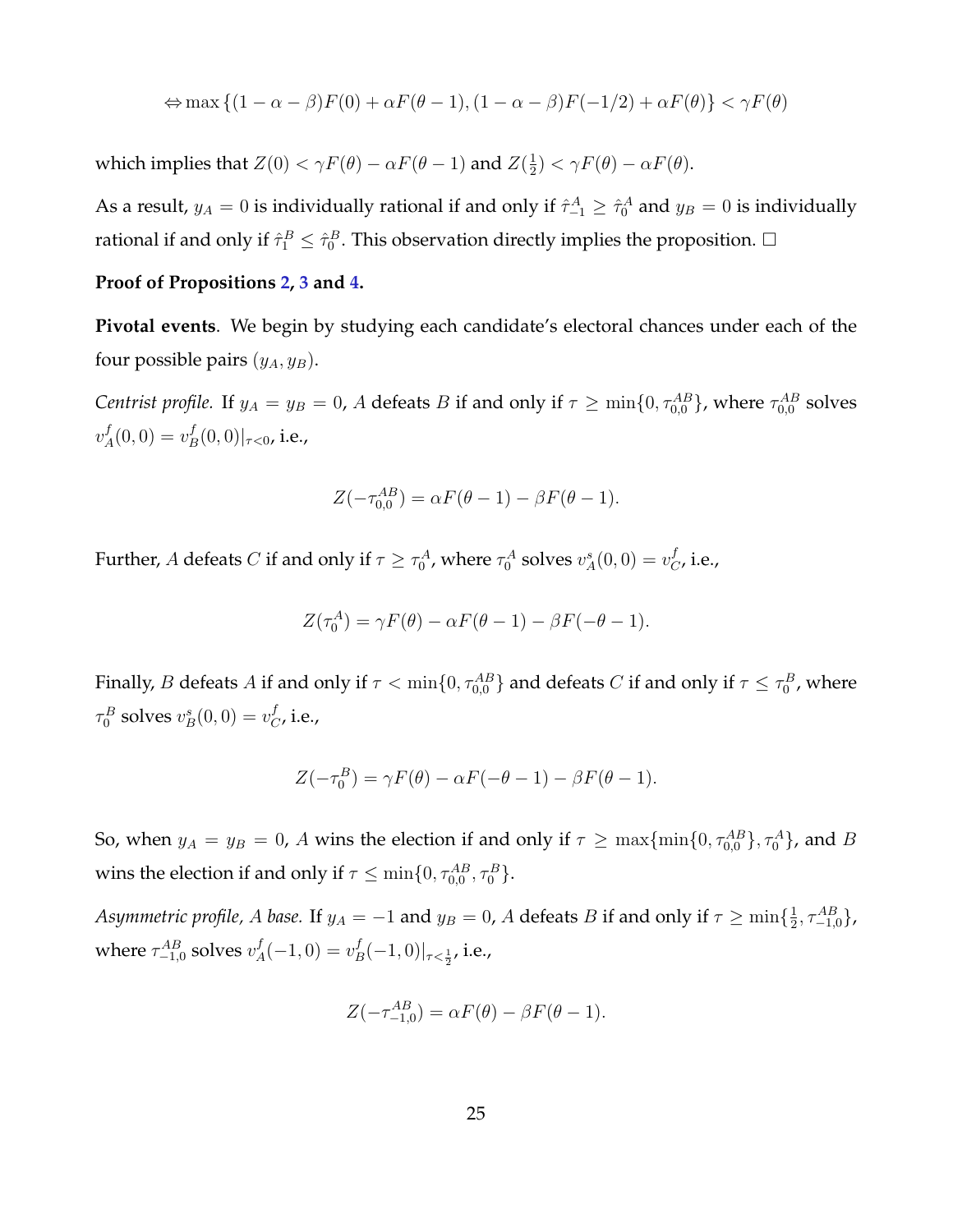$$
\Leftrightarrow \max\left\{(1-\alpha-\beta)F(0) + \alpha F(\theta-1), (1-\alpha-\beta)F(-1/2) + \alpha F(\theta)\right\} < \gamma F(\theta)
$$

which implies that  $Z(0) < \gamma F(\theta) - \alpha F(\theta - 1)$  and  $Z(\frac{1}{2})$  $(\frac{1}{2}) < \gamma F(\theta) - \alpha F(\theta).$ 

As a result,  $y_A = 0$  is individually rational if and only if  $\hat{\tau}_{-1}^A \geq \hat{\tau}_0^A$  and  $y_B = 0$  is individually rational if and only if  $\hat{\tau}_1^B \leq \hat{\tau}_0^B$ . This observation directly implies the proposition.  $\Box$ 

#### **Proof of Propositions [2,](#page-13-0) [3](#page-14-0) and [4.](#page-15-0)**

**Pivotal events**. We begin by studying each candidate's electoral chances under each of the four possible pairs  $(y_A, y_B)$ .

Centrist profile. If  $y_A = y_B = 0$ , A defeats B if and only if  $\tau \ge \min\{0, \tau_{0,0}^{AB}\}$ , where  $\tau_{0,0}^{AB}$  solves  $v^f_{\scriptscriptstyle\mathcal{A}}$  $L_A^f(0,0) = v_E^f$  $_{B}^{f}(0,0)|_{\tau<0}$ , i.e.,

$$
Z(-\tau_{0,0}^{AB}) = \alpha F(\theta - 1) - \beta F(\theta - 1).
$$

Further,  $A$  defeats  $C$  if and only if  $\tau\geq\tau_0^A$ , where  $\tau_0^A$  solves  $v_A^s(0,0)=v_C^f$  $_{C}^{J}$ , i.e.,

$$
Z(\tau_0^A) = \gamma F(\theta) - \alpha F(\theta - 1) - \beta F(-\theta - 1).
$$

Finally,  $B$  defeats  $A$  if and only if  $\tau<\min\{0,\tau_{0,0}^{AB}\}$  and defeats  $C$  if and only if  $\tau\le\tau_0^B$ , where  $\tau_0^B$  solves  $v_B^s(0,0) = v_C^f$  $_{C}^{J}$ , i.e.,

$$
Z(-\tau_0^B) = \gamma F(\theta) - \alpha F(-\theta - 1) - \beta F(\theta - 1).
$$

So, when  $y_A = y_B = 0$ , A wins the election if and only if  $\tau \ge \max\{\min\{0, \tau_{0,0}^{AB}\}, \tau_0^A\}$ , and B wins the election if and only if  $\tau \leq \min\{0, \tau_{0,0}^{AB}, \tau_0^B\}.$ 

*Asymmetric profile, A base.* If  $y_A = -1$  and  $y_B = 0$ , A defeats B if and only if  $\tau \ge \min\{\frac{1}{2},\frac{1}{2},\frac{1}{2},\frac{1}{2}\}$  $\frac{1}{2}, \tau_{-1,0}^{AB}\},$ where  $\tau_{-1,0}^{AB}$  solves  $v_A^f$  $A<sup>f</sup>(-1,0) = v<sup>f</sup><sub>E</sub>$  $\left. \frac{dJ}{dS}(-1,0)\right|_{\tau<\frac{1}{2}}$ , i.e.,

$$
Z(-\tau_{-1,0}^{AB}) = \alpha F(\theta) - \beta F(\theta - 1).
$$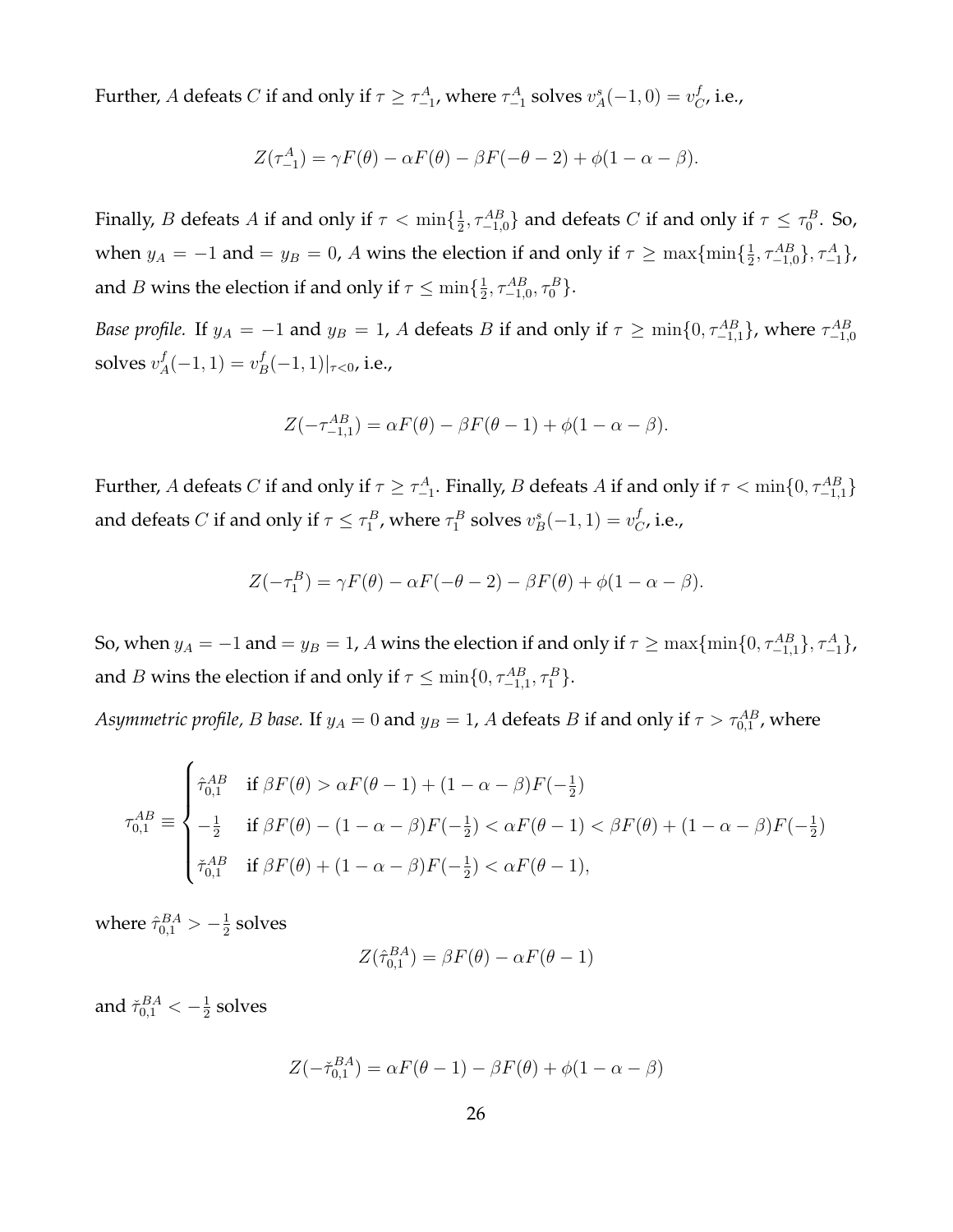Further, A defeats  $C$  if and only if  $\tau\geq\tau_{-1}^{A}$ , where  $\tau_{-1}^{A}$  solves  $v_{A}^{s}(-1,0)=v_{C}^{f}$  $_{C}^{J}$ , i.e.,

$$
Z(\tau_{-1}^A) = \gamma F(\theta) - \alpha F(\theta) - \beta F(-\theta - 2) + \phi(1 - \alpha - \beta).
$$

Finally, *B* defeats *A* if and only if  $\tau < \min\{\frac{1}{2}\}$  $\frac{1}{2}$ ,  $\tau_{-1,0}^{AB}$  and defeats C if and only if  $\tau \leq \tau_0^B$ . So, when  $y_A = -1$  and  $=y_B = 0$ , A wins the election if and only if  $\tau \ge \max\{\min\{\frac{1}{2},\}$  $\frac{1}{2}, \tau_{-1,0}^{AB}\}, \tau_{-1}^{A}\},$ and *B* wins the election if and only if  $\tau \leq \min\{\frac{1}{2}\}$  $\frac{1}{2}, \tau_{-1,0}^{AB}, \tau_{0}^{B}$ .

*Base profile.* If  $y_A = -1$  and  $y_B = 1$ , A defeats B if and only if  $\tau \ge \min\{0, \tau_{-1,1}^{AB}\}$ , where  $\tau_{-1,0}^{AB}$ solves  $v^f_{A}$  $A<sup>f</sup>(-1, 1) = v<sup>f</sup><sub>E</sub>$  $_{B}^{J}(-1,1)|_{\tau<0}$ , i.e.,

$$
Z(-\tau_{-1,1}^{AB}) = \alpha F(\theta) - \beta F(\theta - 1) + \phi(1 - \alpha - \beta).
$$

Further, A defeats  $C$  if and only if  $\tau\geq\tau_{-1}^A$ . Finally,  $B$  defeats  $A$  if and only if  $\tau<\min\{0,\tau_{-1,1}^{AB}\}$ and defeats  $C$  if and only if  $\tau\leq\tau^B_1$ , where  $\tau^B_1$  solves  $v^s_B(-1,1)=v^f_C$  $_{C}^{J}$ , i.e.,

$$
Z(-\tau_1^B) = \gamma F(\theta) - \alpha F(-\theta - 2) - \beta F(\theta) + \phi(1 - \alpha - \beta).
$$

So, when  $y_A = -1$  and  $=y_B = 1$ , A wins the election if and only if  $\tau \ge \max\{\min\{0, \tau_{-1,1}^{AB}\}, \tau_{-1}^A\}$ , and *B* wins the election if and only if  $\tau \leq \min\{0, \tau_{-1,1}^{AB}, \tau_1^B\}.$ 

*Asymmetric profile, B base.* If  $y_A = 0$  and  $y_B = 1$ ,  $A$  defeats  $B$  if and only if  $\tau > \tau_{0,1}^{AB}$ , where

$$
\tau_{0,1}^{AB} \equiv \begin{cases}\n\hat{\tau}_{0,1}^{AB} & \text{if } \beta F(\theta) > \alpha F(\theta - 1) + (1 - \alpha - \beta)F(-\frac{1}{2}) \\
-\frac{1}{2} & \text{if } \beta F(\theta) - (1 - \alpha - \beta)F(-\frac{1}{2}) < \alpha F(\theta - 1) < \beta F(\theta) + (1 - \alpha - \beta)F(-\frac{1}{2}) \\
\check{\tau}_{0,1}^{AB} & \text{if } \beta F(\theta) + (1 - \alpha - \beta)F(-\frac{1}{2}) < \alpha F(\theta - 1),\n\end{cases}
$$

where  $\hat{\tau}_{0,1}^{BA} > -\frac{1}{2}$  $\frac{1}{2}$  solves

$$
Z(\hat{\tau}_{0,1}^{BA}) = \beta F(\theta) - \alpha F(\theta - 1)
$$

and  $\check{\tau}^{BA}_{0,1} < -\frac{1}{2}$  $\frac{1}{2}$  solves

$$
Z(-\check{\tau}_{0,1}^{BA}) = \alpha F(\theta - 1) - \beta F(\theta) + \phi(1 - \alpha - \beta)
$$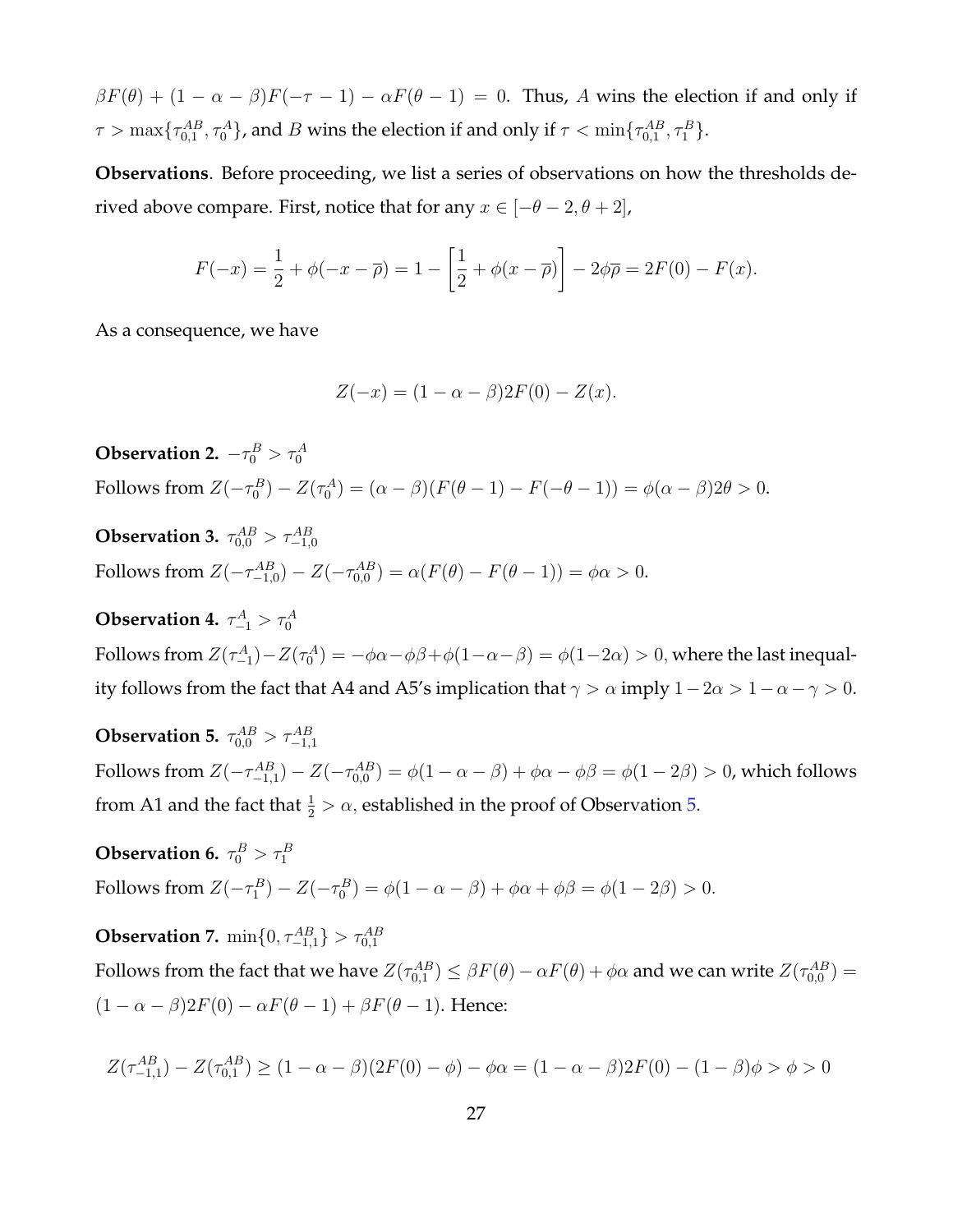$\beta F(\theta) + (1 - \alpha - \beta)F(-\tau - 1) - \alpha F(\theta - 1) = 0$ . Thus, A wins the election if and only if  $\tau > \max\{\tau^{AB}_{0,1},\tau^{A}_{0}\}$ , and  $B$  wins the election if and only if  $\tau < \min\{\tau^{AB}_{0,1},\tau^{B}_{1}\}.$ 

**Observations**. Before proceeding, we list a series of observations on how the thresholds derived above compare. First, notice that for any  $x \in [-\theta - 2, \theta + 2]$ ,

$$
F(-x) = \frac{1}{2} + \phi(-x - \overline{\rho}) = 1 - \left[\frac{1}{2} + \phi(x - \overline{\rho})\right] - 2\phi\overline{\rho} = 2F(0) - F(x).
$$

As a consequence, we have

$$
Z(-x) = (1 - \alpha - \beta)2F(0) - Z(x).
$$

**Observation 2.**  $-\tau_0^B > \tau_0^A$ Follows from  $Z(-\tau_0^B) - Z(\tau_0^A) = (\alpha - \beta)(F(\theta - 1) - F(-\theta - 1)) = \phi(\alpha - \beta)2\theta > 0.$ 

**Observation 3.**  $\tau^{AB}_{0,0} > \tau^{AB}_{-1,0}$ Follows from  $Z(-\tau_{-1,0}^{AB}) - Z(-\tau_{0,0}^{AB}) = \alpha (F(\theta) - F(\theta - 1)) = \phi \alpha > 0.$ 

<span id="page-27-1"></span>**Observation 4.**  $\tau^A_{-1} > \tau^A_0$ Follows from  $Z(\tau^A_{-1}) - Z(\tau^A_0) = -\phi\alpha - \phi\beta + \phi(1-\alpha-\beta) = \phi(1-2\alpha) > 0,$  where the last inequality follows from the fact that A4 and A5's implication that  $\gamma > \alpha$  imply  $1 - 2\alpha > 1 - \alpha - \gamma > 0$ .

<span id="page-27-0"></span>**Observation 5.**  $\tau_{0,0}^{AB} > \tau_{-1,1}^{AB}$ Follows from  $Z(-\tau_{-1,1}^{AB})-Z(-\tau_{0,0}^{AB})=\phi(1-\alpha-\beta)+\phi\alpha-\phi\beta=\phi(1-2\beta)>0$ , which follows from A1 and the fact that  $\frac{1}{2} > \alpha$ , established in the proof of Observation [5.](#page-27-0)

<span id="page-27-2"></span>**Observation 6.**  $\tau_0^B > \tau_1^B$ Follows from  $Z(-\tau_1^B) - Z(-\tau_0^B) = \phi(1 - \alpha - \beta) + \phi\alpha + \phi\beta = \phi(1 - 2\beta) > 0$ .

<span id="page-27-3"></span>**Observation 7.**  $\min\{0, \tau_{-1,1}^{AB}\} > \tau_{0,1}^{AB}$ Follows from the fact that we have  $Z(\tau_{0,1}^{AB})\leq\beta F(\theta)-\alpha F(\theta)+\phi\alpha$  and we can write  $Z(\tau_{0,0}^{AB})=$  $(1 - \alpha - \beta)2F(0) - \alpha F(\theta - 1) + \beta F(\theta - 1)$ . Hence:

$$
Z(\tau_{-1,1}^{AB}) - Z(\tau_{0,1}^{AB}) \ge (1 - \alpha - \beta)(2F(0) - \phi) - \phi\alpha = (1 - \alpha - \beta)2F(0) - (1 - \beta)\phi > \phi > 0
$$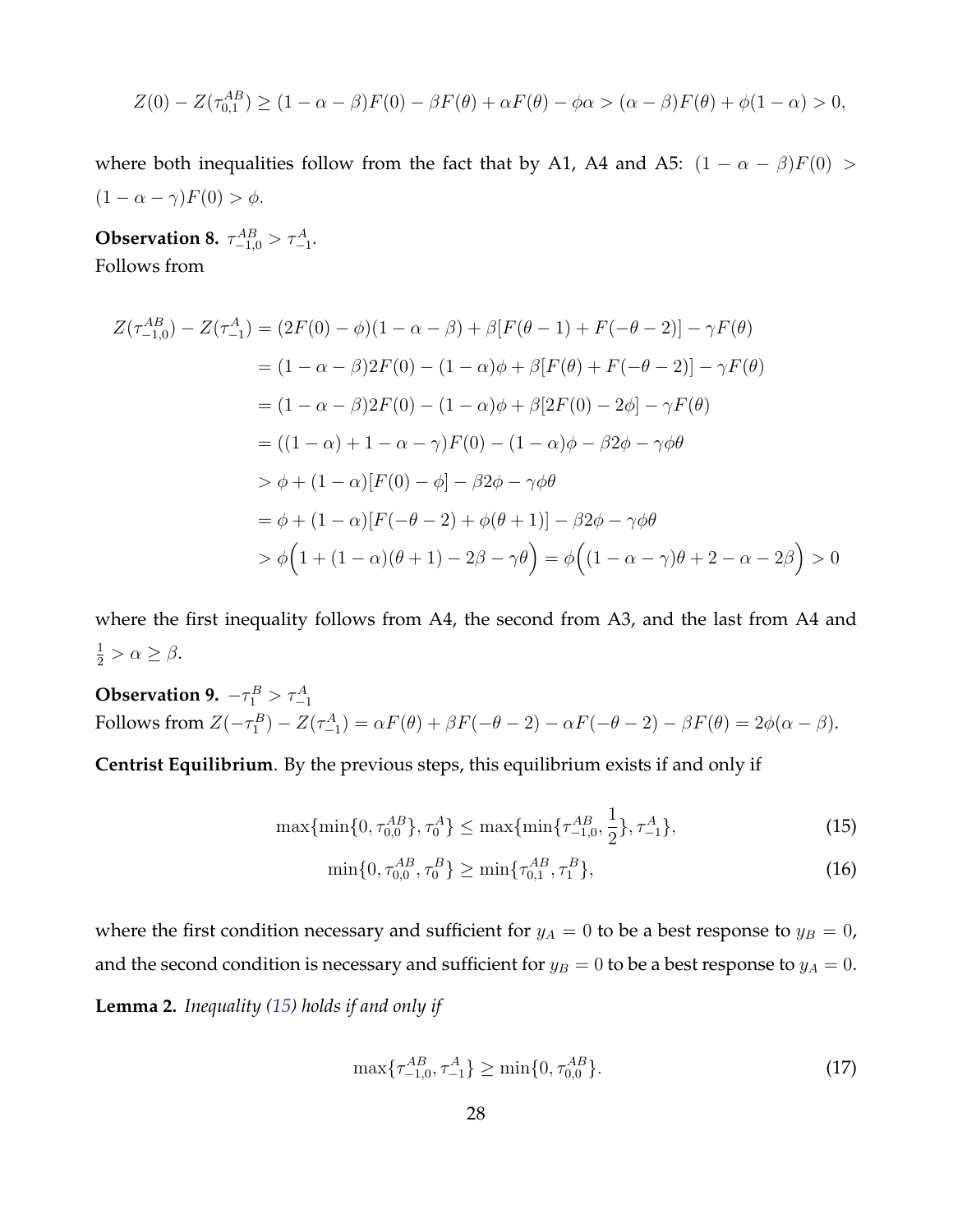$$
Z(0) - Z(\tau_{0,1}^{AB}) \ge (1 - \alpha - \beta)F(0) - \beta F(\theta) + \alpha F(\theta) - \phi \alpha > (\alpha - \beta)F(\theta) + \phi(1 - \alpha) > 0,
$$

where both inequalities follow from the fact that by A1, A4 and A5:  $(1 - \alpha - \beta)F(0)$  >  $(1 - \alpha - \gamma)F(0) > \phi.$ 

<span id="page-28-1"></span>**Observation 8.**  $\tau_{-1,0}^{AB} > \tau_{-1}^{A}$ . Follows from

$$
Z(\tau_{-1,0}^{AB}) - Z(\tau_{-1}^{A}) = (2F(0) - \phi)(1 - \alpha - \beta) + \beta [F(\theta - 1) + F(-\theta - 2)] - \gamma F(\theta)
$$
  
=  $(1 - \alpha - \beta)2F(0) - (1 - \alpha)\phi + \beta [F(\theta) + F(-\theta - 2)] - \gamma F(\theta)$   
=  $(1 - \alpha - \beta)2F(0) - (1 - \alpha)\phi + \beta [2F(0) - 2\phi] - \gamma F(\theta)$   
=  $((1 - \alpha) + 1 - \alpha - \gamma)F(0) - (1 - \alpha)\phi - \beta 2\phi - \gamma \phi \theta$   
 $\Rightarrow \phi + (1 - \alpha)[F(0) - \phi] - \beta 2\phi - \gamma \phi \theta$   
=  $\phi + (1 - \alpha)[F(-\theta - 2) + \phi(\theta + 1)] - \beta 2\phi - \gamma \phi \theta$   
 $\Rightarrow \phi \left(1 + (1 - \alpha)(\theta + 1) - 2\beta - \gamma \theta\right) = \phi \left((1 - \alpha - \gamma)\theta + 2 - \alpha - 2\beta\right) > 0$ 

where the first inequality follows from A4, the second from A3, and the last from A4 and  $\frac{1}{2} > \alpha \geq \beta.$ 

**Observation 9.**  $-\tau_1^B > \tau_{-1}^A$ Follows from  $Z(-\tau_1^B) - Z(\tau_{-1}^A) = \alpha F(\theta) + \beta F(-\theta - 2) - \alpha F(-\theta - 2) - \beta F(\theta) = 2\phi(\alpha - \beta).$ 

**Centrist Equilibrium**. By the previous steps, this equilibrium exists if and only if

$$
\max\{\min\{0, \tau_{0,0}^{AB}\}, \tau_0^A\} \le \max\{\min\{\tau_{-1,0}^{AB}, \frac{1}{2}\}, \tau_{-1}^A\},\tag{15}
$$

<span id="page-28-2"></span><span id="page-28-0"></span>
$$
\min\{0, \tau_{0,0}^{AB}, \tau_0^B\} \ge \min\{\tau_{0,1}^{AB}, \tau_1^B\},\tag{16}
$$

where the first condition necessary and sufficient for  $y_A = 0$  to be a best response to  $y_B = 0$ , and the second condition is necessary and sufficient for  $y_B = 0$  to be a best response to  $y_A = 0$ . **Lemma 2.** *Inequality [\(15\)](#page-28-0) holds if and only if*

$$
\max\{\tau_{-1,0}^{AB}, \tau_{-1}^{A}\} \ge \min\{0, \tau_{0,0}^{AB}\}.
$$
\n(17)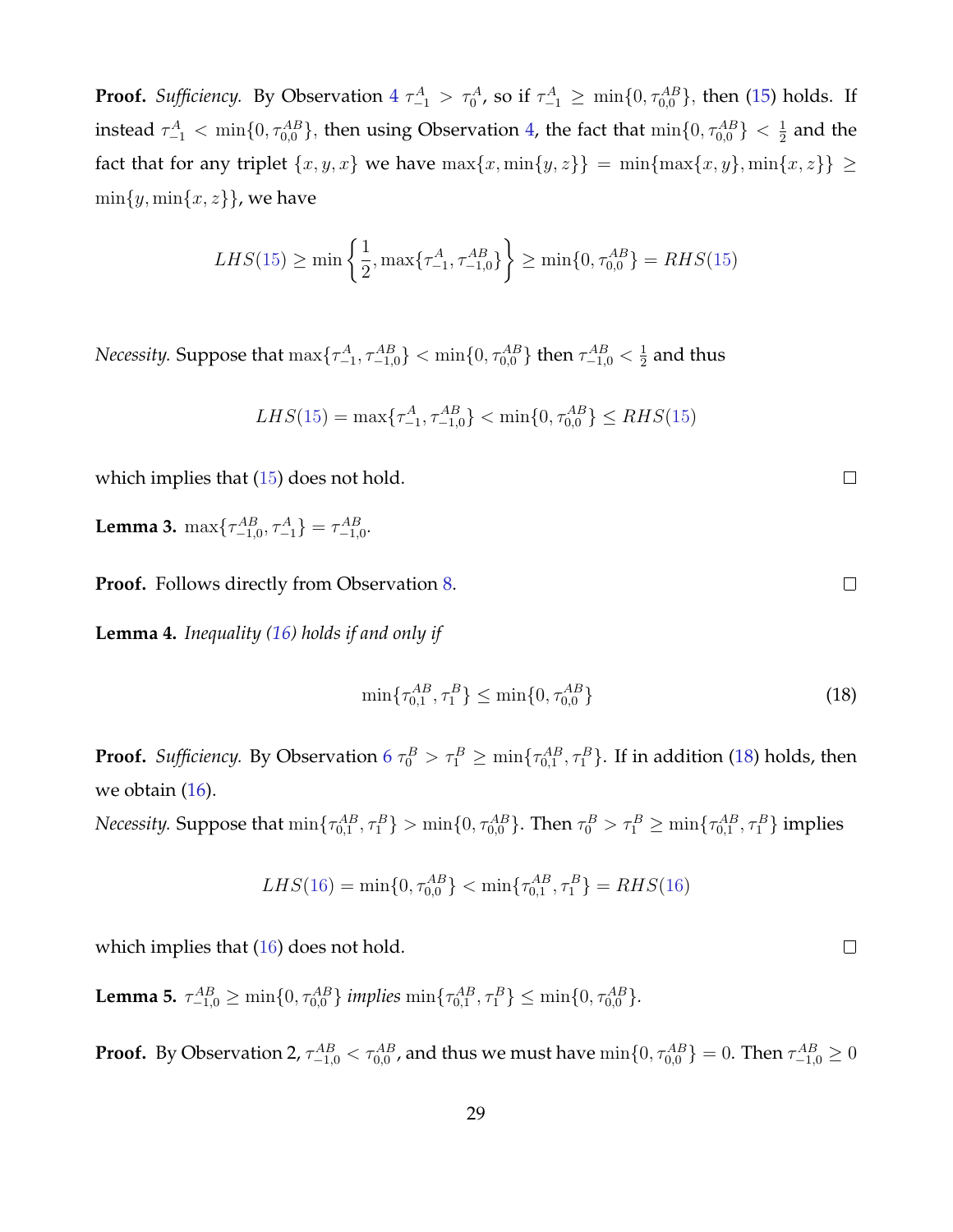**Proof.** Sufficiency. By Observation  $4 \tau_{-1}^A > \tau_0^A$  $4 \tau_{-1}^A > \tau_0^A$ , so if  $\tau_{-1}^A \ge \min\{0, \tau_{0,0}^{AB}\}$ , then [\(15\)](#page-28-0) holds. If instead  $\tau^A_{-1}<\min\{0,\tau^{AB}_{0,0}\},$  then using Observation [4,](#page-27-1) the fact that  $\min\{0,\tau^{AB}_{0,0}\}<\frac{1}{2}$  $\frac{1}{2}$  and the fact that for any triplet  $\{x, y, x\}$  we have  $\max\{x, \min\{y, z\}\}$  =  $\min\{\max\{x, y\}, \min\{x, z\}\}$  ≥  $\min\{y, \min\{x, z\}\}\,$ , we have

$$
LHS(15) \ge \min\left\{\frac{1}{2}, \max\{\tau_{-1}^A, \tau_{-1,0}^{AB}\}\right\} \ge \min\{0, \tau_{0,0}^{AB}\} = RHS(15)
$$

*Necessity.* Suppose that  $\max\{\tau_{-1}^A, \tau_{-1,0}^{AB}\} < \min\{0, \tau_{0,0}^{AB}\}$  then  $\tau_{-1,0}^{AB} < \frac{1}{2}$  $\frac{1}{2}$  and thus

$$
LHS(15) = \max\{\tau_{-1}^A, \tau_{-1,0}^{AB}\} < \min\{0, \tau_{0,0}^{AB}\} \le RHS(15)
$$

which implies that ([15](#page-28-0)) does not hold.

**Lemma 3.**  $\max\{\tau_{-1,0}^{AB}, \tau_{-1}^{A}\} = \tau_{-1,0}^{AB}$ .

**Proof.** Follows directly from Observation [8.](#page-28-1)

**Lemma 4.** *Inequality [\(16\)](#page-28-2) holds if and only if*

<span id="page-29-0"></span>
$$
\min\{\tau_{0,1}^{AB}, \tau_1^B\} \le \min\{0, \tau_{0,0}^{AB}\}\tag{18}
$$

**Proof.** Sufficiency. By Observation [6](#page-27-2)  $\tau_0^B > \tau_1^B \ge \min\{\tau_{0,1}^{AB},\tau_1^B\}$ . If in addition [\(18\)](#page-29-0) holds, then we obtain [\(16\)](#page-28-2).

*Necessity.* Suppose that  $\min\{\tau_{0,1}^{AB},\tau_1^B\}>\min\{0,\tau_{0,0}^{AB}\}.$  Then  $\tau_0^B>\tau_1^B\geq\min\{\tau_{0,1}^{AB},\tau_1^B\}$  implies

$$
LHS(16) = \min\{0, \tau_{0,0}^{AB}\} < \min\{\tau_{0,1}^{AB}, \tau_1^B\} = RHS(16)
$$

which implies that ([16](#page-28-2)) does not hold.

**Lemma 5.**  $\tau_{-1,0}^{AB} \ge \min\{0, \tau_{0,0}^{AB}\}\$ implies  $\min\{\tau_{0,1}^{AB}, \tau_1^B\} \le \min\{0, \tau_{0,0}^{AB}\}.$ 

**Proof.** By Observation 2,  $\tau^{AB}_{-1,0} < \tau^{AB}_{0,0}$  , and thus we must have  $\min\{0,\tau^{AB}_{0,0}\}=0.$  Then  $\tau^{AB}_{-1,0}\geq 0$ 

 $\Box$ 

 $\Box$ 

 $\Box$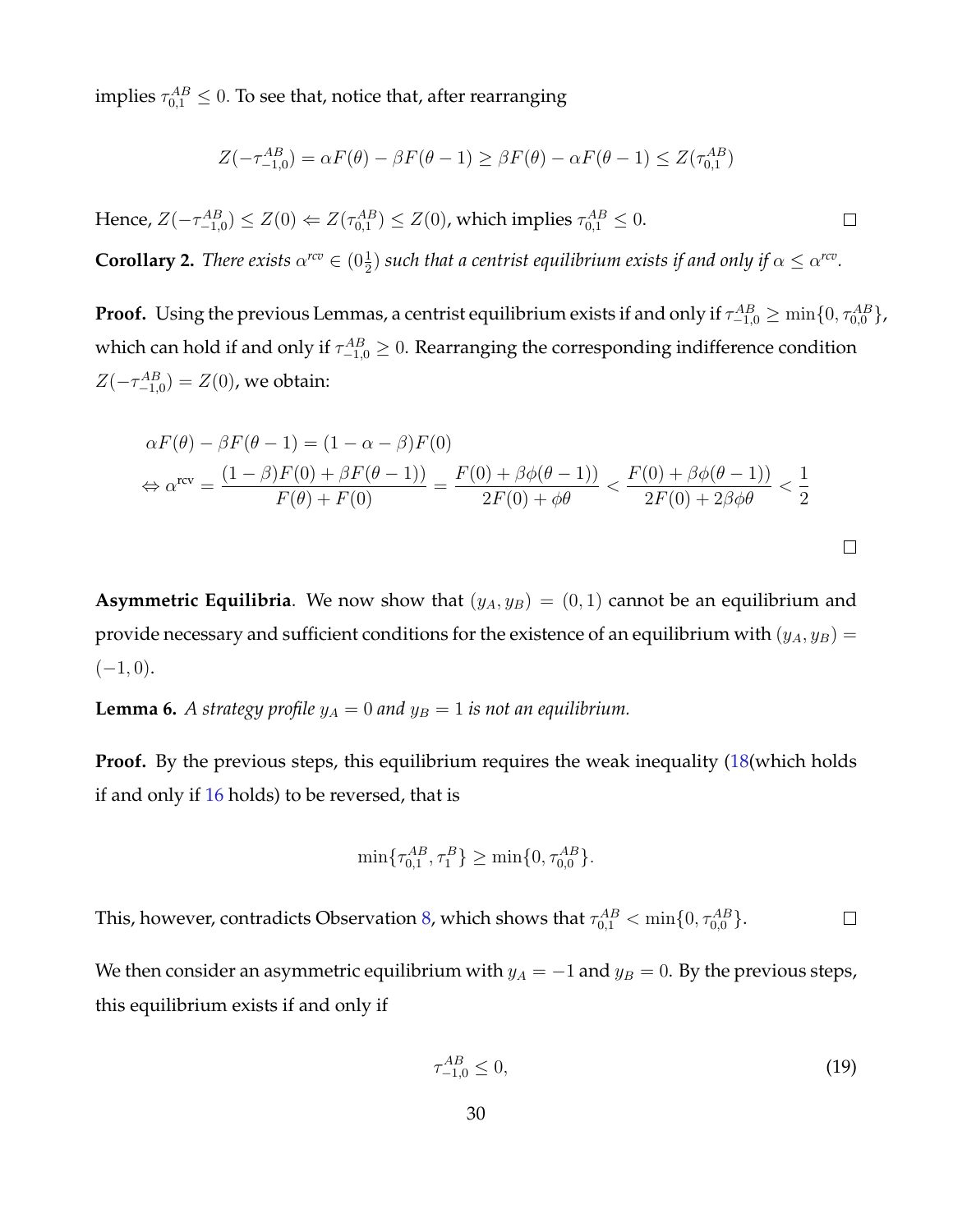implies  $\tau^{AB}_{0,1} \leq 0.$  To see that, notice that, after rearranging

$$
Z(-\tau_{-1,0}^{AB}) = \alpha F(\theta) - \beta F(\theta - 1) \ge \beta F(\theta) - \alpha F(\theta - 1) \le Z(\tau_{0,1}^{AB})
$$

Hence,  $Z(-\tau_{-1,0}^{AB}) \leq Z(0) \Leftarrow Z(\tau_{0,1}^{AB}) \leq Z(0)$ , which implies  $\tau_{0,1}^{AB} \leq 0$ .  $\Box$ 

**Corollary 2.** *There exists*  $\alpha^{rcv} \in (0\frac{1}{2})$  such that a centrist equilibrium exists if and only if  $\alpha \leq \alpha^{rcv}$ .

**Proof.** Using the previous Lemmas, a centrist equilibrium exists if and only if  $\tau^{AB}_{-1,0}\geq\min\{0,\tau^{AB}_{0,0}\}$ , which can hold if and only if  $\tau^{AB}_{-1,0} \geq 0$ . Rearranging the corresponding indifference condition  $Z(-\tau_{-1,0}^{AB})=Z(0)$ , we obtain:

$$
\alpha F(\theta) - \beta F(\theta - 1) = (1 - \alpha - \beta) F(0)
$$
  
\n
$$
\Leftrightarrow \alpha^{\text{rev}} = \frac{(1 - \beta) F(0) + \beta F(\theta - 1)}{F(\theta) + F(0)} = \frac{F(0) + \beta \phi(\theta - 1)}{2F(0) + \phi\theta} < \frac{F(0) + \beta \phi(\theta - 1)}{2F(0) + 2\beta\phi\theta} < \frac{1}{2}
$$

**Asymmetric Equilibria**. We now show that  $(y_A, y_B) = (0, 1)$  cannot be an equilibrium and provide necessary and sufficient conditions for the existence of an equilibrium with  $(y_A, y_B)$  =  $(-1, 0).$ 

<span id="page-30-1"></span>**Lemma 6.** *A strategy profile*  $y_A = 0$  *and*  $y_B = 1$  *is not an equilibrium.* 

**Proof.** By the previous steps, this equilibrium requires the weak inequality [\(18\(](#page-29-0)which holds if and only if [16](#page-28-2) holds) to be reversed, that is

$$
\min\{\tau_{0,1}^{AB}, \tau_1^B\} \ge \min\{0, \tau_{0,0}^{AB}\}.
$$

This, however, contradicts Observation [8,](#page-28-1) which shows that  $\tau^{AB}_{0,1} < \min\{0, \tau^{AB}_{0,0}\}.$  $\Box$ 

We then consider an asymmetric equilibrium with  $y_A = -1$  and  $y_B = 0$ . By the previous steps, this equilibrium exists if and only if

<span id="page-30-0"></span>
$$
\tau_{-1,0}^{AB} \le 0,\tag{19}
$$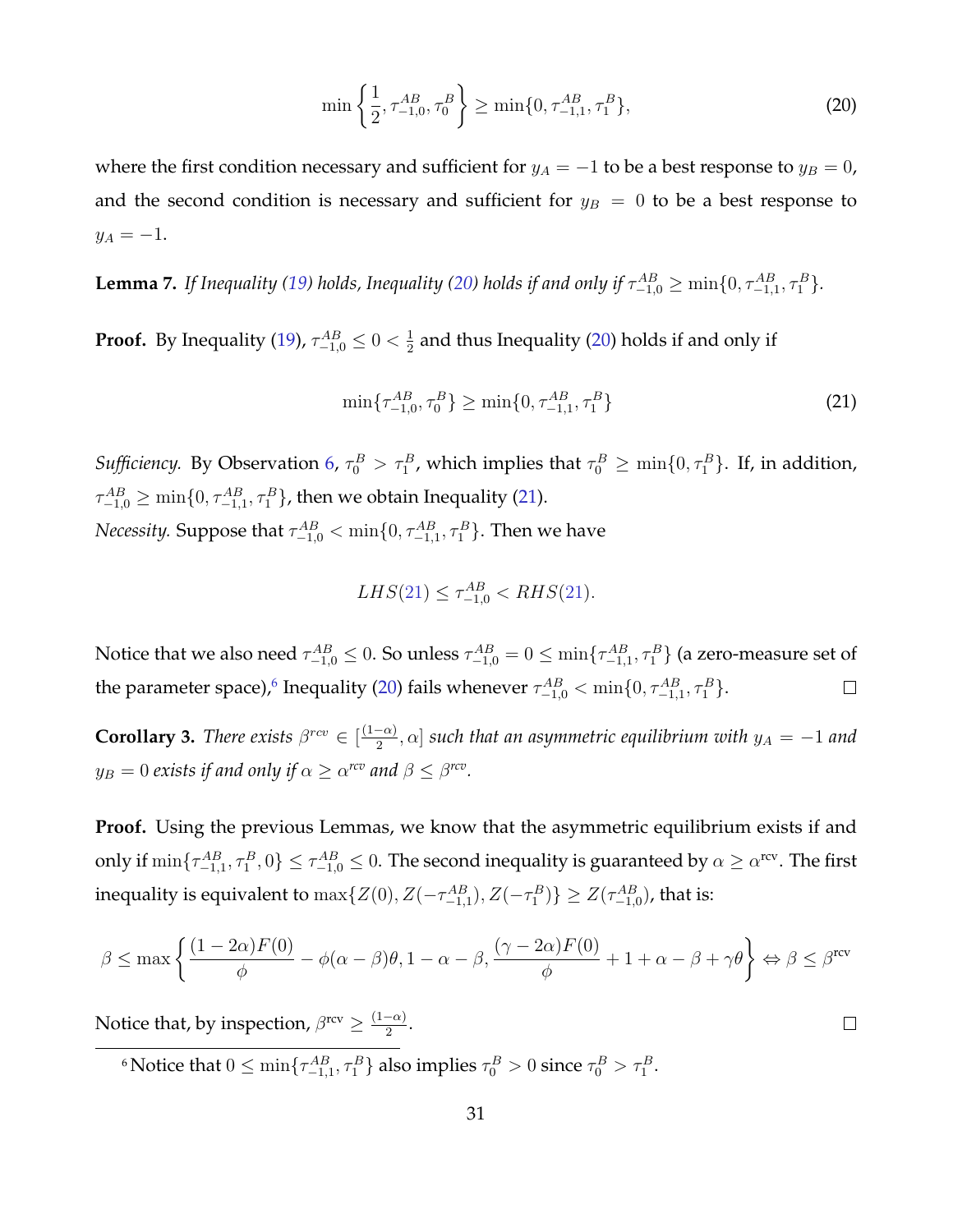<span id="page-31-0"></span>
$$
\min\left\{\frac{1}{2},\tau_{-1,0}^{AB},\tau_0^B\right\} \ge \min\{0,\tau_{-1,1}^{AB},\tau_1^B\},\tag{20}
$$

where the first condition necessary and sufficient for  $y_A = -1$  to be a best response to  $y_B = 0$ , and the second condition is necessary and sufficient for  $y_B = 0$  to be a best response to  $y_A = -1.$ 

**Lemma 7.** If Inequality [\(19\)](#page-30-0) holds, Inequality [\(20\)](#page-31-0) holds if and only if  $\tau_{-1,0}^{AB} \ge \min\{0,\tau_{-1,1}^{AB},\tau_1^B\}$ .

**Proof.** By Inequality [\(19\)](#page-30-0),  $\tau_{-1,0}^{AB} \leq 0 < \frac{1}{2}$  $\frac{1}{2}$  and thus Inequality [\(20\)](#page-31-0) holds if and only if

<span id="page-31-1"></span>
$$
\min\{\tau_{-1,0}^{AB},\tau_0^B\} \ge \min\{0,\tau_{-1,1}^{AB},\tau_1^B\} \tag{21}
$$

 $\Box$ 

*Sufficiency.* By Observation [6,](#page-27-2)  $\tau_0^B > \tau_1^B$ , which implies that  $\tau_0^B \ge \min\{0, \tau_1^B\}$ . If, in addition,  $\tau^{AB}_{-1,0} \geq \min\{0,\tau^{AB}_{-1,1},\tau^{B}_{1}\}$ , then we obtain Inequality [\(21\)](#page-31-1). *Necessity.* Suppose that  $\tau^{AB}_{-1,0} < \min\{0,\tau^{AB}_{-1,1},\tau^{B}_{1}\}.$  Then we have

$$
LHS(21) \le \tau_{-1,0}^{AB} < RHS(21).
$$

Notice that we also need  $\tau^{AB}_{-1,0}\leq0.$  So unless  $\tau^{AB}_{-1,0}=0\leq\min\{\tau^{AB}_{-1,1},\tau^{B}_1\}$  (a zero-measure set of the parameter space),<sup>[6](#page-0-0)</sup> Inequality [\(20\)](#page-31-0) fails whenever  $\tau^{AB}_{-1,0} < \min\{0, \tau^{AB}_{-1,1}, \tau^{B}_1\}$ .  $\Box$ 

**Corollary 3.** *There exists*  $\beta^{rev} \in \left[\frac{(1-\alpha)}{2}\right]$  $\left[ \frac{-\alpha}{2}, \alpha \right]$  such that an asymmetric equilibrium with  $y_A = -1$  and  $y_B=0$  exists if and only if  $\alpha\geq \alpha^{rcv}$  and  $\beta\leq \beta^{rcv}.$ 

**Proof.** Using the previous Lemmas, we know that the asymmetric equilibrium exists if and only if  $\min\{\tau_{-1,1}^{AB},\tau_1^B,0\}\leq\tau_{-1,0}^{AB}\leq0.$  The second inequality is guaranteed by  $\alpha\geq\alpha^{\rm rev}.$  The first inequality is equivalent to  $\max\{Z(0),Z(-\tau_{-1,1}^{AB}),Z(-\tau_1^B)\}\geq Z(\tau_{-1,0}^{AB})$ , that is:

$$
\beta\leq \max\left\{\frac{(1-2\alpha)F(0)}{\phi}-\phi(\alpha-\beta)\theta,1-\alpha-\beta,\frac{(\gamma-2\alpha)F(0)}{\phi}+1+\alpha-\beta+\gamma\theta\right\}\Leftrightarrow \beta\leq \beta^{\text{rev}}
$$

Notice that, by inspection,  $\beta^{\text{rcv}} \geq \frac{(1-\alpha)}{2}$  $\frac{(\alpha)}{2}$ .

<sup>6</sup> Notice that  $0 \le \min\{\tau_{-1,1}^{AB}, \tau_1^B\}$  also implies  $\tau_0^B > 0$  since  $\tau_0^B > \tau_1^B$ .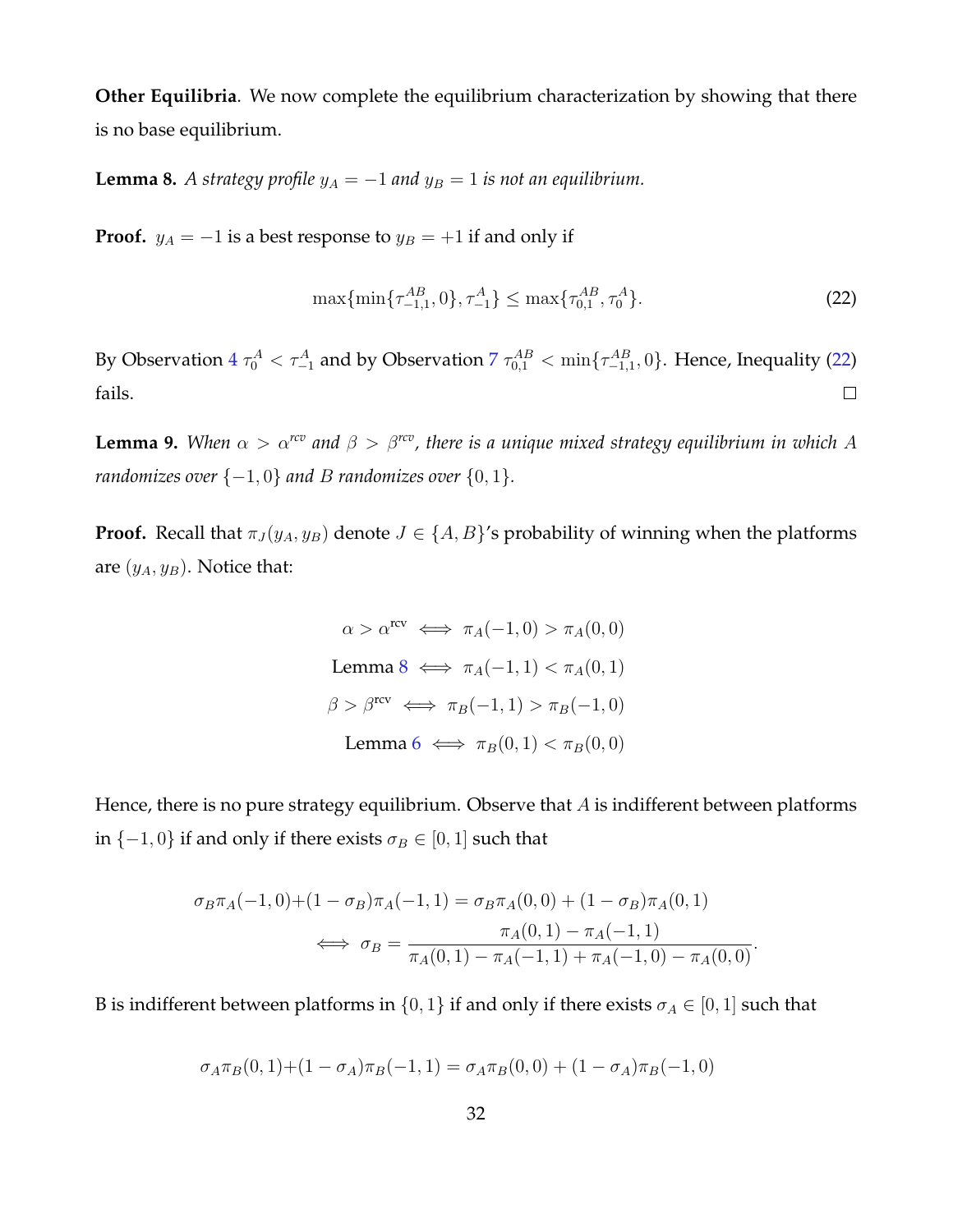**Other Equilibria**. We now complete the equilibrium characterization by showing that there is no base equilibrium.

<span id="page-32-1"></span>**Lemma 8.** *A strategy profile*  $y_A = -1$  *and*  $y_B = 1$  *is not an equilibrium.* 

**Proof.**  $y_A = -1$  is a best response to  $y_B = +1$  if and only if

<span id="page-32-0"></span>
$$
\max\{\min\{\tau_{-1,1}^{AB}, 0\}, \tau_{-1}^{A}\} \le \max\{\tau_{0,1}^{AB}, \tau_{0}^{A}\}.
$$
\n(22)

By Observation  $4\tau_0^A < \tau_{-1}^A$  $4\tau_0^A < \tau_{-1}^A$  and by Observation  $7\tau_{0,1}^{AB} < \min\{\tau_{-1,1}^{AB},0\}$  $7\tau_{0,1}^{AB} < \min\{\tau_{-1,1}^{AB},0\}$ . Hence, Inequality [\(22\)](#page-32-0) fails.  $\Box$ 

**Lemma 9.** *When*  $\alpha > \alpha^{rcv}$  *and*  $\beta > \beta^{rcv}$ *, there is a unique mixed strategy equilibrium in which* A *randomizes over*  $\{-1, 0\}$  *and B randomizes over*  $\{0, 1\}$ *.* 

**Proof.** Recall that  $\pi_J(y_A, y_B)$  denote  $J \in \{A, B\}'$ s probability of winning when the platforms are  $(y_A, y_B)$ . Notice that:

$$
\alpha > \alpha^{\text{rcv}} \iff \pi_A(-1, 0) > \pi_A(0, 0)
$$
  
Lemma 8  $\iff \pi_A(-1, 1) < \pi_A(0, 1)$   

$$
\beta > \beta^{\text{rcv}} \iff \pi_B(-1, 1) > \pi_B(-1, 0)
$$
  
Lemma 6  $\iff \pi_B(0, 1) < \pi_B(0, 0)$ 

Hence, there is no pure strategy equilibrium. Observe that  $A$  is indifferent between platforms in  $\{-1,0\}$  if and only if there exists  $\sigma_B \in [0,1]$  such that

$$
\sigma_B \pi_A(-1,0) + (1 - \sigma_B)\pi_A(-1,1) = \sigma_B \pi_A(0,0) + (1 - \sigma_B)\pi_A(0,1)
$$
  

$$
\iff \sigma_B = \frac{\pi_A(0,1) - \pi_A(-1,1)}{\pi_A(0,1) - \pi_A(-1,1) + \pi_A(-1,0) - \pi_A(0,0)}.
$$

B is indifferent between platforms in  $\{0, 1\}$  if and only if there exists  $\sigma_A \in [0, 1]$  such that

$$
\sigma_A \pi_B(0,1) + (1 - \sigma_A) \pi_B(-1,1) = \sigma_A \pi_B(0,0) + (1 - \sigma_A) \pi_B(-1,0)
$$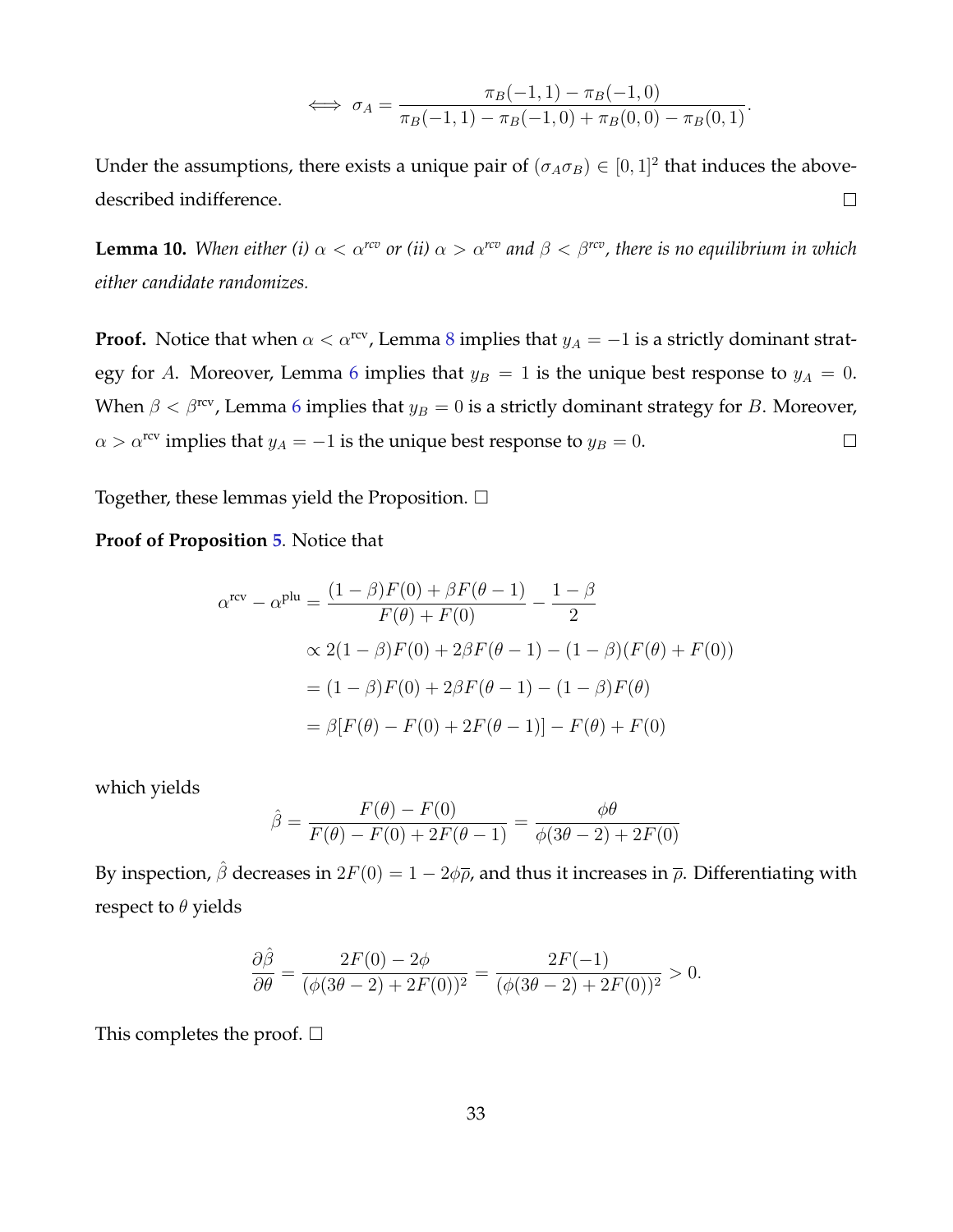$$
\iff \sigma_A = \frac{\pi_B(-1,1) - \pi_B(-1,0)}{\pi_B(-1,1) - \pi_B(-1,0) + \pi_B(0,0) - \pi_B(0,1)}.
$$

Under the assumptions, there exists a unique pair of  $(\sigma_A \sigma_B) \in [0,1]^2$  that induces the abovedescribed indifference.  $\Box$ 

**Lemma 10.** *When either (i)*  $\alpha < \alpha^{rcv}$  *or (ii)*  $\alpha > \alpha^{rcv}$  *and*  $\beta < \beta^{rcv}$ *, there is no equilibrium in which either candidate randomizes.*

**Proof.** Notice that when  $\alpha < \alpha^{rev}$ , Lemma [8](#page-32-1) implies that  $y_A = -1$  is a strictly dominant strat-egy for A. Moreover, Lemma [6](#page-30-1) implies that  $y_B = 1$  is the unique best response to  $y_A = 0$ . When  $\beta < \beta$ <sup>rcv</sup>, Lemma [6](#page-30-1) implies that  $y_B = 0$  is a strictly dominant strategy for B. Moreover,  $\alpha > \alpha^{\text{rev}}$  implies that  $y_A = -1$  is the unique best response to  $y_B = 0$ .  $\Box$ 

Together, these lemmas yield the Proposition.  $\Box$ 

#### **Proof of Proposition [5](#page-16-0)**. Notice that

$$
\alpha^{\text{rev}} - \alpha^{\text{plu}} = \frac{(1 - \beta)F(0) + \beta F(\theta - 1)}{F(\theta) + F(0)} - \frac{1 - \beta}{2}
$$
  
 
$$
\propto 2(1 - \beta)F(0) + 2\beta F(\theta - 1) - (1 - \beta)(F(\theta) + F(0))
$$
  
=  $(1 - \beta)F(0) + 2\beta F(\theta - 1) - (1 - \beta)F(\theta)$   
=  $\beta[F(\theta) - F(0) + 2F(\theta - 1)] - F(\theta) + F(0)$ 

which yields

$$
\hat{\beta} = \frac{F(\theta) - F(0)}{F(\theta) - F(0) + 2F(\theta - 1)} = \frac{\phi\theta}{\phi(3\theta - 2) + 2F(0)}
$$

By inspection,  $\hat{\beta}$  decreases in  $2F(0) = 1 - 2\phi\bar{\rho}$ , and thus it increases in  $\bar{\rho}$ . Differentiating with respect to  $\theta$  yields

$$
\frac{\partial \hat{\beta}}{\partial \theta} = \frac{2F(0) - 2\phi}{(\phi(3\theta - 2) + 2F(0))^2} = \frac{2F(-1)}{(\phi(3\theta - 2) + 2F(0))^2} > 0.
$$

This completes the proof.  $\square$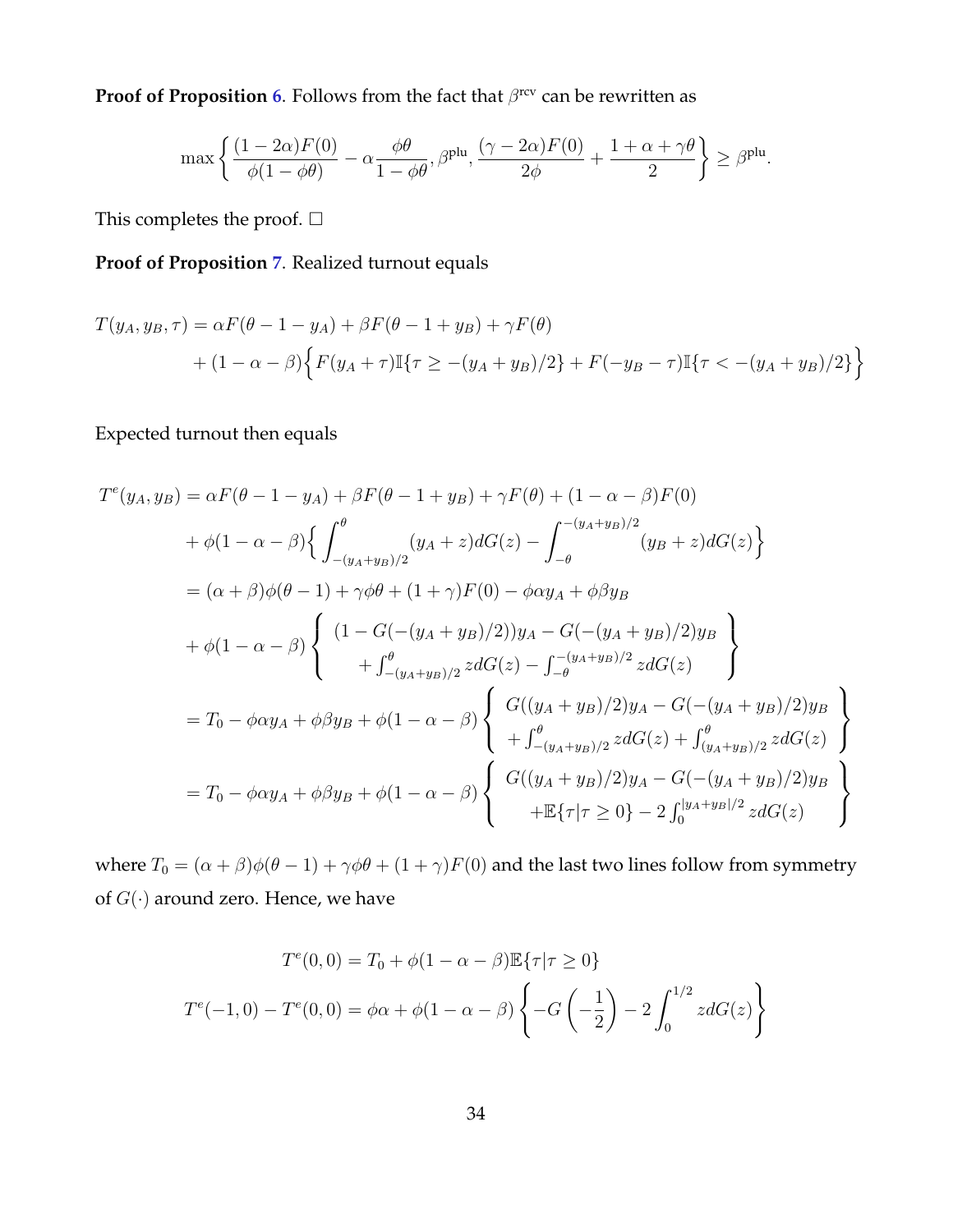**Proof of Proposition [6](#page-17-0).** Follows from the fact that  $\beta^{\text{rcv}}$  can be rewritten as

$$
\max\left\{\frac{(1-2\alpha)F(0)}{\phi(1-\phi\theta)}-\alpha\frac{\phi\theta}{1-\phi\theta},\beta^{\text{plu}},\frac{(\gamma-2\alpha)F(0)}{2\phi}+\frac{1+\alpha+\gamma\theta}{2}\right\}\geq\beta^{\text{plu}}.
$$

This completes the proof.  $\Box$ 

**Proof of Proposition [7](#page-17-1)**. Realized turnout equals

$$
T(y_A, y_B, \tau) = \alpha F(\theta - 1 - y_A) + \beta F(\theta - 1 + y_B) + \gamma F(\theta)
$$
  
+ 
$$
(1 - \alpha - \beta) \Big\{ F(y_A + \tau) \mathbb{I}\{\tau \ge -(y_A + y_B)/2\} + F(-y_B - \tau) \mathbb{I}\{\tau < -(y_A + y_B)/2\} \Big\}
$$

#### Expected turnout then equals

$$
T^{e}(y_{A}, y_{B}) = \alpha F(\theta - 1 - y_{A}) + \beta F(\theta - 1 + y_{B}) + \gamma F(\theta) + (1 - \alpha - \beta)F(0)
$$
  
+  $\phi(1 - \alpha - \beta) \Big\{ \int_{-(y_{A}+y_{B})/2}^{0} (y_{A} + z) dG(z) - \int_{-\theta}^{-(y_{A}+y_{B})/2} (y_{B} + z) dG(z) \Big\}$   
=  $(\alpha + \beta)\phi(\theta - 1) + \gamma\phi\theta + (1 + \gamma)F(0) - \phi\alpha y_{A} + \phi\beta y_{B}$   
+  $\phi(1 - \alpha - \beta) \Big\{ \begin{array}{l} (1 - G(-(y_{A} + y_{B})/2))y_{A} - G(-(y_{A} + y_{B})/2)y_{B} \\ + \int_{-(y_{A}+y_{B})/2}^{0} z dG(z) - \int_{-\theta}^{-(y_{A}+y_{B})/2} z dG(z) \end{array} \Big\}$   
=  $T_{0} - \phi\alpha y_{A} + \phi\beta y_{B} + \phi(1 - \alpha - \beta) \Big\{ \begin{array}{l} G((y_{A} + y_{B})/2)y_{A} - G(-(y_{A} + y_{B})/2)y_{B} \\ + \int_{-(y_{A}+y_{B})/2}^{0} z dG(z) + \int_{(y_{A}+y_{B})/2}^{0} z dG(z) \end{array} \Big\}$   
=  $T_{0} - \phi\alpha y_{A} + \phi\beta y_{B} + \phi(1 - \alpha - \beta) \Big\{ \begin{array}{l} G((y_{A} + y_{B})/2)y_{A} - G(-(y_{A} + y_{B})/2)y_{B} \\ + \mathbb{E}\{\tau|\tau \geq 0\} - 2 \int_{0}^{[y_{A}+y_{B}]/2} z dG(z) \end{array} \Big\}$ 

where  $T_0 = (\alpha + \beta)\phi(\theta - 1) + \gamma\phi\theta + (1 + \gamma)F(0)$  and the last two lines follow from symmetry of  $G(\cdot)$  around zero. Hence, we have

$$
T^{e}(0,0) = T_0 + \phi(1 - \alpha - \beta) \mathbb{E}\{\tau | \tau \ge 0\}
$$

$$
T^{e}(-1,0) - T^{e}(0,0) = \phi\alpha + \phi(1 - \alpha - \beta) \left\{-G\left(-\frac{1}{2}\right) - 2\int_0^{1/2} z dG(z)\right\}
$$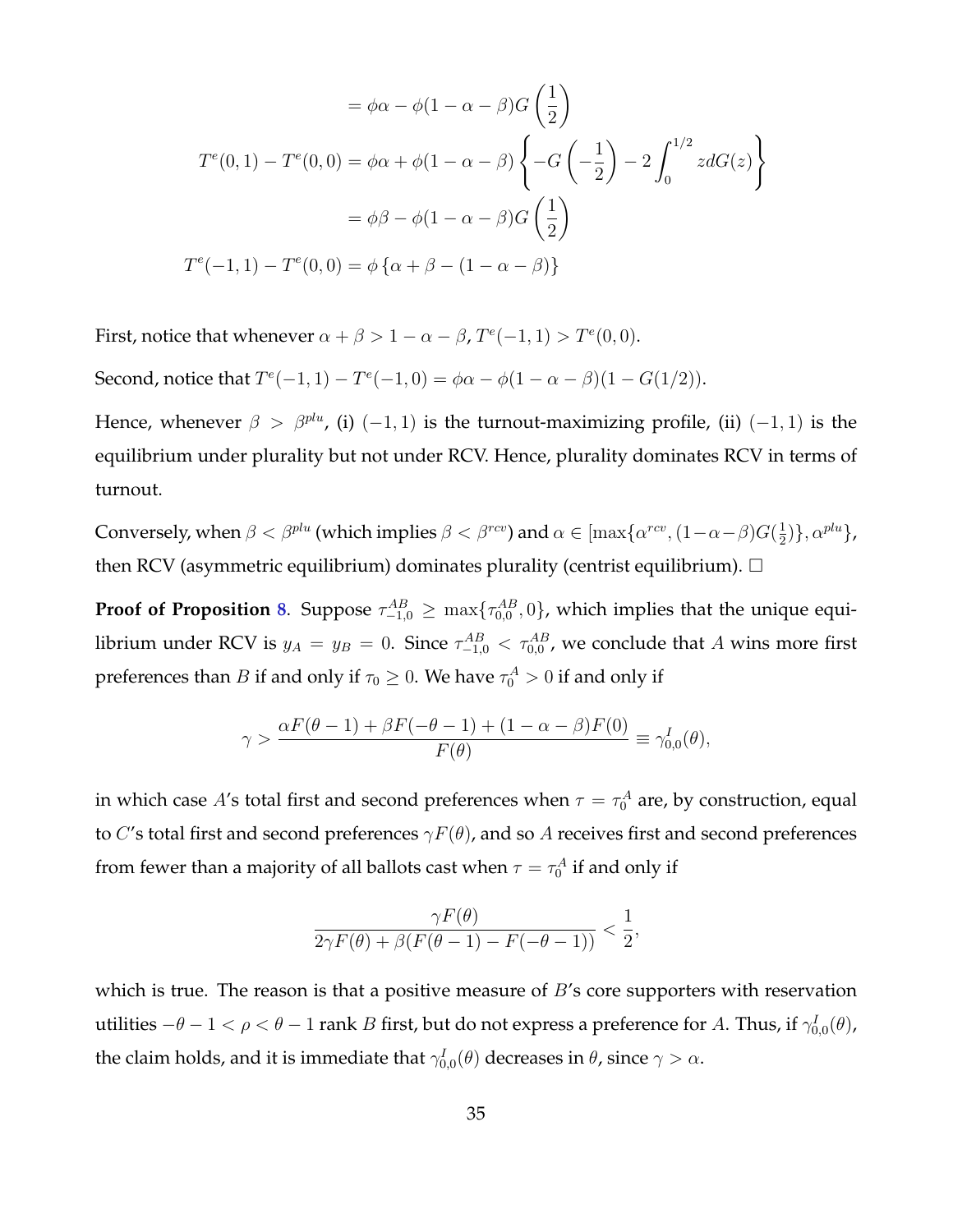$$
= \phi\alpha - \phi(1 - \alpha - \beta)G\left(\frac{1}{2}\right)
$$

$$
T^{e}(0,1) - T^{e}(0,0) = \phi\alpha + \phi(1 - \alpha - \beta)\left\{-G\left(-\frac{1}{2}\right) - 2\int_{0}^{1/2} zdG(z)\right\}
$$

$$
= \phi\beta - \phi(1 - \alpha - \beta)G\left(\frac{1}{2}\right)
$$

$$
T^{e}(-1,1) - T^{e}(0,0) = \phi\left\{\alpha + \beta - (1 - \alpha - \beta)\right\}
$$

First, notice that whenever  $\alpha + \beta > 1 - \alpha - \beta$ ,  $T^e(-1, 1) > T^e(0, 0)$ .

Second, notice that  $T^{e}(-1, 1) - T^{e}(-1, 0) = \phi\alpha - \phi(1 - \alpha - \beta)(1 - G(1/2)).$ 

Hence, whenever  $\beta > \beta^{plu}$ , (i) (-1, 1) is the turnout-maximizing profile, (ii) (-1, 1) is the equilibrium under plurality but not under RCV. Hence, plurality dominates RCV in terms of turnout.

Conversely, when  $\beta < \beta^{plu}$  (which implies  $\beta < \beta^{rcv}$ ) and  $\alpha \in [\max\{\alpha^{rcv},(1-\alpha-\beta)G(\frac{1}{2}$  $\frac{1}{2})\}, \alpha^{plu}\},$ then RCV (asymmetric equilibrium) dominates plurality (centrist equilibrium).  $\Box$ 

**Proof of Proposition [8](#page-19-0).** Suppose  $\tau_{-1,0}^{AB} \ge \max\{\tau_{0,0}^{AB},0\}$ , which implies that the unique equilibrium under RCV is  $y_A = y_B = 0$ . Since  $\tau_{-1,0}^{AB} < \tau_{0,0}^{AB}$ , we conclude that A wins more first preferences than  $B$  if and only if  $\tau_0 \geq 0.$  We have  $\tau_0^A > 0$  if and only if

$$
\gamma > \frac{\alpha F(\theta - 1) + \beta F(-\theta - 1) + (1 - \alpha - \beta) F(0)}{F(\theta)} \equiv \gamma_{0,0}^I(\theta),
$$

in which case  $A'$ s total first and second preferences when  $\tau=\tau_0^A$  are, by construction, equal to C's total first and second preferences  $\gamma F(\theta)$ , and so A receives first and second preferences from fewer than a majority of all ballots cast when  $\tau=\tau_0^A$  if and only if

$$
\frac{\gamma F(\theta)}{2\gamma F(\theta) + \beta(F(\theta - 1) - F(-\theta - 1))} < \frac{1}{2},
$$

which is true. The reason is that a positive measure of  $B$ 's core supporters with reservation utilities  $-\theta-1<\rho<\theta-1$  rank  $B$  first, but do not express a preference for  $A.$  Thus, if  $\gamma_{0,0}^I(\theta)$ , the claim holds, and it is immediate that  $\gamma_{0,0}^I(\theta)$  decreases in  $\theta$ , since  $\gamma>\alpha.$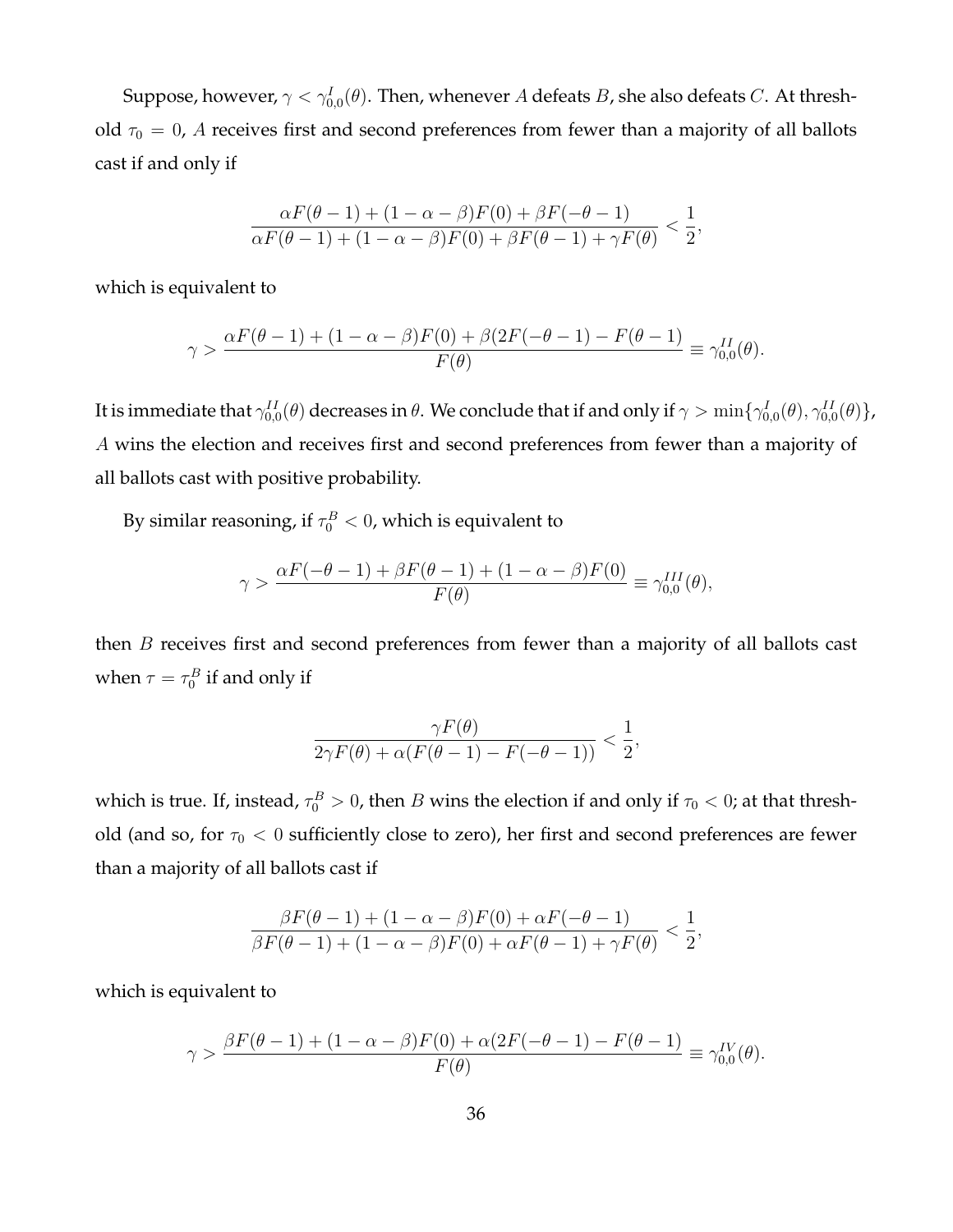Suppose, however,  $\gamma<\gamma_{0,0}^I(\theta).$  Then, whenever  $A$  defeats  $B$ , she also defeats  $C.$  At threshold  $\tau_0 = 0$ , A receives first and second preferences from fewer than a majority of all ballots cast if and only if

$$
\frac{\alpha F(\theta-1) + (1-\alpha-\beta)F(0) + \beta F(-\theta-1)}{\alpha F(\theta-1) + (1-\alpha-\beta)F(0) + \beta F(\theta-1) + \gamma F(\theta)} < \frac{1}{2},
$$

which is equivalent to

$$
\gamma > \frac{\alpha F(\theta - 1) + (1 - \alpha - \beta)F(0) + \beta(2F(-\theta - 1) - F(\theta - 1)}{F(\theta)} \equiv \gamma_{0,0}^{II}(\theta).
$$

It is immediate that  $\gamma_{0,0}^{II}(\theta)$  decreases in  $\theta.$  We conclude that if and only if  $\gamma>\min\{\gamma_{0,0}^I(\theta),\gamma_{0,0}^{II}(\theta)\}$ , A wins the election and receives first and second preferences from fewer than a majority of all ballots cast with positive probability.

By similar reasoning, if  $\tau_0^B < 0$ , which is equivalent to

$$
\gamma > \frac{\alpha F(-\theta - 1) + \beta F(\theta - 1) + (1 - \alpha - \beta) F(0)}{F(\theta)} \equiv \gamma_{0,0}^{III}(\theta),
$$

then  $B$  receives first and second preferences from fewer than a majority of all ballots cast when  $\tau = \tau_0^B$  if and only if

$$
\frac{\gamma F(\theta)}{2\gamma F(\theta) + \alpha(F(\theta - 1) - F(-\theta - 1))} < \frac{1}{2},
$$

which is true. If, instead,  $\tau_0^B>0$ , then  $B$  wins the election if and only if  $\tau_0 < 0$ ; at that threshold (and so, for  $\tau_0 < 0$  sufficiently close to zero), her first and second preferences are fewer than a majority of all ballots cast if

$$
\frac{\beta F(\theta-1) + (1-\alpha-\beta)F(0) + \alpha F(-\theta-1)}{\beta F(\theta-1) + (1-\alpha-\beta)F(0) + \alpha F(\theta-1) + \gamma F(\theta)} < \frac{1}{2},
$$

which is equivalent to

$$
\gamma > \frac{\beta F(\theta-1) + (1-\alpha-\beta)F(0) + \alpha(2F(-\theta-1) - F(\theta-1)}{F(\theta)} \equiv \gamma_{0,0}^{IV}(\theta).
$$